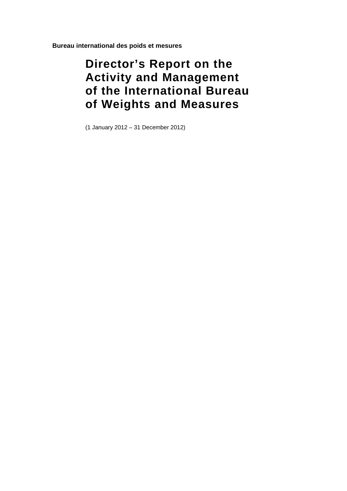**Bureau international des poids et mesures** 

# **Director's Report on the Activity and Management of the International Bureau of Weights and Measures**

(1 January 2012 – 31 December 2012)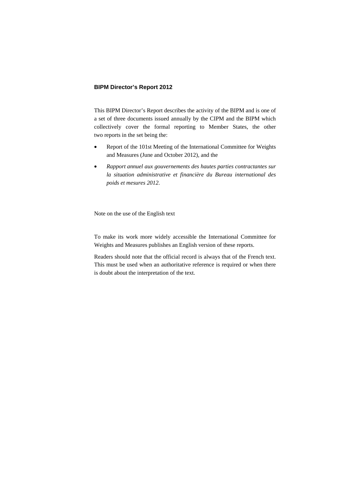## **BIPM Director's Report 2012**

This BIPM Director's Report describes the activity of the BIPM and is one of a set of three documents issued annually by the CIPM and the BIPM which collectively cover the formal reporting to Member States, the other two reports in the set being the:

- Report of the 101st Meeting of the International Committee for Weights and Measures (June and October 2012), and the
- *Rapport annuel aux gouvernements des hautes parties contractantes sur la situation administrative et financière du Bureau international des poids et mesures 2012*.

Note on the use of the English text

To make its work more widely accessible the International Committee for Weights and Measures publishes an English version of these reports.

Readers should note that the official record is always that of the French text. This must be used when an authoritative reference is required or when there is doubt about the interpretation of the text.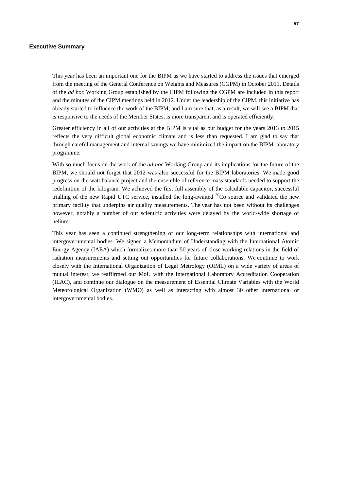#### **Executive Summary**

This year has been an important one for the BIPM as we have started to address the issues that emerged from the meeting of the General Conference on Weights and Measures (CGPM) in October 2011. Details of the *ad hoc* Working Group established by the CIPM following the CGPM are included in this report and the minutes of the CIPM meetings held in 2012. Under the leadership of the CIPM, this initiative has already started to influence the work of the BIPM, and I am sure that, as a result, we will see a BIPM that is responsive to the needs of the Member States, is more transparent and is operated efficiently.

Greater efficiency in all of our activities at the BIPM is vital as our budget for the years 2013 to 2015 reflects the very difficult global economic climate and is less than requested. I am glad to say that through careful management and internal savings we have minimized the impact on the BIPM laboratory programme.

With so much focus on the work of the *ad hoc* Working Group and its implications for the future of the BIPM, we should not forget that 2012 was also successful for the BIPM laboratories. We made good progress on the watt balance project and the ensemble of reference mass standards needed to support the redefinition of the kilogram. We achieved the first full assembly of the calculable capacitor, successful trialling of the new Rapid UTC service, installed the long-awaited  ${}^{60}Co$  source and validated the new primary facility that underpins air quality measurements. The year has not been without its challenges however, notably a number of our scientific activities were delayed by the world-wide shortage of helium.

This year has seen a continued strengthening of our long-term relationships with international and intergovernmental bodies. We signed a Memorandum of Understanding with the International Atomic Energy Agency (IAEA) which formalizes more than 50 years of close working relations in the field of radiation measurements and setting out opportunities for future collaborations. We continue to work closely with the International Organization of Legal Metrology (OIML) on a wide variety of areas of mutual interest; we reaffirmed our MoU with the International Laboratory Accreditation Cooperation (ILAC), and continue our dialogue on the measurement of Essential Climate Variables with the World Meteorological Organization (WMO) as well as interacting with almost 30 other international or intergovernmental bodies.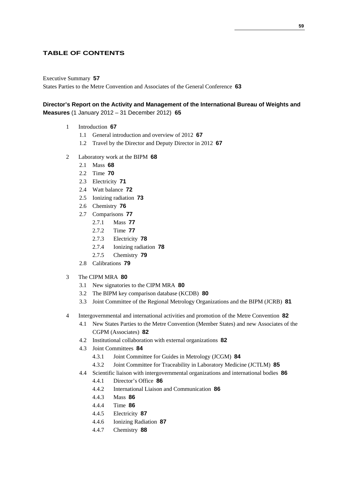## **TABLE OF CONTENTS**

#### Executive Summary **57**

States Parties to the Metre Convention and Associates of the General Conference **63**

## **Director's Report on the Activity and Management of the International Bureau of Weights and Measures** (1 January 2012 – 31 December 2012) **65**

- 1 Introduction **67**
	- 1.1 General introduction and overview of 2012 **67**
	- 1.2 Travel by the Director and Deputy Director in 2012 **67**
- 2 Laboratory work at the BIPM **68**
	- 2.1 Mass **68**
	- 2.2 Time **70**
	- 2.3 Electricity **71**
	- 2.4 Watt balance **72**
	- 2.5 Ionizing radiation **73**
	- 2.6 Chemistry **76**
	- 2.7 Comparisons **77**
		- 2.7.1 Mass **77**
			- 2.7.2 Time **77**
			- 2.7.3 Electricity **78**
			- 2.7.4 Ionizing radiation **78**
		- 2.7.5 Chemistry **79**
	- 2.8 Calibrations **79**

## 3 The CIPM MRA **80**

- 3.1 New signatories to the CIPM MRA **80**
- 3.2 The BIPM key comparison database (KCDB) **80**
- 3.3 Joint Committee of the Regional Metrology Organizations and the BIPM (JCRB) **81**
- 4 Intergovernmental and international activities and promotion of the Metre Convention **82**
	- 4.1 New States Parties to the Metre Convention (Member States) and new Associates of the CGPM (Associates) **82**
	- 4.2 Institutional collaboration with external organizations **82**
	- 4.3 Joint Committees **84**
		- 4.3.1 Joint Committee for Guides in Metrology (JCGM) **84**
		- 4.3.2 Joint Committee for Traceability in Laboratory Medicine (JCTLM) **85**
	- 4.4 Scientific liaison with intergovernmental organizations and international bodies **86**
		- 4.4.1 Director's Office **86**
		- 4.4.2 International Liaison and Communication **86**
		- 4.4.3 Mass **86**
		- 4.4.4 Time **86**
		- 4.4.5 Electricity **87**
		- 4.4.6 Ionizing Radiation **87**
		- 4.4.7 Chemistry **88**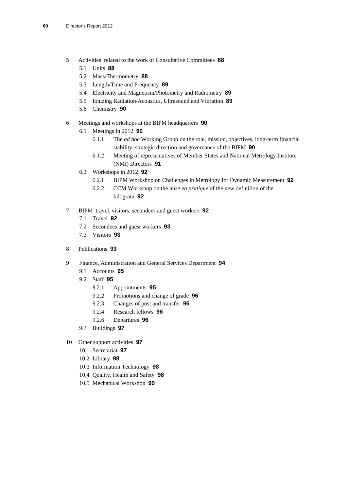- 5 Activities related to the work of Consultative Committees **88**
	- 5.1 Units **88**
	- 5.2 Mass/Thermometry **88**
	- 5.3 Length/Time and Frequency **89**
	- 5.4 Electricity and Magnetism/Photometry and Radiometry **89**
	- 5.5 Ionizing Radiation/Acoustics, Ultrasound and Vibration **89**
	- 5.6 Chemistry **90**
- 6 Meetings and workshops at the BIPM headquarters **90**
	- 6.1 Meetings in 2012 **90**
		- 6.1.1 The *ad hoc* Working Group on the role, mission, objectives, long-term financial stability, strategic direction and governance of the BIPM **90**
		- 6.1.2 Meeting of representatives of Member States and National Metrology Institute (NMI) Directors **91**
	- 6.2 Workshops in 2012 **92**
		- 6.2.1 BIPM Workshop on Challenges in Metrology for Dynamic Measurement **92**
		- 6.2.2 CCM Workshop on the *mise en pratique* of the new definition of the kilogram **92**
- 7 BIPM travel, visitors, secondees and guest workers **92**
	- 7.1 Travel **92**
	- 7.2 Secondees and guest workers **93**
	- 7.3 Visitors **93**
- 8 Publications **93**
- 9 Finance, Administration and General Services Department **94**
	- 9.1 Accounts **95**
	- 9.2 Staff **95** 
		- 9.2.1 Appointments **95**
		- 9.2.2 Promotions and change of grade **96**
		- 9.2.3 Changes of post and transfer **96**
		- 9.2.4 Research fellows **96**
		- 9.2.6 Departures **96**
	- 9.3 Buildings **97**
- 10 Other support activities **97**
	- 10.1 Secretariat **97**
	- 10.2 Library **98**
	- 10.3 Information Technology **98**
	- 10.4 Quality, Health and Safety **98**
	- 10.5 Mechanical Workshop **99**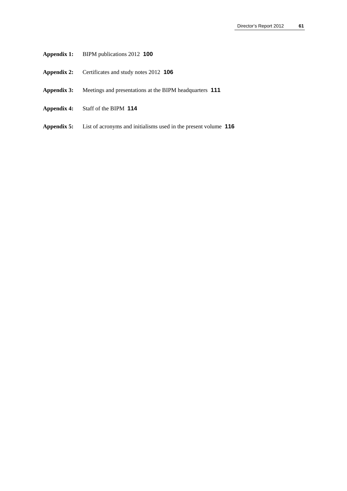- **Appendix 1:** BIPM publications 2012 **100**
- **Appendix 2:** Certificates and study notes 2012 **106**
- **Appendix 3:** Meetings and presentations at the BIPM headquarters **111**
- **Appendix 4:** Staff of the BIPM **114**
- **Appendix 5:** List of acronyms and initialisms used in the present volume **116**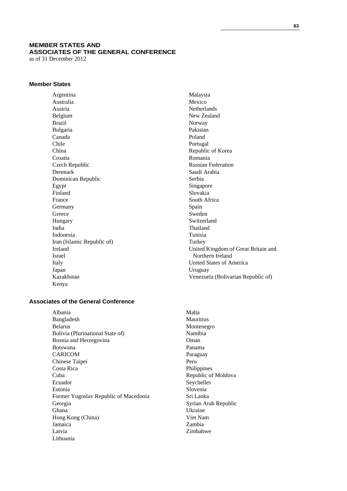# **MEMBER STATES AND ASSOCIATES OF THE GENERAL CONFERENCE**

as of 31 December 2012

## **Member States**

Argentina Australia Austria Belgium Brazil Bulgaria Canada Chile China Croatia Czech Republic Denmark Dominican Republic Egypt Finland France Germany Greece Hungary India Indonesia Iran (Islamic Republic of) Ireland Israel Italy Japan Kazakhstan Kenya

### **Associates of the General Conference**

Albania Bangladesh Belarus Bolivia (Plurinational State of) Bosnia and Herzegovina Botswana CARICOM Chinese Taipei Costa Rica Cuba Ecuador Estonia Former Yugoslav Republic of Macedonia Georgia Ghana Hong Kong (China) Jamaica Latvia Lithuania

Malaysia Mexico Netherlands New Zealand Norway Pakistan Poland Portugal Republic of Korea Romania Russian Federation Saudi Arabia Serbia Singapore Slovakia South Africa Spain Sweden Switzerland Thailand Tunisia Turkey United Kingdom of Great Britain and Northern Ireland United States of America Uruguay Venezuela (Bolivarian Republic of)

Malta Mauritius Montenegro Namibia Oman Panama Paraguay Peru Philippines Republic of Moldova Seychelles Slovenia Sri Lanka Syrian Arab Republic Ukraine Viet Nam Zambia Zimbabwe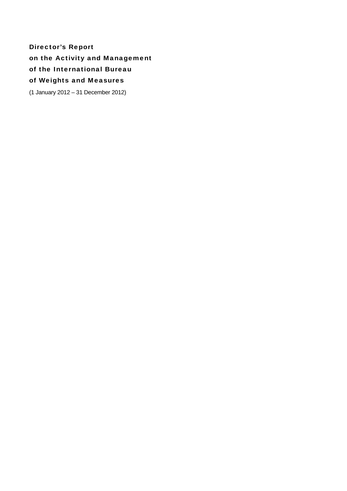Director's Report on the Activity and Management of the International Bureau of Weights and Measures

(1 January 2012 – 31 December 2012)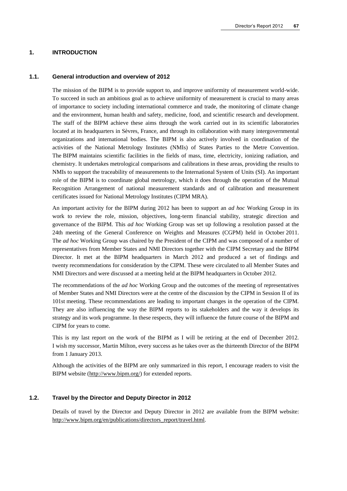#### **1. INTRODUCTION**

#### **1.1. General introduction and overview of 2012**

The mission of the BIPM is to provide support to, and improve uniformity of measurement world-wide. To succeed in such an ambitious goal as to achieve uniformity of measurement is crucial to many areas of importance to society including international commerce and trade, the monitoring of climate change and the environment, human health and safety, medicine, food, and scientific research and development. The staff of the BIPM achieve these aims through the work carried out in its scientific laboratories located at its headquarters in Sèvres, France, and through its collaboration with many intergovernmental organizations and international bodies. The BIPM is also actively involved in coordination of the activities of the National Metrology Institutes (NMIs) of States Parties to the Metre Convention. The BIPM maintains scientific facilities in the fields of mass, time, electricity, ionizing radiation, and chemistry. It undertakes metrological comparisons and calibrations in these areas, providing the results to NMIs to support the traceability of measurements to the International System of Units (SI). An important role of the BIPM is to coordinate global metrology, which it does through the operation of the Mutual Recognition Arrangement of national measurement standards and of calibration and measurement certificates issued for National Metrology Institutes (CIPM MRA).

An important activity for the BIPM during 2012 has been to support an *ad hoc* Working Group in its work to review the role, mission, objectives, long-term financial stability, strategic direction and governance of the BIPM. This *ad hoc* Working Group was set up following a resolution passed at the 24th meeting of the General Conference on Weights and Measures (CGPM) held in October 2011. The *ad hoc* Working Group was chaired by the President of the CIPM and was composed of a number of representatives from Member States and NMI Directors together with the CIPM Secretary and the BIPM Director. It met at the BIPM headquarters in March 2012 and produced a set of findings and twenty recommendations for consideration by the CIPM. These were circulated to all Member States and NMI Directors and were discussed at a meeting held at the BIPM headquarters in October 2012.

The recommendations of the *ad hoc* Working Group and the outcomes of the meeting of representatives of Member States and NMI Directors were at the centre of the discussion by the CIPM in Session II of its 101st meeting. These recommendations are leading to important changes in the operation of the CIPM. They are also influencing the way the BIPM reports to its stakeholders and the way it develops its strategy and its work programme. In these respects, they will influence the future course of the BIPM and CIPM for years to come.

This is my last report on the work of the BIPM as I will be retiring at the end of December 2012. I wish my successor, Martin Milton, every success as he takes over as the thirteenth Director of the BIPM from 1 January 2013.

Although the activities of the BIPM are only summarized in this report, I encourage readers to visit the BIPM website [\(http://www.bipm.org/\)](http://www.bipm.org/) for extended reports.

#### **1.2. Travel by the Director and Deputy Director in 2012**

Details of travel by the Director and Deputy Director in 2012 are available from the BIPM website: [http://www.bipm.org/en/publications/directors\\_report/travel.html.](http://www.bipm.org/en/publications/directors_report/travel.html)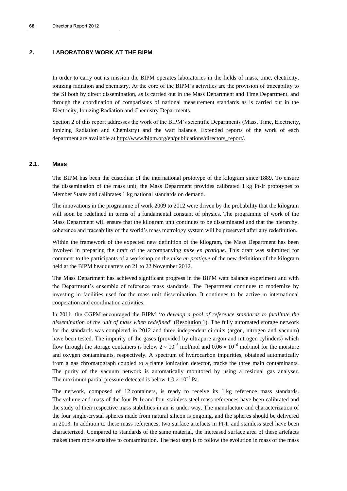## **2. LABORATORY WORK AT THE BIPM**

In order to carry out its mission the BIPM operates laboratories in the fields of mass, time, electricity, ionizing radiation and chemistry. At the core of the BIPM's activities are the provision of traceability to the SI both by direct dissemination, as is carried out in the Mass Department and Time Department, and through the coordination of comparisons of national measurement standards as is carried out in the Electricity, Ionizing Radiation and Chemistry Departments.

Section 2 of this report addresses the work of the BIPM's scientific Departments (Mass, Time, Electricity, Ionizing Radiation and Chemistry) and the watt balance. Extended reports of the work of each department are available at [http://www/bipm.org/en/publications/directors\\_report/.](http://www/bipm.org/en/publications/directors_report/)

## **2.1. Mass**

The BIPM has been the custodian of the international prototype of the kilogram since 1889. To ensure the dissemination of the mass unit, the Mass Department provides calibrated 1 kg Pt-Ir prototypes to Member States and calibrates 1 kg national standards on demand.

The innovations in the programme of work 2009 to 2012 were driven by the probability that the kilogram will soon be redefined in terms of a fundamental constant of physics. The programme of work of the Mass Department will ensure that the kilogram unit continues to be disseminated and that the hierarchy, coherence and traceability of the world's mass metrology system will be preserved after any redefinition.

Within the framework of the expected new definition of the kilogram, the Mass Department has been involved in preparing the draft of the accompanying *mise en pratique*. This draft was submitted for comment to the participants of a workshop on the *mise en pratique* of the new definition of the kilogram held at the BIPM headquarters on 21 to 22 November 2012.

The Mass Department has achieved significant progress in the BIPM watt balance experiment and with the Department's ensemble of reference mass standards. The Department continues to modernize by investing in facilities used for the mass unit dissemination. It continues to be active in international cooperation and coordination activities.

In 2011, the CGPM encouraged the BIPM '*to develop a pool of reference standards to facilitate the dissemination of the unit of mass when redefined*' [\(Resolution](http://www.bipm.org/en/CGPM/db/24/1/) 1). The fully automated storage network for the standards was completed in 2012 and three independent circuits (argon, nitrogen and vacuum) have been tested. The impurity of the gases (provided by ultrapure argon and nitrogen cylinders) which flow through the storage containers is below  $2 \times 10^{-6}$  mol/mol and  $0.06 \times 10^{-6}$  mol/mol for the moisture and oxygen contaminants, respectively. A spectrum of hydrocarbon impurities, obtained automatically from a gas chromatograph coupled to a flame ionization detector, tracks the three main contaminants. The purity of the vacuum network is automatically monitored by using a residual gas analyser. The maximum partial pressure detected is below  $1.0 \times 10^{-4}$  Pa.

The network, composed of 12 containers, is ready to receive its 1 kg reference mass standards. The volume and mass of the four Pt-Ir and four stainless steel mass references have been calibrated and the study of their respective mass stabilities in air is under way. The manufacture and characterization of the four single-crystal spheres made from natural silicon is ongoing, and the spheres should be delivered in 2013. In addition to these mass references, two surface artefacts in Pt-Ir and stainless steel have been characterized. Compared to standards of the same material, the increased surface area of these artefacts makes them more sensitive to contamination. The next step is to follow the evolution in mass of the mass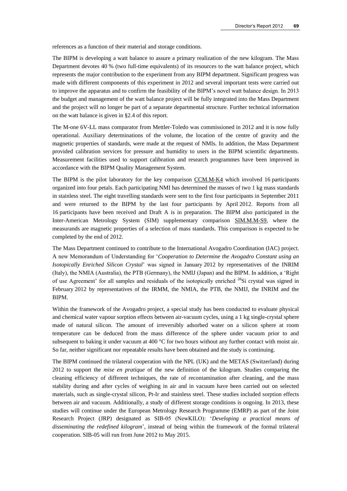references as a function of their material and storage conditions.

The BIPM is developing a watt balance to assure a primary realization of the new kilogram. The Mass Department devotes 40 % (two full-time equivalents) of its resources to the watt balance project, which represents the major contribution to the experiment from any BIPM department. Significant progress was made with different components of this experiment in 2012 and several important tests were carried out to improve the apparatus and to confirm the feasibility of the BIPM's novel watt balance design. In 2013 the budget and management of the watt balance project will be fully integrated into the Mass Department and the project will no longer be part of a separate departmental structure. Further technical information on the watt balance is given in §2.4 of this report.

The M-one 6V-LL mass comparator from Mettler-Toledo was commissioned in 2012 and it is now fully operational. Auxiliary determinations of the volume, the location of the centre of gravity and the magnetic properties of standards, were made at the request of NMIs. In addition, the Mass Department provided calibration services for pressure and humidity to users in the BIPM scientific departments. Measurement facilities used to support calibration and research programmes have been improved in accordance with the BIPM Quality Management System.

The BIPM is the pilot laboratory for the key comparison [CCM.M-K4](http://kcdb.bipm.org/appendixB/KCDB_ApB_info.asp?cmp_idy=403&cmp_cod=CCM.M-K4&prov=exalead) which involved 16 participants organized into four petals. Each participating NMI has determined the masses of two 1 kg mass standards in stainless steel. The eight travelling standards were sent to the first four participants in September 2011 and were returned to the BIPM by the last four participants by April 2012. Reports from all 16 participants have been received and Draft A is in preparation. The BIPM also participated in the Inter-American Metrology System (SIM) supplementary comparison [SIM.M.M-S9,](http://kcdb.bipm.org/appendixB/KCDB_ApB_info.asp?cmp_idy=1142&cmp_cod=SIM.M.M-S9&prov=exalead) where the measurands are magnetic properties of a selection of mass standards. This comparison is expected to be completed by the end of 2012.

The Mass Department continued to contribute to the International Avogadro Coordination (IAC) project. A new Memorandum of Understanding for '*Cooperation to Determine the Avogadro Constant using an Isotopically Enriched Silicon Crystal*' was signed in January 2012 by representatives of the INRIM (Italy), the NMIA (Australia), the PTB (Germany), the NMIJ (Japan) and the BIPM. In addition, a 'Right of use Agreement' for all samples and residuals of the isotopically enriched <sup>28</sup>Si crystal was signed in February 2012 by representatives of the IRMM, the NMIA, the PTB, the NMIJ, the INRIM and the BIPM.

Within the framework of the Avogadro project, a special study has been conducted to evaluate physical and chemical water vapour sorption effects between air-vacuum cycles, using a 1 kg single-crystal sphere made of natural silicon. The amount of irreversibly adsorbed water on a silicon sphere at room temperature can be deduced from the mass difference of the sphere under vacuum prior to and subsequent to baking it under vacuum at 400 °C for two hours without any further contact with moist air. So far, neither significant nor repeatable results have been obtained and the study is continuing.

The BIPM continued the trilateral cooperation with the NPL (UK) and the METAS (Switzerland) during 2012 to support the *mise en pratique* of the new definition of the kilogram. Studies comparing the cleaning efficiency of different techniques, the rate of recontamination after cleaning, and the mass stability during and after cycles of weighing in air and in vacuum have been carried out on selected materials, such as single-crystal silicon, Pt-Ir and stainless steel. These studies included sorption effects between air and vacuum. Additionally, a study of different storage conditions is ongoing. In 2013, these studies will continue under the European Metrology Research Programme (EMRP) as part of the Joint Research Project (JRP) designated as SIB-05 (NewKILO): '*Developing a practical means of disseminating the redefined kilogram*', instead of being within the framework of the formal trilateral cooperation. SIB-05 will run from June 2012 to May 2015.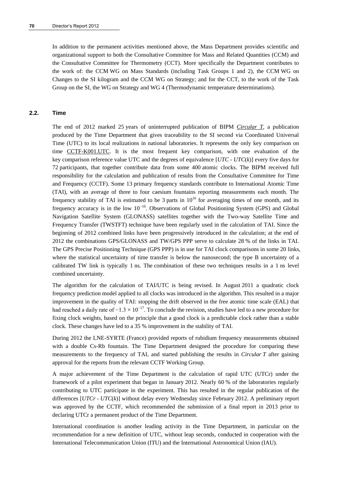In addition to the permanent activities mentioned above, the Mass Department provides scientific and organizational support to both the Consultative Committee for Mass and Related Quantities (CCM) and the Consultative Committee for Thermometry (CCT). More specifically the Department contributes to the work of: the CCM WG on Mass Standards (including Task Groups 1 and 2), the CCM WG on Changes to the SI kilogram and the CCM WG on Strategy; and for the CCT, to the work of the Task Group on the SI, the WG on Strategy and WG 4 (Thermodynamic temperature determinations).

#### **2.2. Time**

The end of 2012 marked 25 years of uninterrupted publication of BIPM *[Circular T](ftp://62.161.69.5/pub/tai/publication/cirt/)*, a publication produced by the Time Department that gives traceability to the SI second via Coordinated Universal Time (UTC) to its local realizations in national laboratories. It represents the only key comparison on time [CCTF-K001.UTC.](http://kcdb.bipm.org/appendixB/KCDB_ApB_info.asp?cmp_idy=617&cmp_cod=CCTF-K001.UTC&prov=exalead) It is the most frequent key comparison, with one evaluation of the key comparison reference value UTC and the degrees of equivalence [*UTC* - *UTC*(*k*)] every five days for 72 participants, that together contribute data from some 400 atomic clocks. The BIPM received full responsibility for the calculation and publication of results from the Consultative Committee for Time and Frequency (CCTF). Some 13 primary frequency standards contribute to International Atomic Time (TAI), with an average of three to four caesium fountains reporting measurements each month. The frequency stability of TAI is estimated to be 3 parts in  $10^{16}$  for averaging times of one month, and its frequency accuracy is in the low 10−16. Observations of Global Positioning System (GPS) and Global Navigation Satellite System (GLONASS) satellites together with the Two-way Satellite Time and Frequency Transfer (TWSTFT) technique have been regularly used in the calculation of TAI. Since the beginning of 2012 combined links have been progressively introduced in the calculation; at the end of 2012 the combinations GPS/GLONASS and TW/GPS PPP serve to calculate 28 % of the links in TAI. The GPS Precise Positioning Technique (GPS PPP) is in use for TAI clock comparisons in some 20 links, where the statistical uncertainty of time transfer is below the nanosecond; the type B uncertainty of a calibrated TW link is typically 1 ns. The combination of these two techniques results in a 1 ns level combined uncertainty.

The algorithm for the calculation of TAI/UTC is being revised. In August 2011 a quadratic clock frequency prediction model applied to all clocks was introduced in the algorithm. This resulted in a major improvement in the quality of TAI: stopping the drift observed in the free atomic time scale (EAL) that had reached a daily rate of  $-1.3 \times 10^{-17}$ . To conclude the revision, studies have led to a new procedure for fixing clock weights, based on the principle that a good clock is a predictable clock rather than a stable clock. These changes have led to a 35 % improvement in the stability of TAI.

During 2012 the LNE-SYRTE (France) provided reports of rubidium frequency measurements obtained with a double Cs-Rb fountain. The Time Department designed the procedure for comparing these measurements to the frequency of TAI, and started publishing the results in *Circular T* after gaining approval for the reports from the relevant CCTF Working Group.

A major achievement of the Time Department is the calculation of rapid UTC (UTCr) under the framework of a pilot experiment that began in January 2012. Nearly 60 % of the laboratories regularly contributing to UTC participate in the experiment. This has resulted in the regular publication of the differences [*UTCr* - *UTC*(*k*)] without delay every Wednesday since February 2012. A preliminary report was approved by the CCTF, which recommended the submission of a final report in 2013 prior to declaring UTCr a permanent product of the Time Department.

International coordination is another leading activity in the Time Department, in particular on the recommendation for a new definition of UTC, without leap seconds, conducted in cooperation with the International Telecommunication Union (ITU) and the International Astronomical Union (IAU).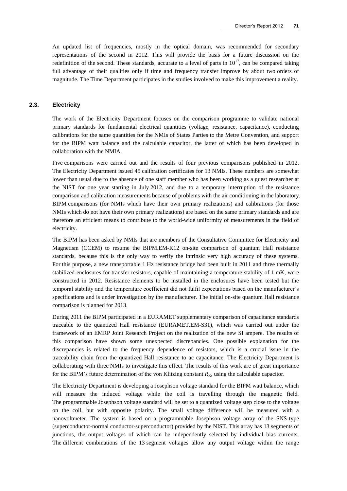An updated list of frequencies, mostly in the optical domain, was recommended for secondary representations of the second in 2012. This will provide the basis for a future discussion on the redefinition of the second. These standards, accurate to a level of parts in  $10^{17}$ , can be compared taking full advantage of their qualities only if time and frequency transfer improve by about two orders of magnitude. The Time Department participates in the studies involved to make this improvement a reality.

## **2.3. Electricity**

The work of the Electricity Department focuses on the comparison programme to validate national primary standards for fundamental electrical quantities (voltage, resistance, capacitance), conducting calibrations for the same quantities for the NMIs of States Parties to the Metre Convention, and support for the BIPM watt balance and the calculable capacitor, the latter of which has been developed in collaboration with the NMIA.

Five comparisons were carried out and the results of four previous comparisons published in 2012. The Electricity Department issued 45 calibration certificates for 13 NMIs. These numbers are somewhat lower than usual due to the absence of one staff member who has been working as a guest researcher at the NIST for one year starting in July 2012, and due to a temporary interruption of the resistance comparison and calibration measurements because of problems with the air conditioning in the laboratory. BIPM comparisons (for NMIs which have their own primary realizations) and calibrations (for those NMIs which do not have their own primary realizations) are based on the same primary standards and are therefore an efficient means to contribute to the world-wide uniformity of measurements in the field of electricity.

The BIPM has been asked by NMIs that are members of the Consultative Committee for Electricity and Magnetism (CCEM) to resume the **[BIPM.EM-K12](http://kcdb.bipm.org/appendixB/KCDB_ApB_info.asp?cmp_idy=60&cmp_cod=BIPM.EM-K12&prov=exalead)** on-site comparison of quantum Hall resistance standards, because this is the only way to verify the intrinsic very high accuracy of these systems. For this purpose, a new transportable 1 Hz resistance bridge had been built in 2011 and three thermally stabilized enclosures for transfer resistors, capable of maintaining a temperature stability of 1 mK, were constructed in 2012. Resistance elements to be installed in the enclosures have been tested but the temporal stability and the temperature coefficient did not fulfil expectations based on the manufacturer's specifications and is under investigation by the manufacturer. The initial on-site quantum Hall resistance comparison is planned for 2013.

During 2011 the BIPM participated in a EURAMET supplementary comparison of capacitance standards traceable to the quantized Hall resistance [\(EURAMET.EM-S31\)](http://kcdb.bipm.org/appendixB/KCDB_ApB_info.asp?cmp_idy=939&cmp_cod=EURAMET.EM-S31&prov=exalead), which was carried out under the framework of an EMRP Joint Research Project on the realization of the new SI ampere. The results of this comparison have shown some unexpected discrepancies. One possible explanation for the discrepancies is related to the frequency dependence of resistors, which is a crucial issue in the traceability chain from the quantized Hall resistance to ac capacitance. The Electricity Department is collaborating with three NMIs to investigate this effect. The results of this work are of great importance for the BIPM's future determination of the von Klitzing constant  $R<sub>K</sub>$ , using the calculable capacitor.

The Electricity Department is developing a Josephson voltage standard for the BIPM watt balance, which will measure the induced voltage while the coil is travelling through the magnetic field. The programmable Josephson voltage standard will be set to a quantized voltage step close to the voltage on the coil, but with opposite polarity. The small voltage difference will be measured with a nanovoltmeter. The system is based on a programmable Josephson voltage array of the SNS-type (superconductor-normal conductor-superconductor) provided by the NIST. This array has 13 segments of junctions, the output voltages of which can be independently selected by individual bias currents. The different combinations of the 13 segment voltages allow any output voltage within the range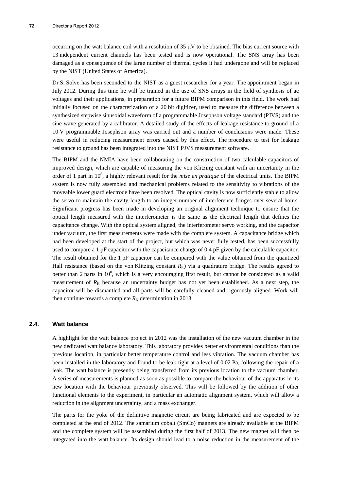occurring on the watt balance coil with a resolution of  $35 \mu V$  to be obtained. The bias current source with 13 independent current channels has been tested and is now operational. The SNS array has been damaged as a consequence of the large number of thermal cycles it had undergone and will be replaced by the NIST (United States of America).

Dr S. Solve has been seconded to the NIST as a guest researcher for a year. The appointment began in July 2012. During this time he will be trained in the use of SNS arrays in the field of synthesis of ac voltages and their applications, in preparation for a future BIPM comparison in this field. The work had initially focused on the characterization of a 20 bit digitizer, used to measure the difference between a synthesized stepwise sinusoidal waveform of a programmable Josephson voltage standard (PJVS) and the sine-wave generated by a calibrator. A detailed study of the effects of leakage resistance to ground of a 10 V programmable Josephson array was carried out and a number of conclusions were made. These were useful in reducing measurement errors caused by this effect. The procedure to test for leakage resistance to ground has been integrated into the NIST PJVS measurement software.

The BIPM and the NMIA have been collaborating on the construction of two calculable capacitors of improved design, which are capable of measuring the von Klitzing constant with an uncertainty in the order of 1 part in 10<sup>8</sup>, a highly relevant result for the *mise en pratique* of the electrical units. The BIPM system is now fully assembled and mechanical problems related to the sensitivity to vibrations of the moveable lower guard electrode have been resolved. The optical cavity is now sufficiently stable to allow the servo to maintain the cavity length to an integer number of interference fringes over several hours. Significant progress has been made in developing an original alignment technique to ensure that the optical length measured with the interferometer is the same as the electrical length that defines the capacitance change. With the optical system aligned, the interferometer servo working, and the capacitor under vacuum, the first measurements were made with the complete system. A capacitance bridge which had been developed at the start of the project, but which was never fully tested, has been successfully used to compare a 1 pF capacitor with the capacitance change of 0.4 pF given by the calculable capacitor. The result obtained for the 1 pF capacitor can be compared with the value obtained from the quantized Hall resistance (based on the von Klitzing constant  $R_K$ ) via a quadrature bridge. The results agreed to better than 2 parts in  $10^8$ , which is a very encouraging first result, but cannot be considered as a valid measurement of  $R_K$  because an uncertainty budget has not yet been established. As a next step, the capacitor will be dismantled and all parts will be carefully cleaned and rigorously aligned. Work will then continue towards a complete  $R_K$  determination in 2013.

#### **2.4. Watt balance**

A highlight for the watt balance project in 2012 was the installation of the new vacuum chamber in the new dedicated watt balance laboratory. This laboratory provides better environmental conditions than the previous location, in particular better temperature control and less vibration. The vacuum chamber has been installed in the laboratory and found to be leak-tight at a level of 0.02 Pa, following the repair of a leak. The watt balance is presently being transferred from its previous location to the vacuum chamber. A series of measurements is planned as soon as possible to compare the behaviour of the apparatus in its new location with the behaviour previously observed. This will be followed by the addition of other functional elements to the experiment, in particular an automatic alignment system, which will allow a reduction in the alignment uncertainty, and a mass exchanger.

The parts for the yoke of the definitive magnetic circuit are being fabricated and are expected to be completed at the end of 2012. The samarium cobalt (SmCo) magnets are already available at the BIPM and the complete system will be assembled during the first half of 2013. The new magnet will then be integrated into the watt balance. Its design should lead to a noise reduction in the measurement of the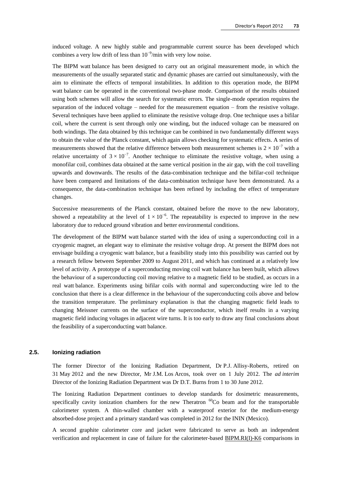induced voltage. A new highly stable and programmable current source has been developed which combines a very low drift of less than  $10^{-9}$ /min with very low noise.

The BIPM watt balance has been designed to carry out an original measurement mode, in which the measurements of the usually separated static and dynamic phases are carried out simultaneously, with the aim to eliminate the effects of temporal instabilities. In addition to this operation mode, the BIPM watt balance can be operated in the conventional two-phase mode. Comparison of the results obtained using both schemes will allow the search for systematic errors. The single-mode operation requires the separation of the induced voltage – needed for the measurement equation – from the resistive voltage. Several techniques have been applied to eliminate the resistive voltage drop. One technique uses a bifilar coil, where the current is sent through only one winding, but the induced voltage can be measured on both windings. The data obtained by this technique can be combined in two fundamentally different ways to obtain the value of the Planck constant, which again allows checking for systematic effects. A series of measurements showed that the relative difference between both measurement schemes is  $2 \times 10^{-7}$  with a relative uncertainty of  $3 \times 10^{-7}$ . Another technique to eliminate the resistive voltage, when using a monofilar coil, combines data obtained at the same vertical position in the air gap, with the coil travelling upwards and downwards. The results of the data-combination technique and the bifilar-coil technique have been compared and limitations of the data-combination technique have been demonstrated. As a consequence, the data-combination technique has been refined by including the effect of temperature changes.

Successive measurements of the Planck constant, obtained before the move to the new laboratory, showed a repeatability at the level of  $1 \times 10^{-6}$ . The repeatability is expected to improve in the new laboratory due to reduced ground vibration and better environmental conditions.

The development of the BIPM watt balance started with the idea of using a superconducting coil in a cryogenic magnet, an elegant way to eliminate the resistive voltage drop. At present the BIPM does not envisage building a cryogenic watt balance, but a feasibility study into this possibility was carried out by a research fellow between September 2009 to August 2011, and which has continued at a relatively low level of activity. A prototype of a superconducting moving coil watt balance has been built, which allows the behaviour of a superconducting coil moving relative to a magnetic field to be studied, as occurs in a real watt balance. Experiments using bifilar coils with normal and superconducting wire led to the conclusion that there is a clear difference in the behaviour of the superconducting coils above and below the transition temperature. The preliminary explanation is that the changing magnetic field leads to changing Meissner currents on the surface of the superconductor, which itself results in a varying magnetic field inducing voltages in adjacent wire turns. It is too early to draw any final conclusions about the feasibility of a superconducting watt balance.

#### **2.5. Ionizing radiation**

The former Director of the Ionizing Radiation Department, Dr P.J. Allisy-Roberts, retired on 31 May 2012 and the new Director, Mr J.M. Los Arcos, took over on 1 July 2012. The *ad interim* Director of the Ionizing Radiation Department was Dr D.T. Burns from 1 to 30 June 2012.

The Ionizing Radiation Department continues to develop standards for dosimetric measurements, specifically cavity ionization chambers for the new Theratron  ${}^{60}Co$  beam and for the transportable calorimeter system. A thin-walled chamber with a waterproof exterior for the medium-energy absorbed-dose project and a primary standard was completed in 2012 for the ININ (Mexico).

A second graphite calorimeter core and jacket were fabricated to serve as both an independent verification and replacement in case of failure for the calorimeter-based [BIPM.RI\(I\)-K6](http://kcdb.bipm.org/appendixB/KCDB_ApB_info.asp?cmp_idy=958&cmp_cod=BIPM.RI%28I%29-K6&prov=exalead) comparisons in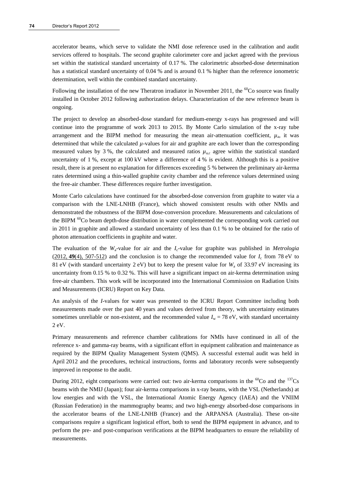accelerator beams, which serve to validate the NMI dose reference used in the calibration and audit services offered to hospitals. The second graphite calorimeter core and jacket agreed with the previous set within the statistical standard uncertainty of 0.17 %. The calorimetric absorbed-dose determination has a statistical standard uncertainty of 0.04 % and is around 0.1 % higher than the reference ionometric determination, well within the combined standard uncertainty.

Following the installation of the new Theratron irradiator in November 2011, the  ${}^{60}$ Co source was finally installed in October 2012 following authorization delays. Characterization of the new reference beam is ongoing.

The project to develop an absorbed-dose standard for medium-energy x-rays has progressed and will continue into the programme of work 2013 to 2015. By Monte Carlo simulation of the x-ray tube arrangement and the BIPM method for measuring the mean air-attenuation coefficient,  $\mu_a$ , it was determined that while the calculated  $\mu$ -values for air and graphite are each lower than the corresponding measured values by 3 %, the calculated and measured ratios  $\mu_{a,c}$  agree within the statistical standard uncertainty of 1 %, except at 100 kV where a difference of 4 % is evident. Although this is a positive result, there is at present no explanation for differences exceeding 5 % between the preliminary air-kerma rates determined using a thin-walled graphite cavity chamber and the reference values determined using the free-air chamber. These differences require further investigation.

Monte Carlo calculations have continued for the absorbed-dose conversion from graphite to water via a comparison with the LNE-LNHB (France), which showed consistent results with other NMIs and demonstrated the robustness of the BIPM dose-conversion procedure. Measurements and calculations of the BIPM <sup>60</sup>Co beam depth-dose distribution in water complemented the corresponding work carried out in 2011 in graphite and allowed a standard uncertainty of less than 0.1 % to be obtained for the ratio of photon attenuation coefficients in graphite and water.

The evaluation of the  $W_a$ -value for air and the  $I_c$ -value for graphite was published in *Metrologia*  $(2012, 49(4), 507-512)$  $(2012, 49(4), 507-512)$  and the conclusion is to change the recommended value for  $I_c$  from 78 eV to 81 eV (with standard uncertainty 2 eV) but to keep the present value for  $W_a$  of 33.97 eV increasing its uncertainty from 0.15 % to 0.32 %. This will have a significant impact on air-kerma determination using free-air chambers. This work will be incorporated into the International Commission on Radiation Units and Measurements (ICRU) Report on Key Data.

An analysis of the *I*-values for water was presented to the ICRU Report Committee including both measurements made over the past 40 years and values derived from theory, with uncertainty estimates sometimes unreliable or non-existent, and the recommended value  $I_w = 78$  eV, with standard uncertainty 2 eV.

Primary measurements and reference chamber calibrations for NMIs have continued in all of the reference x- and gamma-ray beams, with a significant effort in equipment calibration and maintenance as required by the BIPM Quality Management System (QMS). A successful external audit was held in April 2012 and the procedures, technical instructions, forms and laboratory records were subsequently improved in response to the audit.

During 2012, eight comparisons were carried out: two air-kerma comparisons in the  ${}^{60}Co$  and the  ${}^{137}Cs$ beams with the NMIJ (Japan); four air-kerma comparisons in x-ray beams, with the VSL (Netherlands) at low energies and with the VSL, the International Atomic Energy Agency (IAEA) and the VNIIM (Russian Federation) in the mammography beams; and two high-energy absorbed-dose comparisons in the accelerator beams of the LNE-LNHB (France) and the ARPANSA (Australia). These on-site comparisons require a significant logistical effort, both to send the BIPM equipment in advance, and to perform the pre- and post-comparison verifications at the BIPM headquarters to ensure the reliability of measurements.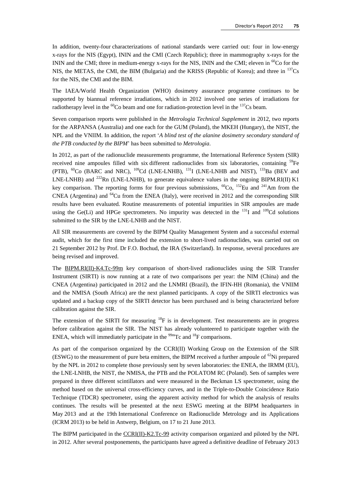In addition, twenty-four characterizations of national standards were carried out: four in low-energy x-rays for the NIS (Egypt), ININ and the CMI (Czech Republic); three in mammography x-rays for the ININ and the CMI; three in medium-energy x-rays for the NIS, ININ and the CMI; eleven in <sup>60</sup>Co for the NIS, the METAS, the CMI, the BIM (Bulgaria) and the KRISS (Republic of Korea); and three in <sup>137</sup>Cs for the NIS, the CMI and the BIM.

The IAEA/World Health Organization (WHO) dosimetry assurance programme continues to be supported by biannual reference irradiations, which in 2012 involved one series of irradiations for radiotherapy level in the  ${}^{60}Co$  beam and one for radiation-protection level in the  ${}^{137}Cs$  beam.

Seven comparison reports were published in the *Metrologia Technical Supplement* in 2012, two reports for the ARPANSA (Australia) and one each for the GUM (Poland), the MKEH (Hungary), the NIST, the NPL and the VNIIM. In addition, the report '*A blind test of the alanine dosimetry secondary standard of the PTB conducted by the BIPM*' has been submitted to *Metrologia*.

In 2012, as part of the radionuclide measurements programme, the International Reference System (SIR) received nine ampoules filled with six different radionuclides from six laboratories, containing <sup>59</sup>Fe (PTB),  $^{60}Co$  (BARC and NRC),  $^{109}Cd$  (LNE-LNHB),  $^{131}I$  (LNE-LNHB and NIST),  $^{133}Ba$  (BEV and LNE-LNHB) and <sup>222</sup>Rn (LNE-LNHB), to generate equivalence values in the ongoing BIPM.RI(II) K1 key comparison. The reporting forms for four previous submissions,  ${}^{60}Co$ ,  ${}^{152}Eu$  and  ${}^{241}Am$  from the CNEA (Argentina) and  $^{64}$ Cu from the ENEA (Italy), were received in 2012 and the corresponding SIR results have been evaluated. Routine measurements of potential impurities in SIR ampoules are made using the Ge(Li) and HPGe spectrometers. No impurity was detected in the  $^{131}I$  and  $^{109}Cd$  solutions submitted to the SIR by the LNE-LNHB and the NIST.

All SIR measurements are covered by the BIPM Quality Management System and a successful external audit, which for the first time included the extension to short-lived radionuclides, was carried out on 21 September 2012 by Prof. Dr F.O. Bochud, the IRA (Switzerland). In response, several procedures are being revised and improved.

The [BIPM.RI\(II\)-K4.Tc-99m](http://kcdb.bipm.org/appendixB/KCDB_ApB_info.asp?cmp_idy=869&cmp_cod=BIPM.RI(II)-K4.Tc-99m&prov=exalead) key comparison of short-lived radionuclides using the SIR Transfer Instrument (SIRTI) is now running at a rate of two comparisons per year: the NIM (China) and the CNEA (Argentina) participated in 2012 and the LNMRI (Brazil), the IFIN-HH (Romania), the VNIIM and the NMISA (South Africa) are the next planned participants. A copy of the SIRTI electronics was updated and a backup copy of the SIRTI detector has been purchased and is being characterized before calibration against the SIR.

The extension of the SIRTI for measuring <sup>18</sup>F is in development. Test measurements are in progress before calibration against the SIR. The NIST has already volunteered to participate together with the ENEA, which will immediately participate in the  $\frac{99 \text{m}}{2}$ C and  $\frac{18}{3}$ F comparisons.

As part of the comparison organized by the CCRI(II) Working Group on the Extension of the SIR (ESWG) to the measurement of pure beta emitters, the BIPM received a further ampoule of  $^{63}$ Ni prepared by the NPL in 2012 to complete those previously sent by seven laboratories: the ENEA, the IRMM (EU), the LNE-LNHB, the NIST, the NMISA, the PTB and the POLATOM RC (Poland). Sets of samples were prepared in three different scintillators and were measured in the Beckman LS spectrometer, using the method based on the universal cross-efficiency curves, and in the Triple-to-Double Coincidence Ratio Technique (TDCR) spectrometer, using the apparent activity method for which the analysis of results continues. The results will be presented at the next ESWG meeting at the BIPM headquarters in May 2013 and at the 19th International Conference on Radionuclide Metrology and its Applications (ICRM 2013) to be held in Antwerp, Belgium, on 17 to 21 June 2013.

The BIPM participated in the [CCRI\(II\)-K2.Tc-99](http://kcdb.bipm.org/appendixB/KCDB_ApB_info.asp?cmp_idy=994&cmp_cod=CCRI(II)-K2.Pu-241&prov=exalead) activity comparison organized and piloted by the NPL in 2012. After several postponements, the participants have agreed a definitive deadline of February 2013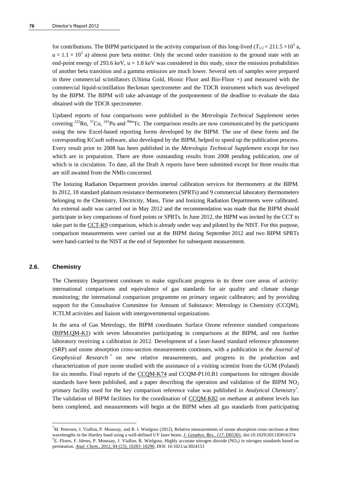for contributions. The BIPM participated in the activity comparison of this long-lived ( $T_{1/2} = 211.5 \times 10^3$  a,  $u = 1.1 \times 10^3$  a) almost pure beta emitter. Only the second order transition to the ground state with an end-point energy of 293.6 keV,  $u = 1.8$  keV was considered in this study, since the emission probabilities of another beta transition and a gamma emission are much lower. Several sets of samples were prepared in three commercial scintillators (Ultima Gold, Hionic Fluor and Bio-Fluor +) and measured with the commercial liquid-scintillation Beckman spectrometer and the TDCR instrument which was developed by the BIPM. The BIPM will take advantage of the postponement of the deadline to evaluate the data obtained with the TDCR spectrometer.

Updated reports of four comparisons were published in the *Metrologia Technical Supplement* series covering  $^{222}$ Rn,  $^{57}$ Co,  $^{241}$ Pu and  $^{99m}$ Tc. The comparison results are now communicated by the participants using the new Excel-based reporting forms developed by the BIPM. The use of these forms and the corresponding KCsoft software, also developed by the BIPM, helped to speed up the publication process. Every result prior to 2008 has been published in the *Metrologia Technical Supplement* except for two which are in preparation. There are three outstanding results from 2008 pending publication, one of which is in circulation. To date, all the Draft A reports have been submitted except for three results that are still awaited from the NMIs concerned.

The Ionizing Radiation Department provides internal calibration services for thermometry at the BIPM. In 2012, 18 standard platinum resistance thermometers (SPRTs) and 9 commercial laboratory thermometers belonging to the Chemistry, Electricity, Mass, Time and Ionizing Radiation Departments were calibrated. An external audit was carried out in May 2012 and the recommendation was made that the BIPM should participate in key comparisons of fixed points or SPRTs. In June 2012, the BIPM was invited by the CCT to take part in th[e CCT-K9](http://kcdb.bipm.org/appendixB/KCDB_ApB_info.asp?cmp_idy=1193&cmp_cod=CCT-K9&prov=exalead) comparison, which is already under way and piloted by the NIST. For this purpose, comparison measurements were carried out at the BIPM during September 2012 and two BIPM SPRTs were hand-carried to the NIST at the end of September for subsequent measurement.

#### **2.6. Chemistry**

 $\overline{a}$ 

The Chemistry Department continues to make significant progress in its three core areas of activity: international comparisons and equivalence of gas standards for air quality and climate change monitoring; the international comparison programme on primary organic calibrators; and by providing support for the Consultative Committee for Amount of Substance: Metrology in Chemistry (CCQM), JCTLM activities and liaison with intergovernmental organizations.

In the area of Gas Metrology, the BIPM coordinates Surface Ozone reference standard comparisons [\(BIPM.QM-K1\)](http://kcdb.bipm.org/appendixB/KCDB_ApB_info.asp?cmp_idy=733&cmp_cod=BIPM.QM-K1&prov=exalead) with seven laboratories participating in comparisons at the BIPM, and one further laboratory receiving a calibration in 2012. Development of a laser-based standard reference photometer (SRP) and ozone absorption cross-section measurements continues, with a publication in the *Journal of Geophysical Research* \* on new relative measurements, and progress in the production and characterization of pure ozone studied with the assistance of a visiting scientist from the GUM (Poland) for six months. Final reports of the [CCQM-K74](http://kcdb.bipm.org/appendixB/KCDB_ApB_info.asp?cmp_idy=968&cmp_cod=CCQM-K74&prov=exalead) and CCQM-P110.B1 comparisons for nitrogen dioxide standards have been published, and a paper describing the operation and validation of the BIPM NO<sub>2</sub> primary facility used for the key comparison reference value was published in *Analytical Chemistry†* . The validation of BIPM facilities for the coordination of [CCQM-K82](http://kcdb.bipm.org/appendixB/KCDB_ApB_info.asp?cmp_idy=1062&cmp_cod=CCQM-K82&prov=exalead) on methane at ambient levels has been completed, and measurements will begin at the BIPM when all gas standards from participating

<sup>\*</sup>M. Petersen, J. Viallon, P. Moussay, and R. I. Wielgosz (2012), Relative measurements of ozone absorption cross-sections at three wavelengths in the Hartley band using a well-defined UV laser beam, *[J. Geophys. Res., 117](http://dx.doi.org/doi:10.1029/2011JD016374)*, D05301, doi:10.1029/2011JD016374 <sup>†</sup>E. Flores, F. Idrees, P. Moussay, J. Viallon, R. Wielgosz. Highly accurate nitrogen dioxide (NO<sub>2</sub>) in nitrogen standards based on permeation. *Anal. Chem*[., 2012, 84 \(23\), 10283–10290,](http://dx.doi.org/10.1021/ac3024153) DOI: 10.1021/ac3024153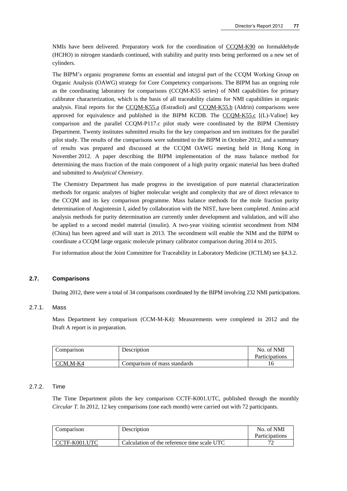NMIs have been delivered. Preparatory work for the coordination of [CCQM-K90](http://kcdb.bipm.org/appendixB/KCDB_ApB_info.asp?cmp_idy=1095&cmp_cod=CCQM-K90&prov=exalead) on formaldehyde (HCHO) in nitrogen standards continued, with stability and purity tests being performed on a new set of cylinders.

The BIPM's organic programme forms an essential and integral part of the CCQM Working Group on Organic Analysis (OAWG) strategy for Core Competency comparisons. The BIPM has an ongoing role as the coordinating laboratory for comparisons (CCQM-K55 series) of NMI capabilities for primary calibrator characterization, which is the basis of all traceability claims for NMI capabilities in organic analysis. Final reports for the [CCQM-K55.a](http://kcdb.bipm.org/appendixB/KCDB_ApB_info.asp?cmp_idy=823&cmp_cod=CCQM-K55.a&prov=exalead) (Estradiol) and [CCQM-K55.b](http://kcdb.bipm.org/appendixB/KCDB_ApB_info.asp?cmp_idy=1071&cmp_cod=CCQM-K55.b&prov=exalead) (Aldrin) comparisons were approved for equivalence and published in the BIPM KCDB. The [CCQM-K55.c](http://kcdb.bipm.org/appendixB/KCDB_ApB_info.asp?cmp_idy=1072&cmp_cod=CCQM-K55.c&prov=exalead) [(L)-Valine] key comparison and the parallel CCQM-P117.c pilot study were coordinated by the BIPM Chemistry Department. Twenty institutes submitted results for the key comparison and ten institutes for the parallel pilot study. The results of the comparisons were submitted to the BIPM in October 2012, and a summary of results was prepared and discussed at the CCQM OAWG meeting held in Hong Kong in November 2012. A paper describing the BIPM implementation of the mass balance method for determining the mass fraction of the main component of a high purity organic material has been drafted and submitted to *Analytical Chemistry*.

The Chemistry Department has made progress in the investigation of pure material characterization methods for organic analytes of higher molecular weight and complexity that are of direct relevance to the CCQM and its key comparison programme. Mass balance methods for the mole fraction purity determination of Angiotensin I, aided by collaboration with the NIST, have been completed. Amino acid analysis methods for purity determination are currently under development and validation, and will also be applied to a second model material (insulin). A two-year visiting scientist secondment from NIM (China) has been agreed and will start in 2013. The secondment will enable the NIM and the BIPM to coordinate a CCQM large organic molecule primary calibrator comparison during 2014 to 2015.

For information about the Joint Committee for Traceability in Laboratory Medicine (JCTLM) see §4.3.2.

## **2.7. Comparisons**

During 2012, there were a total of 34 comparisons coordinated by the BIPM involving 232 NMI participations.

#### 2.7.1. Mass

Mass Department key comparison (CCM-M-K4): Measurements were completed in 2012 and the Draft A report is in preparation.

| Comparison | Description                  | No. of NMI     |
|------------|------------------------------|----------------|
|            |                              | Participations |
| CCM.M-K4   | Comparison of mass standards |                |

#### 2.7.2. Time

The Time Department pilots the key comparison CCTF-K001.UTC, published through the monthly *Circular T*. In 2012, 12 key comparisons (one each month) were carried out with 72 participants.

| Comparison    | Description                                 | No. of NMI<br>Participations |
|---------------|---------------------------------------------|------------------------------|
|               |                                             |                              |
| CCTF-K001.UTC | Calculation of the reference time scale UTC |                              |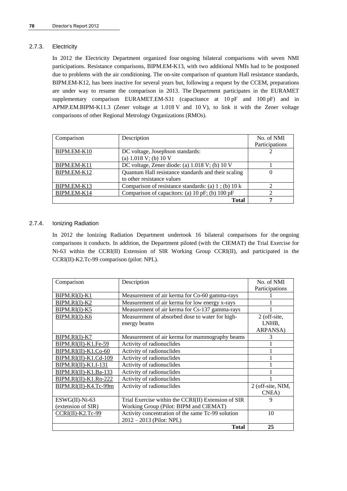## 2.7.3. Electricity

In 2012 the Electricity Department organized four ongoing bilateral comparisons with seven NMI participations. Resistance comparisons, BIPM.EM-K13, with two additional NMIs had to be postponed due to problems with the air conditioning. The on-site comparison of quantum Hall resistance standards, BIPM.EM-K12, has been inactive for several years but, following a request by the CCEM, preparations are under way to resume the comparison in 2013. The Department participates in the EURAMET supplementary comparison EURAMET.EM-S31 (capacitance at 10 pF and 100 pF) and in APMP.EM.BIPM-K11.3 (Zener voltage at 1.018 V and 10 V), to link it with the Zener voltage comparisons of other Regional Metrology Organizations (RMOs).

| Comparison  | Description                                                      | No. of NMI<br>Participations |
|-------------|------------------------------------------------------------------|------------------------------|
|             |                                                                  |                              |
| BIPM.EM-K10 | DC voltage, Josephson standards:                                 |                              |
|             | (a) $1.018$ V; (b) $10$ V                                        |                              |
| BIPM.EM-K11 | DC voltage, Zener diode: (a) 1.018 V; (b) 10 V                   |                              |
| BIPM.EM-K12 | Quantum Hall resistance standards and their scaling              | 0                            |
|             | to other resistance values                                       |                              |
| BIPM.EM-K13 | Comparison of resistance standards: (a) $1$ ; (b) $10 \text{ k}$ |                              |
| BIPM.EM-K14 | Comparison of capacitors: (a) 10 pF; (b) 100 pF                  |                              |
|             | Total                                                            |                              |

## 2.7.4. Ionizing Radiation

In 2012 the Ionizing Radiation Department undertook 16 bilateral comparisons for the ongoing comparisons it conducts. In addition, the Department piloted (with the CIEMAT) the Trial Exercise for Ni-63 within the CCRI(II) Extension of SIR Working Group CCRI(II), and participated in the CCRI(II)-K2.Tc-99 comparison (pilot: NPL).

| Comparison              | Description                                         | No. of NMI        |
|-------------------------|-----------------------------------------------------|-------------------|
|                         |                                                     | Participations    |
| BIPM.RI(I)-K1           | Measurement of air kerma for Co-60 gamma-rays       |                   |
| BIPM.RI(I)-K2           | Measurement of air kerma for low energy x-rays      |                   |
| $BIPM.RI(I)-K5$         | Measurement of air kerma for Cs-137 gamma-rays      |                   |
| BIPM.RI(I)-K6           | Measurement of absorbed dose to water for high-     | 2 (off-site,      |
|                         | energy beams                                        | LNHB,             |
|                         |                                                     | ARPANSA)          |
| BIPM.RI(I)-K7           | Measurement of air kerma for mammography beams      | 3                 |
| BIPM.RI(II)-K1.Fe-59    | Activity of radionuclides                           |                   |
| $BIPM.RI(II)-K1.Co-60$  | Activity of radionuclides                           |                   |
| BIPM.RI(II)-K1.Cd-109   | Activity of radionuclides                           |                   |
| BIPM.RI(II)-K1.I-131    | Activity of radionuclides                           |                   |
| $BIPM.RI(II)-K1.Ba-133$ | Activity of radionuclides                           |                   |
| BIPM.RI(II)-K1.Rn-222   | Activity of radionuclides                           |                   |
| BIPM.RI(II)-K4.Tc-99m   | Activity of radionuclides                           | 2 (off-site, NIM, |
|                         |                                                     | CNEA)             |
| $ESWG(II)$ -Ni-63       | Trial Exercise within the CCRI(II) Extension of SIR | 9                 |
| (extension of SIR)      | Working Group (Pilot: BIPM and CIEMAT)              |                   |
| $CCRI(II)-K2.Tc-99$     | Activity concentration of the same Tc-99 solution   | 10                |
|                         | 2012 - 2013 (Pilot: NPL)                            |                   |
|                         | <b>Total</b>                                        | 25                |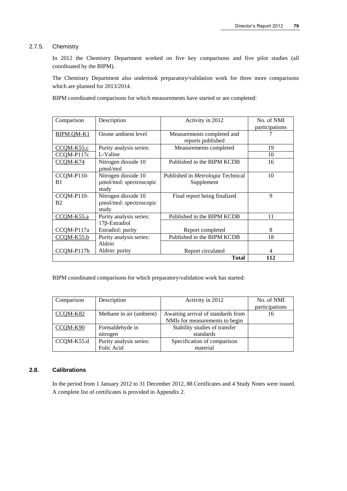## 2.7.5. Chemistry

In 2012 the Chemistry Department worked on five key comparisons and five pilot studies (all coordinated by the BIPM).

The Chemistry Department also undertook preparatory/validation work for three more comparisons which are planned for 2013/2014.

BIPM coordinated comparisons for which measurements have started or are completed:

| Comparison              | Description                                             | Activity in 2012                                | No. of NMI<br>participations |
|-------------------------|---------------------------------------------------------|-------------------------------------------------|------------------------------|
| BIPM.QM-K1              | Ozone ambient level                                     | Measurements completed and<br>reports published |                              |
| CCQM-K55.c              | Purity analysis series:                                 | Measurements completed                          | 19                           |
| CCQM-P117c              | L-Valine                                                |                                                 | 10                           |
| CCQM-K74                | Nitrogen dioxide 10<br>umol/mol                         | Published in the BIPM KCDB                      | 16                           |
| CCQM-P110-<br>B1        | Nitrogen dioxide 10<br>umol/mol: spectroscopic<br>study | Published in Metrologia Technical<br>Supplement | 10                           |
| CCQM-P110-<br><b>B2</b> | Nitrogen dioxide 10<br>umol/mol: spectroscopic<br>study | Final report being finalized                    | 9                            |
| $CCOM-K55.a$            | Purity analysis series:                                 | Published in the BIPM KCDB                      | 11                           |
|                         | $17\beta$ -Estradiol                                    |                                                 |                              |
| CCQM-P117a              | Estradiol: purity                                       | Report completed                                | 8                            |
| CCOM-K55.b              | Purity analysis series:                                 | Published in the BIPM KCDB                      | 18                           |
|                         | Aldrin                                                  |                                                 |                              |
| CCQM-P117b              | Aldrin: purity                                          | Report circulated                               | 4                            |
|                         |                                                         | <b>Total</b>                                    | 112                          |

BIPM coordinated comparisons for which preparatory/validation work has started:

| Comparison | Description              | Activity in 2012                   | No. of NMI     |
|------------|--------------------------|------------------------------------|----------------|
|            |                          |                                    | participations |
| CCQM-K82   | Methane in air (ambient) | Awaiting arrival of standards from | 16             |
|            |                          | NMIs for measurements to begin     |                |
| CCQM-K90   | Formaldehyde in          | Stability studies of transfer      |                |
|            | nitrogen                 | standards                          |                |
| CCQM-K55.d | Purity analysis series:  | Specification of comparison        |                |
|            | Folic Acid               | material                           |                |

## **2.8. Calibrations**

In the period from 1 January 2012 to 31 December 2012, 88 Certificates and 4 Study Notes were issued. A complete list of certificates is provided in Appendix 2.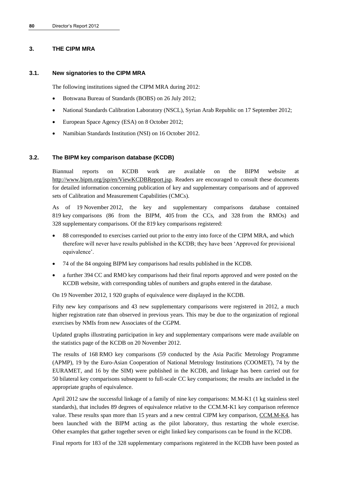## **3. THE CIPM MRA**

#### **3.1. New signatories to the CIPM MRA**

The following institutions signed the CIPM MRA during 2012:

- Botswana Bureau of Standards (BOBS) on 26 July 2012;
- National Standards Calibration Laboratory (NSCL), Syrian Arab Republic on 17 September 2012;
- European Space Agency (ESA) on 8 October 2012;
- Namibian Standards Institution (NSI) on 16 October 2012.

#### **3.2. The BIPM key comparison database (KCDB)**

Biannual reports on KCDB work are available on the BIPM website at [http://www.bipm.org/jsp/en/ViewKCDBReport.jsp.](http://www.bipm.org/jsp/en/ViewKCDBReport.jsp) Readers are encouraged to consult these documents for detailed information concerning publication of key and supplementary comparisons and of approved sets of Calibration and Measurement Capabilities (CMCs).

As of 19 November 2012, the key and supplementary comparisons database contained 819 key comparisons (86 from the BIPM, 405 from the CCs, and 328 from the RMOs) and 328 supplementary comparisons. Of the 819 key comparisons registered:

- 88 corresponded to exercises carried out prior to the entry into force of the CIPM MRA, and which therefore will never have results published in the KCDB; they have been 'Approved for provisional equivalence'.
- 74 of the 84 ongoing BIPM key comparisons had results published in the KCDB.
- a further 394 CC and RMO key comparisons had their final reports approved and were posted on the KCDB website, with corresponding tables of numbers and graphs entered in the database.

On 19 November 2012, 1 920 graphs of equivalence were displayed in the KCDB.

Fifty new key comparisons and 43 new supplementary comparisons were registered in 2012, a much higher registration rate than observed in previous years. This may be due to the organization of regional exercises by NMIs from new Associates of the CGPM.

Updated graphs illustrating participation in key and supplementary comparisons were made available on the statistics page of the KCDB on 20 November 2012.

The results of 168 RMO key comparisons (59 conducted by the Asia Pacific Metrology Programme (APMP), 19 by the Euro-Asian Cooperation of National Metrology Institutions (COOMET), 74 by the EURAMET, and 16 by the SIM) were published in the KCDB, and linkage has been carried out for 50 bilateral key comparisons subsequent to full-scale CC key comparisons; the results are included in the appropriate graphs of equivalence.

April 2012 saw the successful linkage of a family of nine key comparisons: M.M-K1 (1 kg stainless steel standards), that includes 89 degrees of equivalence relative to the CCM.M-K1 key comparison reference value. These results span more than 15 years and a new central CIPM key comparison, [CCM.M-K4,](http://kcdb.bipm.org/appendixB/KCDB_ApB_info.asp?cmp_idy=403&cmp_cod=CCM.M-K4&prov=exalead) has been launched with the BIPM acting as the pilot laboratory, thus restarting the whole exercise. Other examples that gather together seven or eight linked key comparisons can be found in the KCDB.

Final reports for 183 of the 328 supplementary comparisons registered in the KCDB have been posted as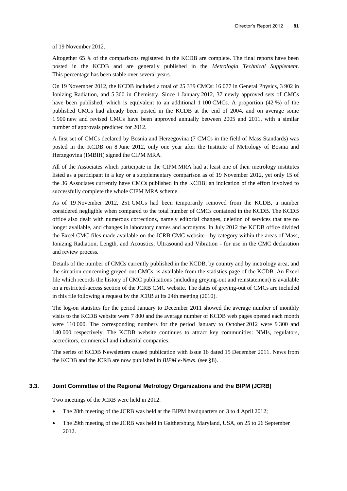of 19 November 2012.

Altogether 65 % of the comparisons registered in the KCDB are complete. The final reports have been posted in the KCDB and are generally published in the *Metrologia Technical Supplement*. This percentage has been stable over several years.

On 19 November 2012, the KCDB included a total of 25 339 CMCs: 16 077 in General Physics, 3 902 in Ionizing Radiation, and 5 360 in Chemistry. Since 1 January 2012, 37 newly approved sets of CMCs have been published, which is equivalent to an additional 1 100 CMCs. A proportion (42 %) of the published CMCs had already been posted in the KCDB at the end of 2004, and on average some 1 900 new and revised CMCs have been approved annually between 2005 and 2011, with a similar number of approvals predicted for 2012.

A first set of CMCs declared by Bosnia and Herzegovina (7 CMCs in the field of Mass Standards) was posted in the KCDB on 8 June 2012, only one year after the Institute of Metrology of Bosnia and Herzegovina (IMBIH) signed the CIPM MRA.

All of the Associates which participate in the CIPM MRA had at least one of their metrology institutes listed as a participant in a key or a supplementary comparison as of 19 November 2012, yet only 15 of the 36 Associates currently have CMCs published in the KCDB; an indication of the effort involved to successfully complete the whole CIPM MRA scheme.

As of 19 November 2012, 251 CMCs had been temporarily removed from the KCDB, a number considered negligible when compared to the total number of CMCs contained in the KCDB. The KCDB office also dealt with numerous corrections, namely editorial changes, deletion of services that are no longer available, and changes in laboratory names and acronyms. In July 2012 the KCDB office divided the Excel CMC files made available on the JCRB CMC website - by category within the areas of Mass, Ionizing Radiation, Length, and Acoustics, Ultrasound and Vibration - for use in the CMC declaration and review process.

Details of the number of CMCs currently published in the KCDB, by country and by metrology area, and the situation concerning greyed-out CMCs, is available from the statistics page of the KCDB. An Excel file which records the history of CMC publications (including greying-out and reinstatement) is available on a restricted-access section of the JCRB CMC website. The dates of greying-out of CMCs are included in this file following a request by the JCRB at its 24th meeting (2010).

The log-on statistics for the period January to December 2011 showed the average number of monthly visits to the KCDB website were 7 800 and the average number of KCDB web pages opened each month were 110 000. The corresponding numbers for the period January to October 2012 were 9 300 and 140 000 respectively. The KCDB website continues to attract key communities: NMIs, regulators, accreditors, commercial and industrial companies.

The series of KCDB Newsletters ceased publication with Issue 16 dated 15 December 2011. News from the KCDB and the JCRB are now published in *BIPM e-News*. (see §8).

#### **3.3. Joint Committee of the Regional Metrology Organizations and the BIPM (JCRB)**

Two meetings of the JCRB were held in 2012:

- The 28th meeting of the JCRB was held at the BIPM headquarters on 3 to 4 April 2012;
- The 29th meeting of the JCRB was held in Gaithersburg, Maryland, USA, on 25 to 26 September 2012.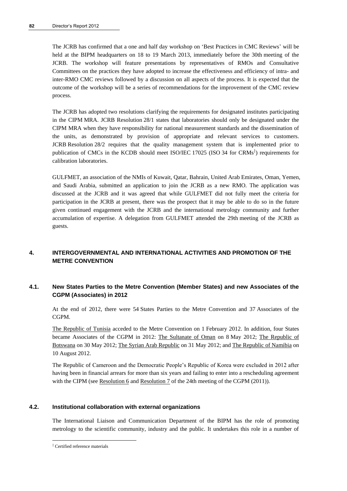The JCRB has confirmed that a one and half day workshop on 'Best Practices in CMC Reviews' will be held at the BIPM headquarters on 18 to 19 March 2013, immediately before the 30th meeting of the JCRB. The workshop will feature presentations by representatives of RMOs and Consultative Committees on the practices they have adopted to increase the effectiveness and efficiency of intra- and inter-RMO CMC reviews followed by a discussion on all aspects of the process. It is expected that the outcome of the workshop will be a series of recommendations for the improvement of the CMC review process.

The JCRB has adopted two resolutions clarifying the requirements for designated institutes participating in the CIPM MRA. JCRB Resolution 28/1 states that laboratories should only be designated under the CIPM MRA when they have responsibility for national measurement standards and the dissemination of the units, as demonstrated by provision of appropriate and relevant services to customers. JCRB Resolution 28/2 requires that the quality management system that is implemented prior to publication of CMCs in the KCDB should meet ISO/IEC 17025 (ISO 34 for CRMs<sup>‡</sup>) requirements for calibration laboratories.

GULFMET, an association of the NMIs of Kuwait, Qatar, Bahrain, United Arab Emirates, Oman, Yemen, and Saudi Arabia, submitted an application to join the JCRB as a new RMO. The application was discussed at the JCRB and it was agreed that while GULFMET did not fully meet the criteria for participation in the JCRB at present, there was the prospect that it may be able to do so in the future given continued engagement with the JCRB and the international metrology community and further accumulation of expertise. A delegation from GULFMET attended the 29th meeting of the JCRB as guests.

# **4. INTERGOVERNMENTAL AND INTERNATIONAL ACTIVITIES AND PROMOTION OF THE METRE CONVENTION**

## **4.1. New States Parties to the Metre Convention (Member States) and new Associates of the CGPM (Associates) in 2012**

At the end of 2012, there were 54 States Parties to the Metre Convention and 37 Associates of the CGPM.

[The Republic of Tunisia](http://www.bipm.org/en/convention/member_states/tn/) acceded to the Metre Convention on 1 February 2012. In addition, four States became Associates of the CGPM in 2012: [The Sultanate of Oman](http://www.bipm.org/jsp/en/ViewCountryDetails.jsp?ISO_CODE=OM) on 8 May 2012; [The Republic of](http://www.bipm.org/jsp/en/ViewCountryDetails.jsp?ISO_CODE=BW)  [Botswana](http://www.bipm.org/jsp/en/ViewCountryDetails.jsp?ISO_CODE=BW) on 30 May 2012; [The Syrian Arab Republic](http://www.bipm.org/jsp/en/ViewCountryDetails.jsp?ISO_CODE=SY) on 31 May 2012; an[d The Republic of Namibia](http://www.bipm.org/jsp/en/ViewCountryDetails.jsp?ISO_CODE=NA) on 10 August 2012.

The Republic of Cameroon and the Democratic People's Republic of Korea were excluded in 2012 after having been in financial arrears for more than six years and failing to enter into a rescheduling agreement with the CIPM (se[e Resolution 6](http://www.bipm.org/en/CGPM/db/24/6/) an[d Resolution 7](http://www.bipm.org/en/CGPM/db/24/7/) of the 24th meeting of the CGPM (2011)).

#### **4.2. Institutional collaboration with external organizations**

The International Liaison and Communication Department of the BIPM has the role of promoting metrology to the scientific community, industry and the public. It undertakes this role in a number of

 $\overline{a}$ ‡ Certified reference materials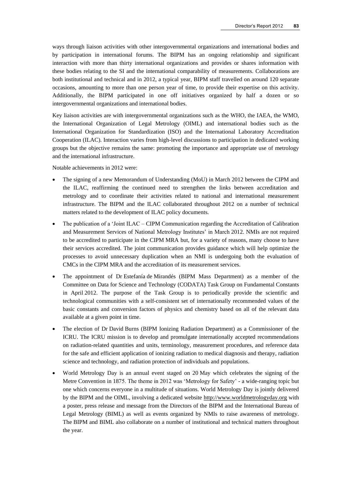ways through liaison activities with other intergovernmental organizations and international bodies and by participation in international forums. The BIPM has an ongoing relationship and significant interaction with more than thirty international organizations and provides or shares information with these bodies relating to the SI and the international comparability of measurements. Collaborations are both institutional and technical and in 2012, a typical year, BIPM staff travelled on around 120 separate occasions, amounting to more than one person year of time, to provide their expertise on this activity. Additionally, the BIPM participated in one off initiatives organized by half a dozen or so intergovernmental organizations and international bodies.

Key liaison activities are with intergovernmental organizations such as the WHO, the IAEA, the WMO, the International Organization of Legal Metrology (OIML) and international bodies such as the International Organization for Standardization (ISO) and the International Laboratory Accreditation Cooperation (ILAC). Interaction varies from high-level discussions to participation in dedicated working groups but the objective remains the same: promoting the importance and appropriate use of metrology and the international infrastructure.

Notable achievements in 2012 were:

- The signing of a new Memorandum of Understanding (MoU) in March 2012 between the CIPM and the ILAC, reaffirming the continued need to strengthen the links between accreditation and metrology and to coordinate their activities related to national and international measurement infrastructure. The BIPM and the ILAC collaborated throughout 2012 on a number of technical matters related to the development of ILAC policy documents.
- The publication of a 'Joint ILAC CIPM Communication regarding the Accreditation of Calibration and Measurement Services of National Metrology Institutes' in March 2012. NMIs are not required to be accredited to participate in the CIPM MRA but, for a variety of reasons, many choose to have their services accredited. The joint communication provides guidance which will help optimize the processes to avoid unnecessary duplication when an NMI is undergoing both the evaluation of CMCs in the CIPM MRA and the accreditation of its measurement services.
- The appointment of Dr Estefanía de Mirandés (BIPM Mass Department) as a member of the Committee on Data for Science and Technology (CODATA) Task Group on Fundamental Constants in April 2012. The purpose of the Task Group is to periodically provide the scientific and technological communities with a self-consistent set of internationally recommended values of the basic constants and conversion factors of physics and chemistry based on all of the relevant data available at a given point in time.
- The election of Dr David Burns (BIPM Ionizing Radiation Department) as a Commissioner of the ICRU. The ICRU mission is to develop and promulgate internationally accepted recommendations on radiation-related quantities and units, terminology, measurement procedures, and reference data for the safe and efficient application of ionizing radiation to medical diagnosis and therapy, radiation science and technology, and radiation protection of individuals and populations.
- World Metrology Day is an annual event staged on 20 May which celebrates the signing of the Metre Convention in 1875. The theme in 2012 was 'Metrology for Safety' - a wide-ranging topic but one which concerns everyone in a multitude of situations. World Metrology Day is jointly delivered by the BIPM and the OIML, involving a dedicated website [http://www.worldmetrologyday.org](http://www.worldmetrologyday.org/) with a poster, press release and message from the Directors of the BIPM and the International Bureau of Legal Metrology (BIML) as well as events organized by NMIs to raise awareness of metrology. The BIPM and BIML also collaborate on a number of institutional and technical matters throughout the year.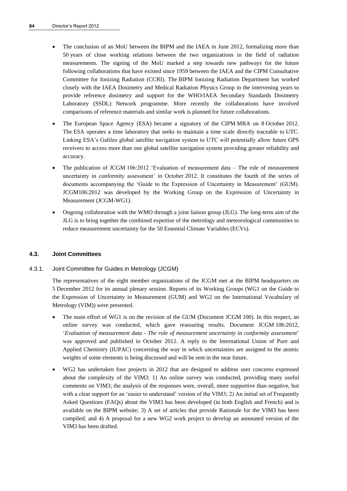- The conclusion of an MoU between the BIPM and the IAEA in June 2012, formalizing more than 50 years of close working relations between the two organizations in the field of radiation measurements. The signing of the MoU marked a step towards new pathways for the future following collaborations that have existed since 1959 between the IAEA and the CIPM Consultative Committee for Ionizing Radiation (CCRI). The BIPM Ionizing Radiation Department has worked closely with the IAEA Dosimetry and Medical Radiation Physics Group in the intervening years to provide reference dosimetry and support for the WHO/IAEA Secondary Standards Dosimetry Laboratory (SSDL) Network programme. More recently the collaborations have involved comparisons of reference materials and similar work is planned for future collaborations.
- The European Space Agency (ESA) became a signatory of the CIPM MRA on 8 October 2012. The ESA operates a time laboratory that seeks to maintain a time scale directly traceable to UTC. Linking ESA's Galileo global satellite navigation system to UTC will potentially allow future GPS receivers to access more than one global satellite navigation system providing greater reliability and accuracy.
- The publication of JCGM 106:2012 'Evaluation of measurement data The role of measurement uncertainty in conformity assessment' in October 2012. It constitutes the fourth of the series of documents accompanying the 'Guide to the Expression of Uncertainty in Measurement' (GUM). JCGM106:2012 was developed by the Working Group on the Expression of Uncertainty in Measurement (JCGM-WG1).
- Ongoing collaboration with the WMO through a joint liaison group (JLG). The long-term aim of the JLG is to bring together the combined expertise of the metrology and meteorological communities to reduce measurement uncertainty for the 50 Essential Climate Variables (ECVs).

## **4.3. Joint Committees**

#### 4.3.1. Joint Committee for Guides in Metrology (JCGM)

The representatives of the eight member organizations of the JCGM met at the BIPM headquarters on 5 December 2012 for its annual plenary session. Reports of its Working Groups (WG1 on the Guide to the Expression of Uncertainty in Measurement (GUM) and WG2 on the International Vocabulary of Metrology (VIM)) were presented.

- The main effort of WG1 is on the revision of the GUM (Document JCGM 100). In this respect, an online survey was conducted, which gave reassuring results. Document JCGM 106:2012, '*Evaluation of measurement data - The role of measurement uncertainty in conformity assessment*' was approved and published in October 2012. A reply to the International Union of Pure and Applied Chemistry (IUPAC) concerning the way in which uncertainties are assigned to the atomic weights of some elements is being discussed and will be sent in the near future.
- WG2 has undertaken four projects in 2012 that are designed to address user concerns expressed about the complexity of the VIM3: 1) An online survey was conducted, providing many useful comments on VIM3; the analysis of the responses were, overall, more supportive than negative, but with a clear support for an 'easier to understand' version of the VIM3; 2) An initial set of Frequently Asked Questions (FAQs) about the VIM3 has been developed (in both English and French) and is available on the BIPM website; 3) A set of articles that provide Rationale for the VIM3 has been compiled; and 4) A proposal for a new WG2 work project to develop an annotated version of the VIM3 has been drafted.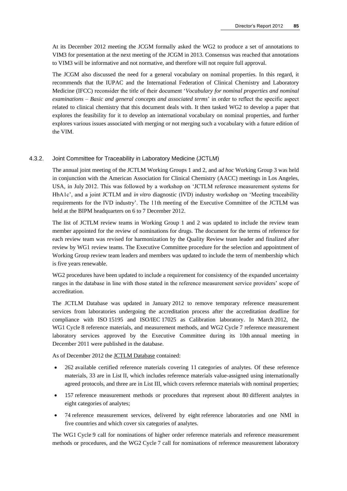At its December 2012 meeting the JCGM formally asked the WG2 to produce a set of annotations to VIM3 for presentation at the next meeting of the JCGM in 2013. Consensus was reached that annotations to VIM3 will be informative and not normative, and therefore will not require full approval.

The JCGM also discussed the need for a general vocabulary on nominal properties. In this regard, it recommends that the IUPAC and the International Federation of Clinical Chemistry and Laboratory Medicine (IFCC) reconsider the title of their document '*Vocabulary for nominal properties and nominal examinations – Basic and general concepts and associated terms*' in order to reflect the specific aspect related to clinical chemistry that this document deals with. It then tasked WG2 to develop a paper that explores the feasibility for it to develop an international vocabulary on nominal properties, and further explores various issues associated with merging or not merging such a vocabulary with a future edition of the VIM.

#### 4.3.2. Joint Committee for Traceability in Laboratory Medicine (JCTLM)

The annual joint meeting of the JCTLM Working Groups 1 and 2, and a*d hoc* Working Group 3 was held in conjunction with the [American Association for Clinical Chemistry](http://www.aacc.org/) (AACC) meetings in Los Angeles, USA, in July 2012. This was followed by a workshop on 'JCTLM reference measurement systems for HbA1c', and a joint JCTLM and *in vitro* diagnostic (IVD) industry workshop on 'Meeting traceability requirements for the IVD industry'. The 11th meeting of the Executive Committee of the JCTLM was held at the BIPM headquarters on 6 to 7 December 2012.

The list of JCTLM review teams in Working Group 1 and 2 was updated to include the review team member appointed for the review of nominations for drugs. The document for the terms of reference for each review team was revised for harmonization by the Quality Review team leader and finalized after review by WG1 review teams. The Executive Committee procedure for the selection and appointment of Working Group review team leaders and members was updated to include the term of membership which is five years renewable.

WG2 procedures have been updated to include a requirement for consistency of the expanded uncertainty ranges in the database in line with those stated in the reference measurement service providers' scope of accreditation.

The JCTLM Database was updated in January 2012 to remove temporary reference measurement services from laboratories undergoing the accreditation process after the accreditation deadline for compliance with ISO 15195 and ISO/IEC 17025 as Calibration laboratory. In March 2012, the WG1 Cycle 8 reference materials, and measurement methods, and WG2 Cycle 7 reference measurement laboratory services approved by the Executive Committee during its 10th annual meeting in December 2011 were published in the database.

As of December 2012 the [JCTLM Database](http://www.bipm.org/jctlm/) contained:

- 262 available certified reference materials covering 11 categories of analytes. Of these reference materials, 33 are in List II, which includes reference materials value-assigned using internationally agreed protocols, and three are in List III, which covers reference materials with nominal properties;
- 157 reference measurement methods or procedures that represent about 80 different analytes in eight categories of analytes;
- 74 reference measurement services, delivered by eight reference laboratories and one NMI in five countries and which cover six categories of analytes.

The WG1 Cycle 9 call for nominations of higher order reference materials and reference measurement methods or procedures, and the WG2 Cycle 7 call for nominations of reference measurement laboratory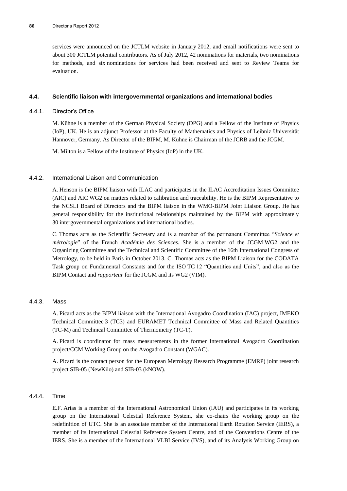services were announced on the JCTLM website in January 2012, and email notifications were sent to about 300 JCTLM potential contributors. As of July 2012, 42 nominations for materials, two nominations for methods, and six nominations for services had been received and sent to Review Teams for evaluation.

#### **4.4. Scientific liaison with intergovernmental organizations and international bodies**

## 4.4.1. Director's Office

M. Kühne is a member of the German Physical Society (DPG) and a Fellow of the Institute of Physics (IoP), UK. He is an adjunct Professor at the Faculty of Mathematics and Physics of Leibniz Universität Hannover, Germany. As Director of the BIPM, M. Kühne is Chairman of the JCRB and the JCGM.

M. Milton is a Fellow of the Institute of Physics (IoP) in the UK.

#### 4.4.2. International Liaison and Communication

A. Henson is the BIPM liaison with ILAC and participates in the ILAC Accreditation Issues Committee (AIC) and AIC WG2 on matters related to calibration and traceability. He is the BIPM Representative to the NCSLI Board of Directors and the BIPM liaison in the WMO-BIPM Joint Liaison Group. He has general responsibility for the institutional relationships maintained by the BIPM with approximately 30 intergovernmental organizations and international bodies.

C. Thomas acts as the Scientific Secretary and is a member of the permanent Committee "*Science et métrologie*" of the French *Académie des Sciences*. She is a member of the JCGM WG2 and the Organizing Committee and the Technical and Scientific Committee of the 16th International Congress of Metrology, to be held in Paris in October 2013. C. Thomas acts as the BIPM Liaison for the CODATA Task group on Fundamental Constants and for the ISO TC 12 "Quantities and Units", and also as the BIPM Contact and *rapporteur* for the JCGM and its WG2 (VIM).

#### 4.4.3. Mass

A. Picard acts as the BIPM liaison with the International Avogadro Coordination (IAC) project, IMEKO Technical Committee 3 (TC3) and EURAMET Technical Committee of Mass and Related Quantities (TC-M) and Technical Committee of Thermometry (TC-T).

A. Picard is coordinator for mass measurements in the former International Avogadro Coordination project/CCM Working Group on the Avogadro Constant (WGAC).

A. Picard is the contact person for the European Metrology Research Programme (EMRP) joint research project SIB-05 (NewKilo) and SIB-03 (kNOW).

#### 4.4.4. Time

E.F. Arias is a member of the International Astronomical Union (IAU) and participates in its working group on the International Celestial Reference System, she co-chairs the working group on the redefinition of UTC. She is an associate member of the International Earth Rotation Service (IERS), a member of its International Celestial Reference System Centre, and of the Conventions Centre of the IERS. She is a member of the International VLBI Service (IVS), and of its Analysis Working Group on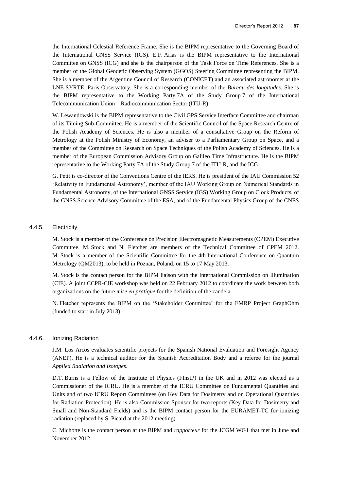the International Celestial Reference Frame. She is the BIPM representative to the Governing Board of the International GNSS Service (IGS). E.F. Arias is the BIPM representative to the International Committee on GNSS (ICG) and she is the chairperson of the Task Force on Time References. She is a member of the Global Geodetic Observing System (GGOS) Steering Committee representing the BIPM. She is a member of the Argentine Council of Research (CONICET) and an associated astronomer at the LNE-SYRTE, Paris Observatory. She is a corresponding member of the *Bureau des longitudes*. She is the BIPM representative to the Working Party 7A of the Study Group 7 of the International Telecommunication Union – Radiocommunication Sector (ITU-R).

W. Lewandowski is the BIPM representative to the Civil GPS Service Interface Committee and chairman of its Timing Sub-Committee. He is a member of the Scientific Council of the Space Research Centre of the Polish Academy of Sciences. He is also a member of a consultative Group on the Reform of Metrology at the Polish Ministry of Economy, an adviser to a Parliamentary Group on Space, and a member of the Committee on Research on Space Techniques of the Polish Academy of Sciences. He is a member of the European Commission Advisory Group on Galileo Time Infrastructure. He is the BIPM representative to the Working Party 7A of the Study Group 7 of the ITU-R, and the ICG.

G. Petit is co-director of the Conventions Centre of the IERS. He is president of the IAU Commission 52 'Relativity in Fundamental Astronomy', member of the IAU Working Group on Numerical Standards in Fundamental Astronomy, of the International GNSS Service (IGS) Working Group on Clock Products, of the GNSS Science Advisory Committee of the ESA, and of the Fundamental Physics Group of the CNES.

#### 4.4.5. Electricity

M. Stock is a member of the Conference on Precision Electromagnetic Measurements (CPEM) Executive Committee. M. Stock and N. Fletcher are members of the Technical Committee of CPEM 2012. M. Stock is a member of the Scientific Committee for the 4th International Conference on Quantum Metrology (QM2013), to be held in Poznan, Poland, on 15 to 17 May 2013.

M. Stock is the contact person for the BIPM liaison with the International Commission on Illumination (CIE). A joint CCPR-CIE workshop was held on 22 February 2012 to coordinate the work between both organizations on the future *mise en pratique* for the definition of the candela.

N. Fletcher represents the BIPM on the 'Stakeholder Committee' for the EMRP Project GraphOhm (funded to start in July 2013).

#### 4.4.6. Ionizing Radiation

J.M. Los Arcos evaluates scientific projects for the Spanish National Evaluation and Foresight Agency (ANEP). He is a technical auditor for the Spanish Accreditation Body and a referee for the journal *Applied Radiation and Isotopes*.

D.T. Burns is a Fellow of the Institute of Physics (FInstP) in the UK and in 2012 was elected as a Commissioner of the ICRU. He is a member of the ICRU Committee on Fundamental Quantities and Units and of two ICRU Report Committees (on Key Data for Dosimetry and on Operational Quantities for Radiation Protection). He is also Commission Sponsor for two reports (Key Data for Dosimetry and Small and Non-Standard Fields) and is the BIPM contact person for the EURAMET-TC for ionizing radiation (replaced by S. Picard at the 2012 meeting).

C. Michotte is the contact person at the BIPM and *rapporteur* for the JCGM WG1 that met in June and November 2012.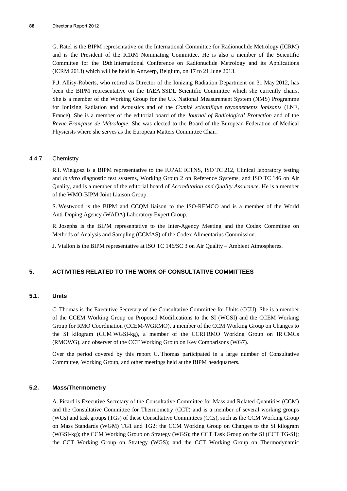G. Ratel is the BIPM representative on the International Committee for Radionuclide Metrology (ICRM) and is the President of the ICRM Nominating Committee. He is also a member of the Scientific Committee for the 19th International Conference on Radionuclide Metrology and its Applications (ICRM 2013) which will be held in Antwerp, Belgium, on 17 to 21 June 2013.

P.J. Allisy-Roberts, who retired as Director of the Ionizing Radiation Department on 31 May 2012, has been the BIPM representative on the IAEA SSDL Scientific Committee which she currently chairs. She is a member of the Working Group for the UK National Measurement System (NMS) Programme for Ionizing Radiation and Acoustics and of the *Comité scientifique rayonnements ionisants* (LNE, France). She is a member of the editorial board of the *Journal of Radiological Protection* and of the *Revue Française de Métrologie*. She was elected to the Board of the European Federation of Medical Physicists where she serves as the European Matters Committee Chair.

#### 4.4.7. Chemistry

R.I. Wielgosz is a BIPM representative to the IUPAC ICTNS, ISO TC 212, Clinical laboratory testing and *in vitro* diagnostic test systems, Working Group 2 on Reference Systems, and ISO TC 146 on Air Quality, and is a member of the editorial board of *Accreditation and Quality Assurance*. He is a member of the WMO-BIPM Joint Liaison Group.

S. Westwood is the BIPM and CCQM liaison to the ISO-REMCO and is a member of the World Anti-Doping Agency (WADA) Laboratory Expert Group.

R. Josephs is the BIPM representative to the Inter-Agency Meeting and the Codex Committee on Methods of Analysis and Sampling (CCMAS) of the Codex Alimentarius Commission.

J. Viallon is the BIPM representative at ISO TC 146/SC 3 on Air Quality – Ambient Atmospheres.

### **5. ACTIVITIES RELATED TO THE WORK OF CONSULTATIVE COMMITTEES**

#### **5.1. Units**

C. Thomas is the Executive Secretary of the Consultative Committee for Units (CCU). She is a member of the CCEM Working Group on Proposed Modifications to the SI (WGSI) and the CCEM Working Group for RMO Coordination (CCEM-WGRMO), a member of the CCM Working Group on Changes to the SI kilogram (CCM WGSI-kg), a member of the CCRI RMO Working Group on IR CMCs (RMOWG), and observer of the CCT Working Group on Key Comparisons (WG7).

Over the period covered by this report C. Thomas participated in a large number of Consultative Committee, Working Group, and other meetings held at the BIPM headquarters.

#### **5.2. Mass/Thermometry**

A. Picard is Executive Secretary of the Consultative Committee for Mass and Related Quantities (CCM) and the Consultative Committee for Thermometry (CCT) and is a member of several working groups (WGs) and task groups (TGs) of these Consultative Committees (CCs), such as the CCM Working Group on Mass Standards (WGM) TG1 and TG2; the CCM Working Group on Changes to the SI kilogram (WGSI-kg); the CCM Working Group on Strategy (WGS); the CCT Task Group on the SI (CCT TG-SI); the CCT Working Group on Strategy (WGS); and the CCT Working Group on Thermodynamic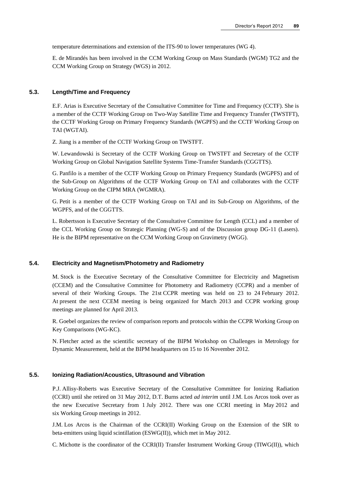temperature determinations and extension of the ITS-90 to lower temperatures (WG 4).

E. de Mirandés has been involved in the CCM Working Group on Mass Standards (WGM) TG2 and the CCM Working Group on Strategy (WGS) in 2012.

#### **5.3. Length/Time and Frequency**

E.F. Arias is Executive Secretary of the Consultative Committee for Time and Frequency (CCTF). She is a member of the CCTF Working Group on Two-Way Satellite Time and Frequency Transfer (TWSTFT), the CCTF Working Group on Primary Frequency Standards (WGPFS) and the CCTF Working Group on TAI (WGTAI).

Z. Jiang is a member of the CCTF Working Group on TWSTFT.

W. Lewandowski is Secretary of the CCTF Working Group on TWSTFT and Secretary of the CCTF Working Group on Global Navigation Satellite Systems Time-Transfer Standards (CGGTTS).

G. Panfilo is a member of the CCTF Working Group on Primary Frequency Standards (WGPFS) and of the Sub-Group on Algorithms of the CCTF Working Group on TAI and collaborates with the CCTF Working Group on the CIPM MRA (WGMRA).

G. Petit is a member of the CCTF Working Group on TAI and its Sub-Group on Algorithms, of the WGPFS, and of the CGGTTS.

L. Robertsson is Executive Secretary of the Consultative Committee for Length (CCL) and a member of the CCL Working Group on Strategic Planning (WG-S) and of the Discussion group DG-11 (Lasers). He is the BIPM representative on the CCM Working Group on Gravimetry (WGG).

#### **5.4. Electricity and Magnetism/Photometry and Radiometry**

M. Stock is the Executive Secretary of the Consultative Committee for Electricity and Magnetism (CCEM) and the Consultative Committee for Photometry and Radiometry (CCPR) and a member of several of their Working Groups. The 21st CCPR meeting was held on 23 to 24 February 2012. At present the next CCEM meeting is being organized for March 2013 and CCPR working group meetings are planned for April 2013.

R. Goebel organizes the review of comparison reports and protocols within the CCPR Working Group on Key Comparisons (WG-KC).

N. Fletcher acted as the scientific secretary of the BIPM Workshop on Challenges in Metrology for Dynamic Measurement, held at the BIPM headquarters on 15 to 16 November 2012.

#### **5.5. Ionizing Radiation/Acoustics, Ultrasound and Vibration**

P.J. Allisy-Roberts was Executive Secretary of the Consultative Committee for Ionizing Radiation (CCRI) until she retired on 31 May 2012, D.T. Burns acted *ad interim* until J.M. Los Arcos took over as the new Executive Secretary from 1 July 2012. There was one CCRI meeting in May 2012 and six Working Group meetings in 2012.

J.M. Los Arcos is the Chairman of the CCRI(II) Working Group on the Extension of the SIR to beta-emitters using liquid scintillation (ESWG(II)), which met in May 2012.

C. Michotte is the coordinator of the CCRI(II) Transfer Instrument Working Group (TIWG(II)), which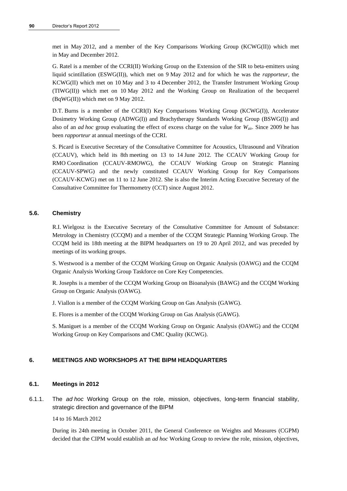met in May 2012, and a member of the Key Comparisons Working Group (KCWG(II)) which met in May and December 2012.

G. Ratel is a member of the CCRI(II) Working Group on the Extension of the SIR to beta-emitters using liquid scintillation (ESWG(II)), which met on 9 May 2012 and for which he was the *rapporteur*, the KCWG(II) which met on 10 May and 3 to 4 December 2012, the Transfer Instrument Working Group (TIWG(II)) which met on 10 May 2012 and the Working Group on Realization of the becquerel (BqWG(II)) which met on 9 May 2012.

D.T. Burns is a member of the CCRI(I) Key Comparisons Working Group (KCWG(I)), Accelerator Dosimetry Working Group (ADWG(I)) and Brachytherapy Standards Working Group (BSWG(I)) and also of an *ad hoc* group evaluating the effect of excess charge on the value for *W*air. Since 2009 he has been *rapporteur* at annual meetings of the CCRI.

S. Picard is Executive Secretary of the Consultative Committee for Acoustics, Ultrasound and Vibration (CCAUV), which held its 8th meeting on 13 to 14 June 2012. The CCAUV Working Group for RMO Coordination (CCAUV-RMOWG), the CCAUV Working Group on Strategic Planning (CCAUV-SPWG) and the newly constituted CCAUV Working Group for Key Comparisons (CCAUV-KCWG) met on 11 to 12 June 2012. She is also the Interim Acting Executive Secretary of the Consultative Committee for Thermometry (CCT) since August 2012.

## **5.6. Chemistry**

R.I. Wielgosz is the Executive Secretary of the Consultative Committee for Amount of Substance: Metrology in Chemistry (CCQM) and a member of the CCQM Strategic Planning Working Group. The CCQM held its 18th meeting at the BIPM headquarters on 19 to 20 April 2012, and was preceded by meetings of its working groups.

S. Westwood is a member of the CCQM Working Group on Organic Analysis (OAWG) and the CCQM Organic Analysis Working Group Taskforce on Core Key Competencies.

R. Josephs is a member of the CCQM Working Group on Bioanalysis (BAWG) and the CCQM Working Group on Organic Analysis (OAWG).

J. Viallon is a member of the CCQM Working Group on Gas Analysis (GAWG).

E. Flores is a member of the CCQM Working Group on Gas Analysis (GAWG).

S. Maniguet is a member of the CCQM Working Group on Organic Analysis (OAWG) and the CCQM Working Group on Key Comparisons and CMC Quality (KCWG).

## **6. MEETINGS AND WORKSHOPS AT THE BIPM HEADQUARTERS**

#### **6.1. Meetings in 2012**

6.1.1. The *ad hoc* Working Group on the role, mission, objectives, long-term financial stability, strategic direction and governance of the BIPM

14 to 16 March 2012

During its 24th meeting in October 2011, the General Conference on Weights and Measures (CGPM) decided that the CIPM would establish an *ad hoc* Working Group to review the role, mission, objectives,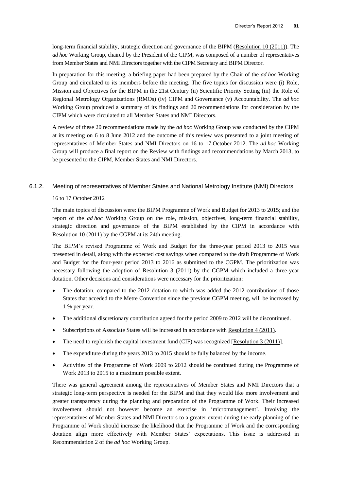long-term financial stability, strategic direction and governance of the BIPM [\(Resolution 10 \(2011\)\)](http://www.bipm.org/en/CGPM/db/24/10/). The *ad hoc* Working Group, chaired by the President of the CIPM, was composed of a number of representatives from Member States and NMI Directors together with the CIPM Secretary and BIPM Director.

In preparation for this meeting, a briefing paper had been prepared by the Chair of the *ad hoc* Working Group and circulated to its members before the meeting. The five topics for discussion were (i) Role, Mission and Objectives for the BIPM in the 21st Century (ii) Scientific Priority Setting (iii) the Role of Regional Metrology Organizations (RMOs) (iv) CIPM and Governance (v) Accountability. The *ad hoc* Working Group produced a summary of its findings and 20 recommendations for consideration by the CIPM which were circulated to all Member States and NMI Directors.

A review of these 20 recommendations made by the *ad hoc* Working Group was conducted by the CIPM at its meeting on 6 to 8 June 2012 and the outcome of this review was presented to a joint meeting of representatives of Member States and NMI Directors on 16 to 17 October 2012. The *ad hoc* Working Group will produce a final report on the Review with findings and recommendations by March 2013, to be presented to the CIPM, Member States and NMI Directors.

#### 6.1.2. Meeting of representatives of Member States and National Metrology Institute (NMI) Directors

16 to 17 October 2012

The main topics of discussion were: the BIPM Programme of Work and Budget for 2013 to 2015; and the report of the *ad hoc* Working Group on the role, mission, objectives, long-term financial stability, strategic direction and governance of the BIPM established by the CIPM in accordance with [Resolution](http://www.bipm.org/en/CGPM/db/24/10/) 10 (2011) by the CGPM at its 24th meeting.

The BIPM's revised Programme of Work and Budget for the three-year period 2013 to 2015 was presented in detail, along with the expected cost savings when compared to the draft Programme of Work and Budget for the four-year period 2013 to 2016 as submitted to the CGPM. The prioritization was necessary following the adoption of [Resolution 3](http://www.bipm.org/en/CGPM/db/24/3/) (2011) by the CGPM which included a three-year dotation. Other decisions and considerations were necessary for the prioritization:

- The dotation, compared to the 2012 dotation to which was added the 2012 contributions of those States that acceded to the Metre Convention since the previous CGPM meeting, will be increased by 1 % per year.
- The additional discretionary contribution agreed for the period 2009 to 2012 will be discontinued.
- Subscriptions of Associate States will be increased in accordance wit[h Resolution 4 \(2011\).](http://www.bipm.org/en/CGPM/db/24/4/)
- The need to replenish the capital investment fund (CIF) was recognized [\[Resolution 3 \(2011\)\]](http://www.bipm.org/en/CGPM/db/24/3/).
- The expenditure during the years 2013 to 2015 should be fully balanced by the income.
- Activities of the Programme of Work 2009 to 2012 should be continued during the Programme of Work 2013 to 2015 to a maximum possible extent.

There was general agreement among the representatives of Member States and NMI Directors that a strategic long-term perspective is needed for the BIPM and that they would like more involvement and greater transparency during the planning and preparation of the Programme of Work. Their increased involvement should not however become an exercise in 'micromanagement'. Involving the representatives of Member States and NMI Directors to a greater extent during the early planning of the Programme of Work should increase the likelihood that the Programme of Work and the corresponding dotation align more effectively with Member States' expectations. This issue is addressed in Recommendation 2 of the *ad hoc* Working Group.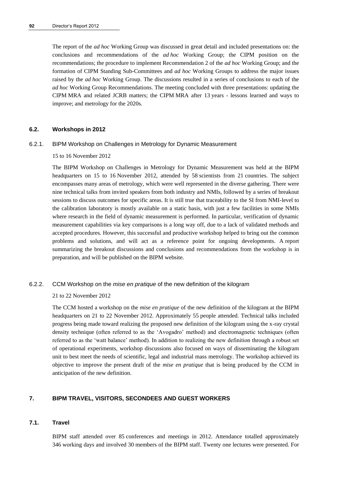The report of the *ad hoc* Working Group was discussed in great detail and included presentations on: the conclusions and recommendations of the *ad hoc* Working Group; the CIPM position on the recommendations; the procedure to implement Recommendation 2 of the *ad hoc* Working Group; and the formation of CIPM Standing Sub-Committees and *ad hoc* Working Groups to address the major issues raised by the *ad hoc* Working Group. The discussions resulted in a series of conclusions to each of the *ad hoc* Working Group Recommendations. The meeting concluded with three presentations: updating the CIPM MRA and related JCRB matters; the CIPM MRA after 13 years - lessons learned and ways to improve; and metrology for the 2020s.

#### **6.2. Workshops in 2012**

#### 6.2.1. BIPM Workshop on Challenges in Metrology for Dynamic Measurement

#### 15 to 16 November 2012

The BIPM Workshop on Challenges in Metrology for Dynamic Measurement was held at the BIPM headquarters on 15 to 16 November 2012, attended by 58 scientists from 21 countries. The subject encompasses many areas of metrology, which were well represented in the diverse gathering. There were nine technical talks from invited speakers from both industry and NMIs, followed by a series of breakout sessions to discuss outcomes for specific areas. It is still true that traceability to the SI from NMI-level to the calibration laboratory is mostly available on a static basis, with just a few facilities in some NMIs where research in the field of dynamic measurement is performed. In particular, verification of dynamic measurement capabilities via key comparisons is a long way off, due to a lack of validated methods and accepted procedures. However, this successful and productive workshop helped to bring out the common problems and solutions, and will act as a reference point for ongoing developments. A report summarizing the breakout discussions and conclusions and recommendations from the workshop is in preparation, and will be published on the BIPM website.

#### 6.2.2. CCM Workshop on the *mise en pratique* of the new definition of the kilogram

#### 21 to 22 November 2012

The CCM hosted a workshop on the *mise en pratique* of the new definition of the kilogram at the BIPM headquarters on 21 to 22 November 2012. Approximately 55 people attended. Technical talks included progress being made toward realizing the proposed new definition of the kilogram using the x-ray crystal density technique (often referred to as the 'Avogadro' method) and electromagnetic techniques (often referred to as the 'watt balance' method). In addition to realizing the new definition through a robust set of operational experiments, workshop discussions also focused on ways of disseminating the kilogram unit to best meet the needs of scientific, legal and industrial mass metrology. The workshop achieved its objective to improve the present draft of the *mise en pratique* that is being produced by the CCM in anticipation of the new definition.

## **7. BIPM TRAVEL, VISITORS, SECONDEES AND GUEST WORKERS**

#### **7.1. Travel**

BIPM staff attended over 85 conferences and meetings in 2012. Attendance totalled approximately 346 working days and involved 30 members of the BIPM staff. Twenty one lectures were presented. For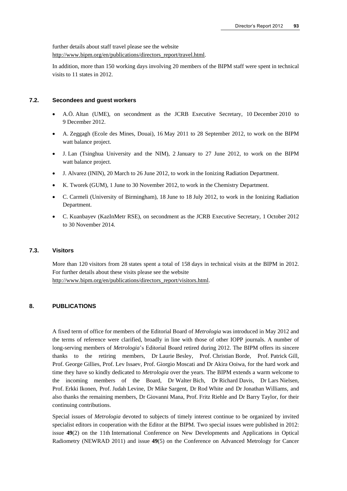further details about staff travel please see the website

[http://www.bipm.org/en/publications/directors\\_report/travel.html.](http://www.bipm.org/en/publications/directors_report/travel.html)

In addition, more than 150 working days involving 20 members of the BIPM staff were spent in technical visits to 11 states in 2012.

#### **7.2. Secondees and guest workers**

- A.Ö. Altan (UME), on secondment as the JCRB Executive Secretary, 10 December 2010 to 9 December 2012.
- A. Zeggagh (Ecole des Mines, Douai), 16 May 2011 to 28 September 2012, to work on the BIPM watt balance project.
- J. Lan (Tsinghua University and the NIM), 2 January to 27 June 2012, to work on the BIPM watt balance project.
- J. Alvarez (ININ), 20 March to 26 June 2012, to work in the Ionizing Radiation Department.
- K. Tworek (GUM), 1 June to 30 November 2012, to work in the Chemistry Department.
- C. Carmeli (University of Birmingham), 18 June to 18 July 2012, to work in the Ionizing Radiation Department.
- C. Kuanbayev (KazInMetr RSE), on secondment as the JCRB Executive Secretary, 1 October 2012 to 30 November 2014.

#### **7.3. Visitors**

More than 120 visitors from 28 states spent a total of 158 days in technical visits at the BIPM in 2012. For further details about these visits please see the website [http://www.bipm.org/en/publications/directors\\_report/visitors.html.](http://www.bipm.org/en/publications/directors_report/visitors.html)

#### **8. PUBLICATIONS**

A fixed term of office for members of the Editorial Board of *Metrologia* was introduced in May 2012 and the terms of reference were clarified, broadly in line with those of other IOPP journals. A number of long-serving members of *Metrologia*'s Editorial Board retired during 2012. The BIPM offers its sincere thanks to the retiring members, Dr Laurie Besley, Prof. Christian Borde, Prof. Patrick Gill, Prof. George Gillies, Prof. Lev Issaev, Prof. Giorgio Moscati and Dr Akira Ooiwa, for the hard work and time they have so kindly dedicated to *Metrologia* over the years. The BIPM extends a warm welcome to the incoming members of the Board, Dr Walter Bich, Dr Richard Davis, Dr Lars Nielsen, Prof. Erkki Ikonen, Prof. Judah Levine, Dr Mike Sargent, Dr Rod White and Dr Jonathan Williams, and also thanks the remaining members, Dr Giovanni Mana, Prof. Fritz Riehle and Dr Barry Taylor, for their continuing contributions.

Special issues of *Metrologia* devoted to subjects of timely interest continue to be organized by invited specialist editors in cooperation with the Editor at the BIPM. Two special issues were published in 2012: issue **49**(2) on the 11th International Conference on New Developments and Applications in Optical Radiometry (NEWRAD 2011) and issue **49**(5) on the Conference on Advanced Metrology for Cancer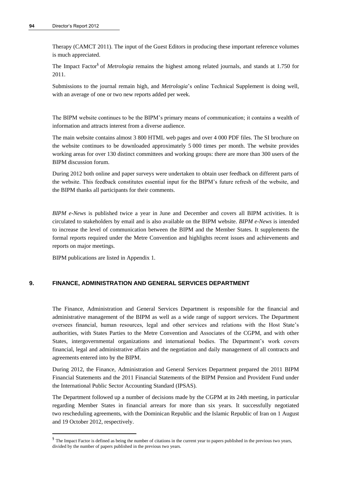Therapy (CAMCT 2011). The input of the Guest Editors in producing these important reference volumes is much appreciated.

The Impact Factor<sup>§</sup> of *Metrologia* remains the highest among related journals, and stands at 1.750 for 2011.

Submissions to the journal remain high, and *Metrologia*'s online Technical Supplement is doing well, with an average of one or two new reports added per week.

The BIPM website continues to be the BIPM's primary means of communication; it contains a wealth of information and attracts interest from a diverse audience.

The main website contains almost 3 800 HTML web pages and over 4 000 PDF files. The SI brochure on the website continues to be downloaded approximately 5 000 times per month. The website provides working areas for over 130 distinct committees and working groups: there are more than 300 users of the BIPM discussion forum.

During 2012 both online and paper surveys were undertaken to obtain user feedback on different parts of the website. This feedback constitutes essential input for the BIPM's future refresh of the website, and the BIPM thanks all participants for their comments.

*BIPM e-News* is published twice a year in June and December and covers all BIPM activities. It is circulated to stakeholders by email and is also available on the BIPM website. *BIPM e-News* is intended to increase the level of communication between the BIPM and the Member States. It supplements the formal reports required under the Metre Convention and highlights recent issues and achievements and reports on major meetings.

BIPM publications are listed in Appendix 1.

 $\overline{a}$ 

#### **9. FINANCE, ADMINISTRATION AND GENERAL SERVICES DEPARTMENT**

The Finance, Administration and General Services Department is responsible for the financial and administrative management of the BIPM as well as a wide range of support services. The Department oversees financial, human resources, legal and other services and relations with the Host State's authorities, with States Parties to the Metre Convention and Associates of the CGPM, and with other States, intergovernmental organizations and international bodies. The Department's work covers financial, legal and administrative affairs and the negotiation and daily management of all contracts and agreements entered into by the BIPM.

During 2012, the Finance, Administration and General Services Department prepared the 2011 BIPM Financial Statements and the 2011 Financial Statements of the BIPM Pension and Provident Fund under the International Public Sector Accounting Standard (IPSAS).

The Department followed up a number of decisions made by the CGPM at its 24th meeting, in particular regarding Member States in financial arrears for more than six years. It successfully negotiated two rescheduling agreements, with the Dominican Republic and the Islamic Republic of Iran on 1 August and 19 October 2012, respectively.

 $§$  The Impact Factor is defined as being the number of citations in the current year to papers published in the previous two years, divided by the number of papers published in the previous two years.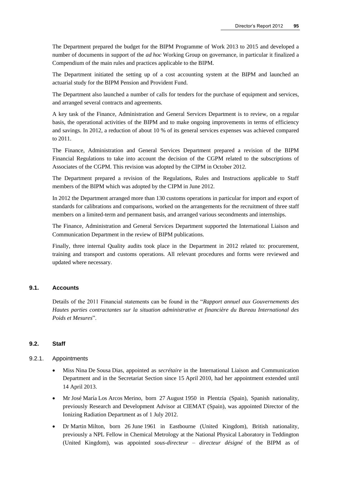The Department prepared the budget for the BIPM Programme of Work 2013 to 2015 and developed a number of documents in support of the *ad hoc* Working Group on governance, in particular it finalized a Compendium of the main rules and practices applicable to the BIPM.

The Department initiated the setting up of a cost accounting system at the BIPM and launched an actuarial study for the BIPM Pension and Provident Fund.

The Department also launched a number of calls for tenders for the purchase of equipment and services, and arranged several contracts and agreements.

A key task of the Finance, Administration and General Services Department is to review, on a regular basis, the operational activities of the BIPM and to make ongoing improvements in terms of efficiency and savings. In 2012, a reduction of about 10 % of its general services expenses was achieved compared to 2011.

The Finance, Administration and General Services Department prepared a revision of the BIPM Financial Regulations to take into account the decision of the CGPM related to the subscriptions of Associates of the CGPM. This revision was adopted by the CIPM in October 2012.

The Department prepared a revision of the Regulations, Rules and Instructions applicable to Staff members of the BIPM which was adopted by the CIPM in June 2012.

In 2012 the Department arranged more than 130 customs operations in particular for import and export of standards for calibrations and comparisons, worked on the arrangements for the recruitment of three staff members on a limited-term and permanent basis, and arranged various secondments and internships.

The Finance, Administration and General Services Department supported the International Liaison and Communication Department in the review of BIPM publications.

Finally, three internal Quality audits took place in the Department in 2012 related to: procurement, training and transport and customs operations. All relevant procedures and forms were reviewed and updated where necessary.

#### **9.1. Accounts**

Details of the 2011 Financial statements can be found in the "*Rapport annuel aux Gouvernements des Hautes parties contractantes sur la situation administrative et financière du Bureau International des Poids et Mesures*".

#### **9.2. Staff**

#### 9.2.1. Appointments

- Miss Nina De Sousa Dias, appointed as *secrétaire* in the International Liaison and Communication Department and in the Secretariat Section since 15 April 2010, had her appointment extended until 14 April 2013.
- Mr José María Los Arcos Merino, born 27 August 1950 in Plentzia (Spain), Spanish nationality, previously Research and Development Advisor at CIEMAT (Spain), was appointed Director of the Ionizing Radiation Department as of 1 July 2012.
- Dr Martin Milton, born 26 June 1961 in Eastbourne (United Kingdom), British nationality, previously a NPL Fellow in Chemical Metrology at the National Physical Laboratory in Teddington (United Kingdom), was appointed *sous-directeur – directeur désigné* of the BIPM as of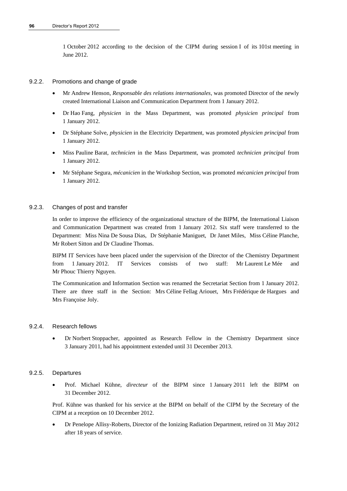1 October 2012 according to the decision of the CIPM during session I of its 101st meeting in June 2012.

## 9.2.2. Promotions and change of grade

- Mr Andrew Henson, *Responsable des relations internationales*, was promoted Director of the newly created International Liaison and Communication Department from 1 January 2012.
- Dr Hao Fang, *physicien* in the Mass Department, was promoted *physicien principal* from 1 January 2012.
- Dr Stéphane Solve, *physicien* in the Electricity Department, was promoted *physicien principal* from 1 January 2012.
- Miss Pauline Barat, *technicien* in the Mass Department, was promoted *technicien principal* from 1 January 2012.
- Mr Stéphane Segura, *mécanicien* in the Workshop Section, was promoted *mécanicien principal* from 1 January 2012.

## 9.2.3. Changes of post and transfer

In order to improve the efficiency of the organizational structure of the BIPM, the International Liaison and Communication Department was created from 1 January 2012. Six staff were transferred to the Department: Miss Nina De Sousa Dias, Dr Stéphanie Maniguet, Dr Janet Miles, Miss Céline Planche, Mr Robert Sitton and Dr Claudine Thomas.

BIPM IT Services have been placed under the supervision of the Director of the Chemistry Department from 1 January 2012. IT Services consists of two staff: Mr Laurent Le Mée and Mr Phouc Thierry Nguyen.

The Communication and Information Section was renamed the Secretariat Section from 1 January 2012. There are three staff in the Section: Mrs Céline Fellag Ariouet, Mrs Frédérique de Hargues and Mrs Françoise Joly.

#### 9.2.4. Research fellows

 Dr Norbert Stoppacher, appointed as Research Fellow in the Chemistry Department since 3 January 2011, had his appointment extended until 31 December 2013.

#### 9.2.5. Departures

 Prof. Michael Kühne, *directeur* of the BIPM since 1 January 2011 left the BIPM on 31 December 2012.

Prof. Kühne was thanked for his service at the BIPM on behalf of the CIPM by the Secretary of the CIPM at a reception on 10 December 2012.

 Dr Penelope Allisy-Roberts, Director of the Ionizing Radiation Department, retired on 31 May 2012 after 18 years of service.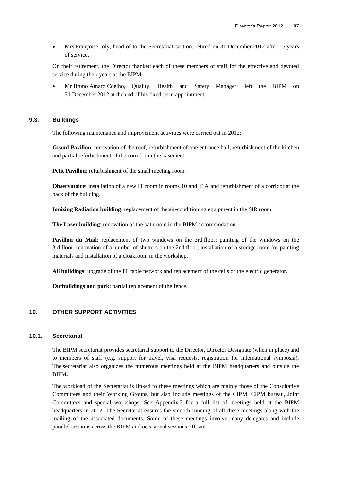Mrs Françoise Joly, head of to the Secretariat section*,* retired on 31 December 2012 after 15 years of service.

On their retirement, the Director thanked each of these members of staff for the effective and devoted service during their years at the BIPM.

 Mr Bruno Amaro Coelho, Quality, Health and Safety Manager, left the BIPM on 31 December 2012 at the end of his fixed-term appointment.

#### **9.3. Buildings**

The following maintenance and improvement activities were carried out in 2012:

**Grand Pavillon**: renovation of the roof, refurbishment of one entrance hall, refurbishment of the kitchen and partial refurbishment of the corridor in the basement.

**Petit Pavillon**: refurbishment of the small meeting room.

**Observatoire**: installation of a new IT room in rooms 10 and 11A and refurbishment of a corridor at the back of the building.

**Ionizing Radiation building**: replacement of the air-conditioning equipment in the SIR room.

**The Laser building**: renovation of the bathroom in the BIPM accommodation.

**Pavillon du Mail**: replacement of two windows on the 3rd floor; painting of the windows on the 3rd floor, renovation of a number of shutters on the 2nd floor, installation of a storage room for painting materials and installation of a cloakroom in the workshop.

**All buildings**: upgrade of the IT cable network and replacement of the cells of the electric generator.

**Outbuildings and park**: partial replacement of the fence.

## **10. OTHER SUPPORT ACTIVITIES**

## **10.1. Secretariat**

The BIPM secretariat provides secretarial support to the Director, Director Designate (when in place) and to members of staff (e.g. support for travel, visa requests, registration for international symposia). The secretariat also organizes the numerous meetings held at the BIPM headquarters and outside the BIPM.

The workload of the Secretariat is linked to these meetings which are mainly those of the Consultative Committees and their Working Groups, but also include meetings of the CIPM, CIPM bureau, Joint Committees and special workshops. See Appendix 3 for a full list of meetings held at the BIPM headquarters in 2012. The Secretariat ensures the smooth running of all these meetings along with the mailing of the associated documents. Some of these meetings involve many delegates and include parallel sessions across the BIPM and occasional sessions off-site.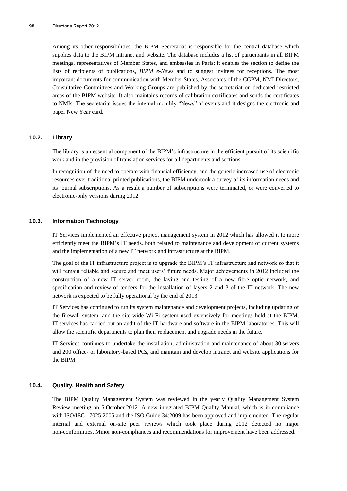Among its other responsibilities, the BIPM Secretariat is responsible for the central database which supplies data to the BIPM intranet and website. The database includes a list of participants in all BIPM meetings, representatives of Member States, and embassies in Paris; it enables the section to define the lists of recipients of publications, *BIPM e-News* and to suggest invitees for receptions. The most important documents for communication with Member States, Associates of the CGPM, NMI Directors, Consultative Committees and Working Groups are published by the secretariat on dedicated restricted areas of the BIPM website. It also maintains records of calibration certificates and sends the certificates to NMIs. The secretariat issues the internal monthly "News" of events and it designs the electronic and paper New Year card.

#### **10.2. Library**

The library is an essential component of the BIPM's infrastructure in the efficient pursuit of its scientific work and in the provision of translation services for all departments and sections.

In recognition of the need to operate with financial efficiency, and the generic increased use of electronic resources over traditional printed publications, the BIPM undertook a survey of its information needs and its journal subscriptions. As a result a number of subscriptions were terminated, or were converted to electronic-only versions during 2012.

## **10.3. Information Technology**

IT Services implemented an effective project management system in 2012 which has allowed it to more efficiently meet the BIPM's IT needs, both related to maintenance and development of current systems and the implementation of a new IT network and infrastructure at the BIPM.

The goal of the IT infrastructure project is to upgrade the BIPM's IT infrastructure and network so that it will remain reliable and secure and meet users' future needs. Major achievements in 2012 included the construction of a new IT server room, the laying and testing of a new fibre optic network, and specification and review of tenders for the installation of layers 2 and 3 of the IT network. The new network is expected to be fully operational by the end of 2013.

IT Services has continued to run its system maintenance and development projects, including updating of the firewall system, and the site-wide Wi-Fi system used extensively for meetings held at the BIPM. IT services has carried out an audit of the IT hardware and software in the BIPM laboratories. This will allow the scientific departments to plan their replacement and upgrade needs in the future.

IT Services continues to undertake the installation, administration and maintenance of about 30 servers and 200 office- or laboratory-based PCs, and maintain and develop intranet and website applications for the BIPM.

#### **10.4. Quality, Health and Safety**

The BIPM Quality Management System was reviewed in the yearly Quality Management System Review meeting on 5 October 2012. A new integrated BIPM Quality Manual, which is in compliance with ISO/IEC 17025:2005 and the ISO Guide 34:2009 has been approved and implemented. The regular internal and external on-site peer reviews which took place during 2012 detected no major non-conformities. Minor non-compliances and recommendations for improvement have been addressed.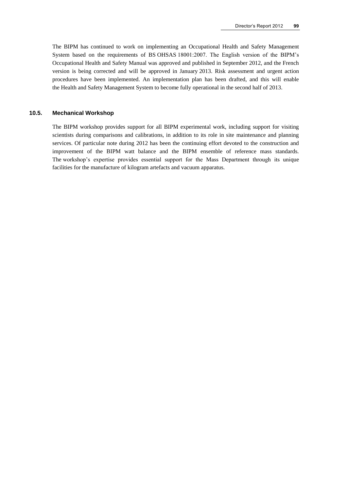The BIPM has continued to work on implementing an Occupational Health and Safety Management System based on the requirements of BS OHSAS 18001:2007. The English version of the BIPM's Occupational Health and Safety Manual was approved and published in September 2012, and the French version is being corrected and will be approved in January 2013. Risk assessment and urgent action procedures have been implemented. An implementation plan has been drafted, and this will enable the Health and Safety Management System to become fully operational in the second half of 2013.

#### **10.5. Mechanical Workshop**

The BIPM workshop provides support for all BIPM experimental work, including support for visiting scientists during comparisons and calibrations, in addition to its role in site maintenance and planning services. Of particular note during 2012 has been the continuing effort devoted to the construction and improvement of the BIPM watt balance and the BIPM ensemble of reference mass standards. The workshop's expertise provides essential support for the Mass Department through its unique facilities for the manufacture of kilogram artefacts and vacuum apparatus.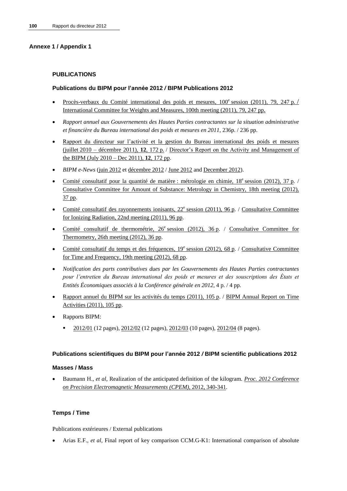## **Annexe 1 / Appendix 1**

## **PUBLICATIONS**

## **Publications du BIPM pour l'année 2012** */* **BIPM Publications 2012**

- · Procès-verbaux du Comité international des poids et mesures,  $100^{\circ}$  session (2011), 79, 247 p./ [International Committee for Weights and Measures, 100th meeting \(2011\), 79, 247 pp](http://www.bipm.org/utils/en/pdf/CIPM2011-EN.pdf).
- *Rapport annuel aux Gouvernements des Hautes Parties contractantes sur la situation administrative et financière du Bureau international des poids et mesures en 2011*, 236p. / 236 pp.
- [Rapport du directeur sur l'activité et la gestion du Bureau international des poids et mesures](http://www.bipm.org/utils/fr/pdf/DIR2011-FR.pdf)  (juillet 2010 – [décembre 2011\),](http://www.bipm.org/utils/fr/pdf/DIR2011-FR.pdf) **12**, 172 p. / [Director's Report on the Activity and Management of](http://www.bipm.org/utils/en/pdf/DIR2011-EN.pdf)  [the BIPM \(July 2010 –](http://www.bipm.org/utils/en/pdf/DIR2011-EN.pdf) Dec 2011), **12**, 172 pp.
- *BIPM e-News* [\(juin 2012](http://www.bipm.org/utils/common/pdf/enews/BIPM_News-2012_06.pdf) et [décembre 2012](http://www.bipm.org/utils/common/pdf/enews/BIPM_News-2012_12.pdf) / [June 2012](http://www.bipm.org/utils/common/pdf/enews/BIPM_News-2012_06.pdf) and [December 2012\)](http://www.bipm.org/utils/common/pdf/enews/BIPM_News-2012_12.pdf).
- [Comité consultatif pour la quantité de matière](http://www.bipm.org/utils/common/pdf/CCQM18.pdf) : métrologie en chimie, 18<sup>e</sup> session (2012), 37 p. / [Consultative Committee for Amount of Substance:](http://www.bipm.org/utils/common/pdf/CCQM18.pdf) Metrology in Chemistry, 18th meeting (2012), 37 [pp.](http://www.bipm.org/utils/common/pdf/CCQM18.pdf)
- Comité consultatif des rayonnements ionisants,  $22^e$  session (2011), 96 p. / Consultative Committee [for Ionizing Radiation, 22nd meeting \(2011\), 96](http://www.bipm.org/utils/common/pdf/CCRI22.pdf) pp.
- Comité consultatif de thermométrie,  $26^e$  session (2012), 36 p. / Consultative Committee for [Thermometry, 26th meeting \(2012\), 36](http://www.bipm.org/utils/common/pdf/CCT26.pdf) pp.
- Comité consultatif du temps et des fréquences,  $19^e$  session (2012), 68 p. / Consultative Committee [for Time and Frequency,](http://www.bipm.org/utils/common/pdf/CCTF19.pdf) 19th meeting (2012), 68 pp.
- *Notification des parts contributives dues par les Gouvernements des Hautes Parties contractantes*  pour l'entretien du Bureau international des poids et mesures et des souscriptions des États et *Entités Économiques associés à la Conférence générale en 2012*, 4 p. / 4 pp.
- [Rapport annuel du BIPM sur les activités du temps \(2011\), 105](http://www.bipm.org/utils/en/pdf/time_ann_rep/Time_annual_report_2011.pdf) p. / BIPM Annual Report on Time [Activities \(2011\), 105](http://www.bipm.org/utils/en/pdf/time_ann_rep/Time_annual_report_2011.pdf) pp.
- Rapports BIPM:
	- [2012/01](http://www.bipm.org/utils/common/pdf/rapportBIPM/2012/01.pdf) (12 pages), [2012/02](http://www.bipm.org/utils/common/pdf/rapportBIPM/2012/02.pdf) (12 pages), [2012/03](http://www.bipm.org/utils/common/pdf/rapportBIPM/2012/03.pdf) (10 pages)[, 2012/04](http://www.bipm.org/utils/common/pdf/rapportBIPM/2012/04.pdf) (8 pages).

## **Publications scientifiques du BIPM pour l'année 2012** */* **BIPM scientific publications 2012**

#### **Masses / Mass**

 Baumann H., *et al*, Realization of the anticipated definition of the kilogram. *[Proc. 2012 Conference](http://dx.doi.org/10.1109/CPEM.2012.6250941)  [on Precision Electromagnetic Measurements \(CPEM\),](http://dx.doi.org/10.1109/CPEM.2012.6250941)* 2012, 340-341.

## **Temps / Time**

Publications extérieures / External publications

Arias E.F., *et al*, Final report of key comparison CCM.G-K1: International comparison of absolute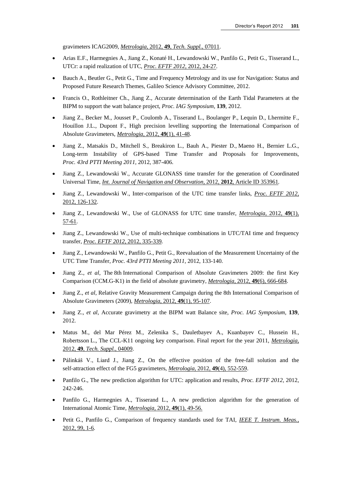gravimeters ICAG2009, *Metrologia,* 2012, **49**, *[Tech. Suppl.,](http://stacks.iop.org/0026-1394/49/07011)* 07011.

- Arias E.F., Harmegnies A., Jiang Z., Konaté H., Lewandowski W., Panfilo G., Petit G., Tisserand L., UTCr: a rapid realization of UTC, *Proc. EFTF 2012*[, 2012, 24-27](http://www.eftf.org/proceedings/proceedingsEFTF2012.pdf#page=100)*.*
- Bauch A., Beutler G., Petit G., Time and Frequency Metrology and its use for Navigation: Status and Proposed Future Research Themes, Galileo Science Advisory Committee, 2012.
- Francis O., Rothleitner Ch., Jiang Z., Accurate determination of the Earth Tidal Parameters at the BIPM to support the watt balance project, *Proc. IAG Symposium*, **139**, 2012.
- Jiang Z., Becker M., Jousset P., Coulomb A., Tisserand L., Boulanger P., Lequin D., Lhermitte F., Houillon J.L., Dupont F., High precision levelling supporting the International Comparison of Absolute Gravimeters, *[Metrologia,](http://stacks.iop.org/0026-1394/49/41)* 2012, **49**(1), 41-48.
- Jiang Z., Matsakis D., Mitchell S., Breakiron L., Bauh A., Piester D., Maeno H., Bernier L.G., Long-term Instability of GPS-based Time Transfer and Proposals for Improvements, *Proc. 43rd PTTI Meeting 2011,* 2012, 387-406.
- Jiang Z., Lewandowski W., Accurate GLONASS time transfer for the generation of Coordinated Universal Time, *[Int. Journal of Navigation and Observation](http://dx.doi.org/doi:10.1155/2012/353961)*, 2012, **2012**, Article ID 353961*.*
- Jiang Z., Lewandowski W., Inter-comparison of the UTC time transfer links, *[Proc. EFTF 2012,](http://www.eftf.org/proceedings/proceedingsEFTF2012.pdf#page=126)*  2012, [126-132.](http://www.eftf.org/proceedings/proceedingsEFTF2012.pdf#page=126)
- Jiang Z., Lewandowski W., Use of GLONASS for UTC time transfer, *[Metrologia,](http://stacks.iop.org/0026-1394/49/57)* 2012, **49**(1), [57-61.](http://stacks.iop.org/0026-1394/49/57)
- Jiang Z., Lewandowski W., Use of multi-technique combinations in UTC/TAI time and frequency transfer, *Proc. EFTF 2012*[, 2012, 335-339](http://www.eftf.org/proceedings/proceedingsEFTF2012.pdf#page=335)*.*
- Jiang Z., Lewandowski W., Panfilo G., Petit G., Reevaluation of the Measurement Uncertainty of the UTC Time Transfer, *Proc. 43rd PTTI Meeting 2011,* 2012, 133-140.
- Jiang Z., *et al*, The 8th International Comparison of Absolute Gravimeters 2009: the first Key Comparison (CCM.G-K1) in the field of absolute gravimetry, *Metrologia,* 2012, **49**[\(6\), 666-684.](http://stacks.iop.org/0026-1394/49/666)
- Jiang Z., *et al*, Relative Gravity Measurement Campaign during the 8th International Comparison of Absolute Gravimeters (2009), *[Metrologia,](http://stacks.iop.org/0026-1394/49/95)* 2012, **49**(1), 95-107.
- Jiang Z., *et al*, Accurate gravimetry at the BIPM watt Balance site, *Proc. IAG Symposium*, **139**, 2012.
- Matus M., del Mar Pérez M., Zelenika S., Dauletbayev A., Kuanbayev C., Hussein H., Robertsson L., The CCL-K11 ongoing key comparison. Final report for the year 2011, *[Metrologia,](http://stacks.iop.org/0026-1394/49/04009)* 2012, **49**, *[Tech. Suppl.,](http://stacks.iop.org/0026-1394/49/04009)* 04009.
- Pálinkáš V., Liard J., Jiang Z., On the effective position of the free-fall solution and the self-attraction effect of the FG5 gravimeters, *Metrologia,* 2012, **49**[\(4\), 552-559.](http://stacks.iop.org/0026-1394/49/552)
- Panfilo G., The new prediction algorithm for UTC: application and results, *Proc. EFTF 2012,* 2012, 242-246.
- Panfilo G., Harmegnies A., Tisserand L., A new prediction algorithm for the generation of International Atomic Time, *[Metrologia,](http://stacks.iop.org/0026-1394/49/49)* 2012, **49**(1), 49-56.
- Petit G., Panfilo G., Comparison of frequency standards used for TAI, *[IEEE T. Instrum. Meas.](http://dx.doi.org/10.1109/TIM.2012.2228749)*, [2012, 99, 1-6](http://dx.doi.org/10.1109/TIM.2012.2228749)*.*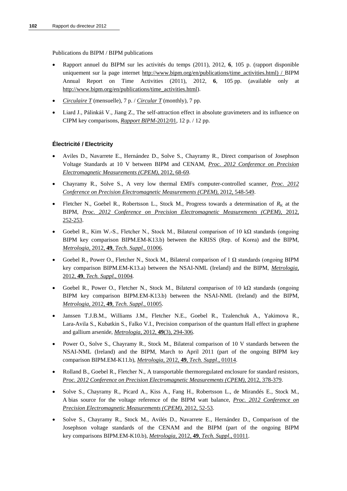Publications du BIPM / BIPM publications

- Rapport annuel du BIPM sur les activités du temps (2011), 2012, **6**, 105 p. (rapport disponible uniquement sur la page internet [http://www.bipm.org/en/publications/time\\_activities.html\)](http://www.bipm.org/en/publications/time_activities.html) / BIPM Annual Report on Time Activities (2011), 2012, **6**, 105 pp. (available only at [http://www.bipm.org/en/publications/time\\_activities.html\)](http://www.bipm.org/en/publications/time_activities.html).
- *[Circulaire T](ftp://62.161.69.5/pub/tai/publication/cirt/)* (mensuelle), 7 p. / *[Circular T](ftp://62.161.69.5/pub/tai/publication/cirt/)* (monthly), 7 pp.
- Liard J., Pálinkáš V., Jiang Z., The self-attraction effect in absolute gravimeters and its influence on CIPM key comparisons, *[Rapport BIPM-](http://www.bipm.org/utils/common/pdf/rapportBIPM/2012/01.pdf)*2012/01, 12 p. / 12 pp.

## **Électricité / Electricity**

- Aviles D., Navarrete E., Hernández D., Solve S., Chayramy R., Direct comparison of Josephson Voltage Standards at 10 V between BIPM and CENAM, *[Proc. 2012 Conference on Precision](http://dx.doi.org/10.1109/CPEM.2012.6250664)  [Electromagnetic Measurements \(CPEM\)](http://dx.doi.org/10.1109/CPEM.2012.6250664)*, 2012, 68-69.
- Chayramy R., Solve S., A very low thermal EMFs computer-controlled scanner, *[Proc. 2012](http://dx.doi.org/10.1109/CPEM.2012.6251046)  [Conference on Precision Electromagnetic Measurements \(CPEM\)](http://dx.doi.org/10.1109/CPEM.2012.6251046)*, 2012, 548-549.
- Fletcher N., Goebel R., Robertsson L., Stock M., Progress towards a determination of  $R_K$  at the BIPM, *[Proc. 2012 Conference on Precision Electromagnetic Measurements \(CPEM\)](http://dx.doi.org/10.1109/CPEM.2012.6250897)*, 2012, [252-253.](http://dx.doi.org/10.1109/CPEM.2012.6250897)
- Goebel R., Kim W.-S., Fletcher N., Stock M., Bilateral comparison of 10 k $\Omega$  standards (ongoing BIPM key comparison BIPM.EM-K13.b) between the KRISS (Rep. of Korea) and the BIPM, *Metrologia,* 2012, **49**, *[Tech. Suppl.,](http://iopscience.iop.org/0026-1394/49/1A/01006/)* 01006*.*
- Goebel R., Power O., Fletcher N., Stock M., Bilateral comparison of 1  $\Omega$  standards (ongoing BIPM key comparison BIPM.EM-K13.a) between the NSAI-NML (Ireland) and the BIPM, *[Metrologia,](http://iopscience.iop.org/0026-1394/49/1A/01004/)* 2012, **49**, *[Tech. Suppl.,](http://iopscience.iop.org/0026-1394/49/1A/01004/)* 01004*.*
- Goebel R., Power O., Fletcher N., Stock M., Bilateral comparison of 10 k $\Omega$  standards (ongoing BIPM key comparison BIPM.EM-K13.b) between the NSAI-NML (Ireland) and the BIPM, *Metrologia,* 2012, **49**, *[Tech. Suppl.,](http://iopscience.iop.org/0026-1394/49/1A/01005/)* 01005.
- [Janssen](http://iopscience.iop.org/search?searchType=fullText&fieldedquery=T+J+B+M+Janssen&f=author&time=all&issn=) T.J.B.M., [Williams](http://iopscience.iop.org/search?searchType=fullText&fieldedquery=J+M+Williams&f=author&time=all&issn=) J.M., [Fletcher](http://iopscience.iop.org/search?searchType=fullText&fieldedquery=N+E+Fletcher&f=author&time=all&issn=) N.E., [Goebel](http://iopscience.iop.org/search?searchType=fullText&fieldedquery=R+Goebel&f=author&time=all&issn=) R., [Tzalenchuk](http://iopscience.iop.org/search?searchType=fullText&fieldedquery=A+Tzalenchuk&f=author&time=all&issn=) A., [Yakimova](http://iopscience.iop.org/search?searchType=fullText&fieldedquery=R+Yakimova&f=author&time=all&issn=) R., [Lara-Avila](http://iopscience.iop.org/search?searchType=fullText&fieldedquery=S+Lara-Avila&f=author&time=all&issn=) S., Kubatkin S., [Falko](http://iopscience.iop.org/search?searchType=fullText&fieldedquery=V+I+Falko&f=author&time=all&issn=) V.I., Precision comparison of the quantum Hall effect in graphene and gallium arsenide, *Metrologia*, 2012, **49**[\(3\), 294-306.](http://stacks.iop.org/0026-1394/49/294)
- Power O., Solve S., Chayramy R., Stock M., Bilateral comparison of 10 V standards between the NSAI-NML (Ireland) and the BIPM, March to April 2011 (part of the ongoing BIPM key comparison BIPM.EM-K11.b), *Metrologia*, 2012, **49**, *[Tech. Suppl](http://stacks.iop.org/0026-1394/49/01014)*., 01014.
- Rolland B., Goebel R., Fletcher N., A transportable thermoregulated enclosure for standard resistors, *[Proc. 2012 Conference on Precision Electromagnetic Measurements \(CPEM\)](http://dx.doi.org/10.1109/CPEM.2012.6250961)*, 2012, 378-379.
- Solve S., Chayramy R., Picard A., Kiss A., Fang H., Robertsson L., de Mirandés E., Stock M., A bias source for the voltage reference of the BIPM watt balance, *[Proc. 2012 Conference on](http://dx.doi.org/10.1109/CPEM.2012.6250656)  [Precision Electromagnetic Measurements \(CPEM\),](http://dx.doi.org/10.1109/CPEM.2012.6250656)* 2012, 52-53.
- Solve S., Chayramy R., Stock M., Avilés D., Navarrete E., Hernández D., Comparison of the Josephson voltage standards of the CENAM and the BIPM (part of the ongoing BIPM key comparisons BIPM.EM-K10.b), *Metrologia*, 2012, **49**, *[Tech. Suppl](http://stacks.iop.org/0026-1394/49/01011)*., 01011.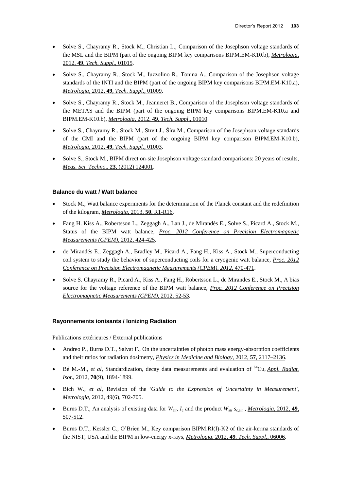- Solve S., Chayramy R., Stock M., Christian L., Comparison of the Josephson voltage standards of the MSL and the BIPM (part of the ongoing BIPM key comparisons BIPM.EM-K10.b), *[Metrologia](http://stacks.iop.org/0026-1394/49/01015)*, 2012, **49**, *[Tech. Suppl.](http://stacks.iop.org/0026-1394/49/01015)*, 01015.
- Solve S., Chayramy R., Stock M., Iuzzolino R., Tonina A., Comparison of the Josephson voltage standards of the INTI and the BIPM (part of the ongoing BIPM key comparisons BIPM.EM-K10.a), *Metrologia*, 2012, **49**, *[Tech. Suppl](http://stacks.iop.org/0026-1394/49/01009)*., 01009.
- Solve S., Chayramy R., Stock M., Jeanneret B., Comparison of the Josephson voltage standards of the METAS and the BIPM (part of the ongoing BIPM key comparisons BIPM.EM-K10.a and BIPM.EM-K10.b), *Metrologia*, 2012, **49**, *[Tech. Suppl](http://stacks.iop.org/0026-1394/49/01010)*., 01010.
- Solve S., Chayramy R., Stock M., Streit J., Šíra M., Comparison of the Josephson voltage standards of the CMI and the BIPM (part of the ongoing BIPM key comparison BIPM.EM-K10.b), *Metrologia,* 2012, **49**, *[Tech. Suppl.,](http://iopscience.iop.org/0026-1394/49/1A/01003/)* 01003.
- Solve S., Stock M., BIPM direct on-site Josephson voltage standard comparisons: 20 years of results, *[Meas. Sci. Techno](http://stacks.iop.org/MST/23/124001)*., **23**, (2012) 124001.

#### **Balance du watt / Watt balance**

- Stock M., Watt balance experiments for the determination of the Planck constant and the redefinition of the kilogram, *[Metrologia](http://iopscience.iop.org/0026-1394/50/1/R1/)*, 2013, **50**, R1-R16.
- Fang H. Kiss A., Robertsson L., Zeggagh A., Lan J., de Mirandés E., Solve S., Picard A., Stock M., Status of the BIPM watt balance, *[Proc. 2012 Conference on Precision Electromagnetic](http://dx.doi.org/10.1109/CPEM.2012.6250984)  [Measurements \(CPEM\),](http://dx.doi.org/10.1109/CPEM.2012.6250984)* 2012, 424-425.
- de Mirandés E., Zeggagh A., Bradley M., Picard A., Fang H., Kiss A., Stock M., Superconducting coil system to study the behavior of superconducting coils for a cryogenic watt balance, *[Proc. 2012](http://dx.doi.org/10.1109/CPEM.2012.6251007)  [Conference on Precision Electromagnetic Measurements \(CPEM\), 2012,](http://dx.doi.org/10.1109/CPEM.2012.6251007)* 470-471.
- Solve S. [Chayramy R.,](http://ieeexplore.ieee.org/search/searchresult.jsp?searchWithin=p_Authors:.QT.Chayramy,%20R..QT.&newsearch=partialPref) [Picard A.,](http://ieeexplore.ieee.org/search/searchresult.jsp?searchWithin=p_Authors:.QT.Picard,%20A..QT.&newsearch=partialPref) [Kiss A.,](http://ieeexplore.ieee.org/search/searchresult.jsp?searchWithin=p_Authors:.QT.Kiss,%20A..QT.&newsearch=partialPref) [Fang H.,](http://ieeexplore.ieee.org/search/searchresult.jsp?searchWithin=p_Authors:.QT.Fang,%20H..QT.&newsearch=partialPref) [Robertsson L.](http://ieeexplore.ieee.org/search/searchresult.jsp?searchWithin=p_Authors:.QT.Robertsson,%20L..QT.&newsearch=partialPref), [de Mirandes E.,](http://ieeexplore.ieee.org/search/searchresult.jsp?searchWithin=p_Authors:.QT.de%20Mirandes,%20E..QT.&newsearch=partialPref) [Stock](http://ieeexplore.ieee.org/search/searchresult.jsp?searchWithin=p_Authors:.QT.Stock,%20M..QT.&newsearch=partialPref) M., A bias source for the voltage reference of the BIPM watt balance, *[Proc. 2012 Conference on Precision](http://dx.doi.org/10.1109/CPEM.2012.6250656)  [Electromagnetic Measurements \(CPEM\),](http://dx.doi.org/10.1109/CPEM.2012.6250656)* 2012, 52-53.

#### **Rayonnements ionisants / Ionizing Radiation**

Publications extérieures / External publications

- Andreo P., Burns D.T., Salvat F., On the uncertainties of photon mass energy-absorption coefficients and their ratios for radiation dosimetry, *[Physics in Medicine and Biology](http://stacks.iop.org/0031-9155/57/2117)*, 2012, **57**, 2117–2136.
- Bé M.-M., *et al*, Standardization, decay data measurements and evaluation of <sup>64</sup>Cu, *[Appl. Radiat.](http://dx.doi.org/10.1016/j.apradiso.2012.02.056)  Isot*., 2012, **70**[\(9\), 1894-1899.](http://dx.doi.org/10.1016/j.apradiso.2012.02.056)
- Bich W., *et al*, Revision of the *'Guide to the Expression of Uncertainty in Measurement'*, *Metrologia,* [2012, 49\(6\), 702-705.](http://iopscience.iop.org/0026-1394/49/6/702/)
- Burns D.T., An analysis of existing data for *W*air, *I*<sup>c</sup> and the product *W*air *s*c,air , *[Metrologia](http://stacks.iop.org/0026-1394/49/507)*, 2012, **49**, [507-512.](http://stacks.iop.org/0026-1394/49/507)
- Burns D.T., Kessler C., O'Brien M., Key comparison BIPM.RI(I)-K2 of the air-kerma standards of the NIST, USA and the BIPM in low-energy x-rays, *[Metrologia](http://stacks.iop.org/0026-1394/49/06006)*, 2012, **49**, *Tech. Suppl.*, 06006.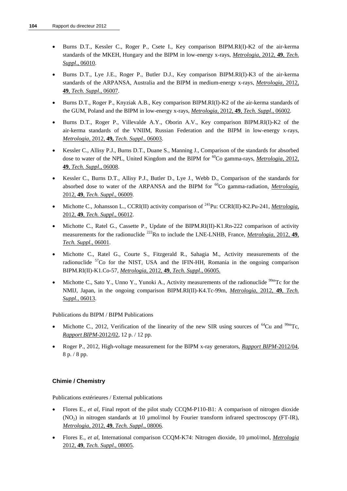- Burns D.T., Kessler C., Roger P., Csete I., Key comparison BIPM.RI(I)-K2 of the air-kerma standards of the MKEH, Hungary and the BIPM in low-energy x-rays, *[Metrologia](http://stacks.iop.org/0026-1394/49/06010)*, 2012, **49**, *Tech*. *Suppl*[., 06010.](http://stacks.iop.org/0026-1394/49/06010)
- Burns D.T., Lye J.E., Roger P., Butler D.J., Key comparison BIPM.RI(I)-K3 of the air-kerma standards of the ARPANSA, Australia and the BIPM in medium-energy x-rays, *[Metrologia](http://stacks.iop.org/0026-1394/49/06007)*, 2012, **49**, *[Tech. Suppl.](http://stacks.iop.org/0026-1394/49/06007)*, 06007.
- Burns D.T., Roger P., Knyziak A.B., Key comparison BIPM.RI(I)-K2 of the air-kerma standards of the GUM, Poland and the BIPM in low-energy x-rays, *Metrologia*, 2012, **49**, *[Tech. Suppl](http://stacks.iop.org/0026-1394/49/06002)*., 06002*.*
- Burns D.T., Roger P., Villevalde A.Y., Oborin A.V., Key comparison BIPM.RI(I)-K2 of the air-kerma standards of the VNIIM, Russian Federation and the BIPM in low-energy x-rays, *Metrologia*, 2012, **49,** *[Tech. Suppl.](http://stacks.iop.org/0026-1394/49/06003)*, 06003.
- Kessler C., Allisy P.J., Burns D.T., Duane S., Manning J., Comparison of the standards for absorbed dose to water of the NPL, United Kingdom and the BIPM for <sup>60</sup>Co gamma-rays, *[Metrologia](http://stacks.iop.org/0026-1394/49/06008)*, 2012, **49**, *[Tech. Suppl](http://stacks.iop.org/0026-1394/49/06008)*., 06008.
- Kessler C., Burns D.T., Allisy P.J., Butler D., Lye J., Webb D., Comparison of the standards for absorbed dose to water of the ARPANSA and the BIPM for <sup>60</sup>Co gamma-radiation, *[Metrologia](http://stacks.iop.org/0026-1394/49/06009)*, 2012, **49**, *[Tech. Suppl](http://stacks.iop.org/0026-1394/49/06009)*., 06009*.*
- Michotte C., Johansson L., CCRI(II) activity comparison of <sup>241</sup>Pu: CCRI(II)-K2.Pu-241, *[Metrologia](http://iopscience.iop.org/0026-1394/49/1A/06012/)*, 2012, **49**, *[Tech. Suppl](http://iopscience.iop.org/0026-1394/49/1A/06012/)*., 06012.
- Michotte C., Ratel G., Cassette P., Update of the BIPM.RI(II)-K1.Rn-222 comparison of activity measurements for the radionuclide <sup>222</sup>Rn to include the LNE-LNHB, France, *[Metrologia](http://stacks.iop.org/0026-1394/49/06001)*, 2012, **49**, *[Tech. Suppl](http://stacks.iop.org/0026-1394/49/06001)*., 06001.
- Michotte C., Ratel G., Courte S., Fitzgerald R., Sahagia M., Activity measurements of the radionuclide  $57C$  for the NIST, USA and the IFIN-HH, Romania in the ongoing comparison BIPM.RI(II)-K1.Co-57, *Metrologia*, 2012, **49**, *[Tech. Suppl](http://stacks.iop.org/met/49/06005)*., 06005.
- Michotte C., Sato Y., Unno Y., Yunoki A., Activity measurements of the radionuclide  $\frac{99m}{Tc}$  for the NMIJ, Japan, in the ongoing comparison BIPM.RI(II)-K4.Tc-99m, *[Metrologia](http://stacks.iop.org/met/49/06013)*, 2012, **49**, *Tech. Suppl.*[, 06013.](http://stacks.iop.org/met/49/06013)

Publications du BIPM / BIPM Publications

- Michotte C., 2012, Verification of the linearity of the new SIR using sources of  $^{64}$ Cu and  $^{99m}$ Tc, *[Rapport BIPM-](http://www.bipm.org/utils/common/pdf/rapportBIPM/2012/02.pdf)*2012/02*,* 12 p. / 12 pp.
- Roger P., 2012, High-voltage measurement for the BIPM x-ray generators, *[Rapport BIPM-](http://www.bipm.org/utils/common/pdf/rapportBIPM/2011/07.pdf)*2012/04, 8 p. / 8 pp.

# **Chimie / Chemistry**

Publications extérieures / External publications

- Flores E., *et al*, Final report of the pilot study CCQM-P110-B1: A comparison of nitrogen dioxide (NO2) in nitrogen standards at 10 µmol/mol by Fourier transform infrared spectroscopy (FT-IR), *Metrologia*, 2012, **49**, *[Tech. Suppl](http://stacks.iop.org/0026-1394/49/08006)*., 08006.
- Flores E., *et al*, International comparison CCQM-K74: Nitrogen dioxide, 10 µmol/mol, *[Metrologia](http://stacks.iop.org/0026-1394/49/08005)* 2012, **49**, *[Tech. Suppl](http://stacks.iop.org/0026-1394/49/08005)*., 08005.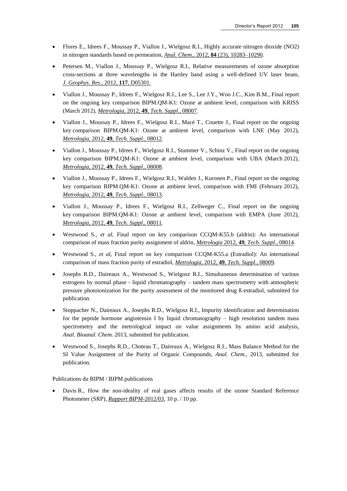- Flores E., Idrees F., Moussay P., Viallon J., Wielgosz R.I., Highly accurate nitrogen dioxide (NO2) in nitrogen standards based on permeation, *Anal. Chem*., 2012, **84** [\(23\), 10283–10290.](http://dx.doi.org/10.1021/ac3024153)
- Petersen M., Viallon J., Moussay P., Wielgosz R.I., Relative measurements of ozone absorption cross-sections at three wavelengths in the Hartley band using a well-defined UV laser beam, *J. [Geophys. Res](http://dx.doi.org/10.1029/2011JD016374)*., 2012, **117**, D05301.
- Viallon J., Moussay P., Idrees F., Wielgosz R.I., Lee S., Lee J.Y., Woo J.C., Kim B.M., Final report on the ongoing key comparison BIPM.QM-K1: Ozone at ambient level, comparison with KRISS (March 2012), *Metrologia,* 2012, **49***[, Tech. Suppl.,](http://stacks.iop.org/0026-1394/49/08007)* 08007.
- Viallon J., Moussay P., Idrees F., Wielgosz R.I., Macé T., Couette J., Final report on the ongoing key comparison BIPM.QM-K1: Ozone at ambient level, comparison with LNE (May 2012), *Metrologia,* 2012, **49***[, Tech. Suppl.,](http://stacks.iop.org/0026-1394/49/08012)* 08012.
- Viallon J., Moussay P., Idrees F., Wielgosz R.I., Stummer V., Schinz V., Final report on the ongoing key comparison BIPM.QM-K1: Ozone at ambient level, comparison with UBA (March 2012), *Metrologia,* 2012, **49***[, Tech. Suppl.,](http://stacks.iop.org/0026-1394/49/08008)* 08008.
- Viallon J., Moussay P., Idrees F., Wielgosz R.I., Walden J., Kuronen P., Final report on the ongoing key comparison BIPM.QM-K1: Ozone at ambient level, comparison with FMI (February 2012), *Metrologia,* 2012, **49***[, Tech. Suppl.,](http://stacks.iop.org/0026-1394/49/08013)* 08013*.*
- Viallon J., Moussay P., Idrees F., Wielgosz R.I., Zellweger C., Final report on the ongoing key comparison BIPM.QM-K1: Ozone at ambient level, comparison with EMPA (June 2012), *Metrologia,* 2012, **49***[, Tech. Suppl.,](http://stacks.iop.org/0026-1394/49/08011)* 08011*.*
- Westwood S., *et al*, Final report on key comparison CCQM-K55.b (aldrin): An international comparison of mass fraction purity assignment of aldrin, *Metrologia* 2012, **49**, *[Tech. Suppl](http://iopscience.iop.org/0026-1394/49/1A/08014/)*., 08014.
- Westwood S., *et al*, Final report on key comparison CCQM-K55.a (Estradiol): An international comparison of mass fraction purity of estradiol, *[Metrologia,](http://iopscience.iop.org/0026-1394/49/1A/08009/)* 2012, **49**, *Tech. Suppl*., 08009.
- Josephs R.D., Daireaux A., Westwood S., Wielgosz R.I., Simultaneous determination of various estrogens by normal phase - liquid chromatography – tandem mass spectrometry with atmospheric pressure photoionization for the purity assessment of the monitored drug ß-estradiol, submitted for publication.
- Stoppacher N., Daireaux A., Josephs R.D., Wielgosz R.I., Impurity identification and determination for the peptide hormone angiotensin I by liquid chromatography  $-$  high resolution tandem mass spectrometry and the metrological impact on value assignments by amino acid analysis, *Anal. Bioanal. Chem.* 2013, submitted for publication.
- Westwood S., Josephs R.D., Choteau T., Daireaux A., Wielgosz R.I., Mass Balance Method for the SI Value Assignment of the Purity of Organic Compounds, *Anal. Chem*., 2013, submitted for publication*.*

Publications du BIPM / BIPM publications

 Davis R., How the non-ideality of real gases affects results of the ozone Standard Reference Photometer (SRP), *[Rapport BIPM](http://www.bipm.org/utils/common/pdf/rapportBIPM/2012/03.pdf)*-2012/03, 10 p. / 10 pp.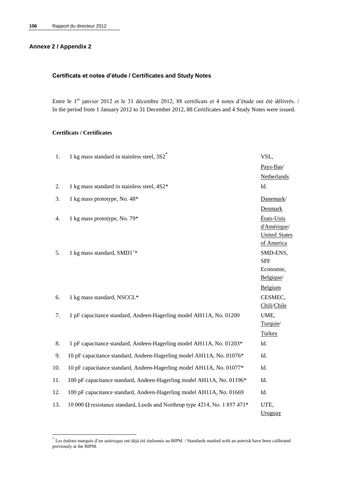# **Annexe 2 / Appendix 2**

## **Certificats et notes d'étude / Certificates and Study Notes**

Entre le 1<sup>er</sup> janvier 2012 et le 31 décembre 2012, 88 certificats et 4 notes d'étude ont été délivrés. / In the period from 1 January 2012 to 31 December 2012, 88 Certificates and 4 Study Notes were issued.

# **Certificats / Certificates**

| 1.  | 1 kg mass standard in stainless steel, 3S2                                        | VSL,                                              |
|-----|-----------------------------------------------------------------------------------|---------------------------------------------------|
|     |                                                                                   | Pays-Bas/                                         |
|     |                                                                                   | Netherlands                                       |
| 2.  | 1 kg mass standard in stainless steel, 4S2*                                       | Id.                                               |
| 3.  | 1 kg mass prototype, No. 48*                                                      | Danemark/                                         |
|     |                                                                                   | Denmark                                           |
| 4.  | 1 kg mass prototype, No. 79*                                                      | États-Unis<br>d'Amérique/<br><b>United States</b> |
|     |                                                                                   | of America                                        |
| 5.  | 1 kg mass standard, SMD1 <sup>+*</sup>                                            | SMD-ENS,<br><b>SPF</b>                            |
|     |                                                                                   | Economie,                                         |
|     |                                                                                   | Belgique/                                         |
|     |                                                                                   | Belgium                                           |
| 6.  | 1 kg mass standard, NSCCL*                                                        | CESMEC,<br>Chili/Chile                            |
| 7.  | 1 pF capacitance standard, Andeen-Hagerling model AH11A, No. 01200                | UME,                                              |
|     |                                                                                   | Turquie/                                          |
|     |                                                                                   | Turkey                                            |
| 8.  | 1 pF capacitance standard, Andeen-Hagerling model AH11A, No. 01203*               | Id.                                               |
| 9.  | 10 pF capacitance standard, Andeen-Hagerling model AH11A, No. 01076*              | Id.                                               |
| 10. | 10 pF capacitance standard, Andeen-Hagerling model AH11A, No. 01077*              | Id.                                               |
| 11. | 100 pF capacitance standard, Andeen-Hagerling model AH11A, No. 01196*             | Id.                                               |
| 12. | 100 pF capacitance standard, Andeen-Hagerling model AH11A, No. 01669              | Id.                                               |
| 13. | 10 000 $\Omega$ resistance standard, Leeds and Northrup type 4214, No. 1 857 471* | UTE,<br>Uruguay                                   |

 \* Les étalons marqués d'un astérisque ont déjà été étalonnés au BIPM. / Standards marked with an asterisk have been calibrated previously at the BIPM.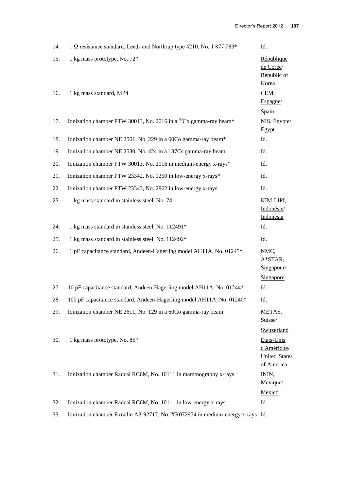| 14. | 1 $\Omega$ resistance standard, Leeds and Northrup type 4210, No. 1 877 783*  | Id.                                                              |
|-----|-------------------------------------------------------------------------------|------------------------------------------------------------------|
| 15. | 1 kg mass prototype, No. 72*                                                  | République<br>de Corée/<br>Republic of<br>Korea                  |
| 16. | 1 kg mass standard, MP4                                                       | CEM,<br>Espagne/                                                 |
| 17. | Ionization chamber PTW 30013, No. 2016 in a <sup>60</sup> Co gamma-ray beam*  | Spain<br>NIS, Égypte/<br>Egypt                                   |
| 18. | Ionization chamber NE 2561, No. 229 in a 60Co gamma-ray beam*                 | Id.                                                              |
| 19. | Ionization chamber NE 2530, No. 424 in a 137Cs gamma-ray beam                 | Id.                                                              |
| 20. | Ionization chamber PTW 30013, No. 2016 in medium-energy x-rays*               | Id.                                                              |
| 21. | Ionization chamber PTW 23342, No. 1250 in low-energy x-rays*                  | Id.                                                              |
| 22. | Ionization chamber PTW 23343, No. 2862 in low-energy x-rays                   | Id.                                                              |
| 23. | 1 kg mass standard in stainless steel, No. 74                                 | KIM-LIPI,<br>Indonésie/<br>Indonesia                             |
| 24. | 1 kg mass standard in stainless steel, No. 112491*                            | Id.                                                              |
|     |                                                                               |                                                                  |
| 25. | 1 kg mass standard in stainless steel, No. 112492*                            | Id.                                                              |
| 26. | 1 pF capacitance standard, Andeen-Hagerling model AH11A, No. 01245*           | NMC,<br>A*STAR,<br>Singapour/                                    |
| 27. | 10 pF capacitance standard, Andeen-Hagerling model AH11A, No. 01244*          | Singapore<br>Id.                                                 |
| 28. | 100 pF capacitance standard, Andeen-Hagerling model AH11A, No. 01240*         | Id.                                                              |
| 29. | Ionization chamber NE 2611, No. 129 in a 60Co gamma-ray beam                  | METAS,<br>Suisse/                                                |
| 30. | 1 kg mass prototype, No. 85*                                                  | Switzerland<br>États-Unis<br>d'Amérique/<br><b>United States</b> |
| 31. | Ionization chamber Radcal RC6M, No. 10111 in mammography x-rays               | of America<br>ININ,<br>Mexique/                                  |
| 32. | Ionization chamber Radcal RC6M, No. 10111 in low-energy x-rays                | Mexico<br>Id.                                                    |
| 33. | Ionization chamber Exradin A3-92717, No. XR072954 in medium-energy x-rays Id. |                                                                  |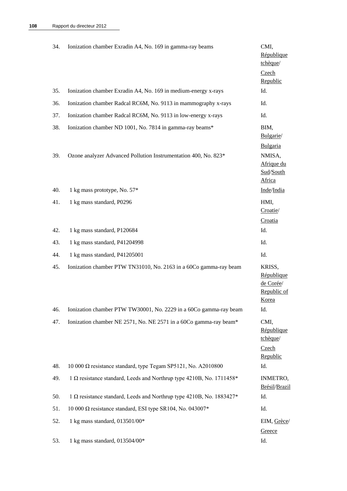| 34. | Ionization chamber Exradin A4, No. 169 in gamma-ray beams                   | CMI,<br>République<br>tchèque/                            |
|-----|-----------------------------------------------------------------------------|-----------------------------------------------------------|
|     |                                                                             | Czech<br>Republic                                         |
| 35. | Ionization chamber Exradin A4, No. 169 in medium-energy x-rays              | Id.                                                       |
| 36. | Ionization chamber Radcal RC6M, No. 9113 in mammography x-rays              | Id.                                                       |
| 37. | Ionization chamber Radcal RC6M, No. 9113 in low-energy x-rays               | Id.                                                       |
| 38. | Ionization chamber ND 1001, No. 7814 in gamma-ray beams*                    | BIM,<br>Bulgarie/<br>Bulgaria                             |
| 39. | Ozone analyzer Advanced Pollution Instrumentation 400, No. 823*             | NMISA,<br>Afrique du<br>Sud/South<br>Africa               |
| 40. | 1 kg mass prototype, No. 57*                                                | Inde/India                                                |
| 41. | 1 kg mass standard, P0296                                                   | HMI,<br>Croatie/<br>Croatia                               |
| 42. | 1 kg mass standard, P120684                                                 | Id.                                                       |
| 43. | 1 kg mass standard, P41204998                                               | Id.                                                       |
| 44. | 1 kg mass standard, P41205001                                               | Id.                                                       |
| 45. | Ionization chamber PTW TN31010, No. 2163 in a 60Co gamma-ray beam           | KRISS,<br>République<br>de Corée/<br>Republic of<br>Korea |
| 46. | Ionization chamber PTW TW30001, No. 2229 in a 60Co gamma-ray beam           | Id.                                                       |
| 47. | Ionization chamber NE 2571, No. NE 2571 in a 60Co gamma-ray beam*           | CMI,<br>République<br>tchèque/<br>Czech<br>Republic       |
| 48. | 10 000 $\Omega$ resistance standard, type Tegam SP5121, No. A2010800        | Id.                                                       |
| 49. | 1 $\Omega$ resistance standard, Leeds and Northrup type 4210B, No. 1711458* | INMETRO,<br>Brésil/Brazil                                 |
| 50. | 1 Ω resistance standard, Leeds and Northrup type 4210B, No. 1883427*        | Id.                                                       |
| 51. | 10 000 $\Omega$ resistance standard, ESI type SR104, No. 043007*            | Id.                                                       |
| 52. | 1 kg mass standard, 013501/00*                                              | EIM, Grèce/<br>Greece                                     |
| 53. | 1 kg mass standard, 013504/00*                                              | Id.                                                       |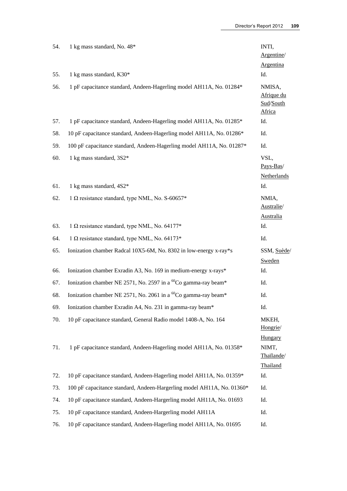| 54.        | 1 kg mass standard, No. 48*                                                                                                                | INTI,<br>Argentine/                                |
|------------|--------------------------------------------------------------------------------------------------------------------------------------------|----------------------------------------------------|
|            |                                                                                                                                            | Argentina                                          |
| 55.        | 1 kg mass standard, K30*                                                                                                                   | Id.                                                |
| 56.<br>57. | 1 pF capacitance standard, Andeen-Hagerling model AH11A, No. 01284*<br>1 pF capacitance standard, Andeen-Hagerling model AH11A, No. 01285* | NMISA,<br>Afrique du<br>Sud/South<br>Africa<br>Id. |
|            |                                                                                                                                            |                                                    |
| 58.        | 10 pF capacitance standard, Andeen-Hagerling model AH11A, No. 01286*                                                                       | Id.                                                |
| 59.        | 100 pF capacitance standard, Andeen-Hagerling model AH11A, No. 01287*                                                                      | Id.                                                |
| 60.        | 1 kg mass standard, 3S2*<br>1 kg mass standard, 4S2*                                                                                       | VSL,<br>Pays-Bas/<br>Netherlands                   |
| 61.        |                                                                                                                                            | Id.                                                |
| 62.        | 1 $\Omega$ resistance standard, type NML, No. S-60657*                                                                                     | NMIA,<br>Australie/<br><b>Australia</b>            |
| 63.        | 1 $\Omega$ resistance standard, type NML, No. 64177*                                                                                       | Id.                                                |
| 64.        | 1 $\Omega$ resistance standard, type NML, No. 64173*                                                                                       | Id.                                                |
| 65.        | Ionization chamber Radcal 10X5-6M, No. 8302 in low-energy x-ray*s                                                                          | SSM, Suède/                                        |
| 66.        | Ionization chamber Exradin A3, No. 169 in medium-energy x-rays*                                                                            | Sweden<br>Id.                                      |
| 67.        | Ionization chamber NE 2571, No. 2597 in a <sup>60</sup> Co gamma-ray beam*                                                                 | Id.                                                |
| 68.        | Ionization chamber NE 2571, No. 2061 in a <sup>60</sup> Co gamma-ray beam*                                                                 | Id.                                                |
| 69.        | Ionization chamber Exradin A4, No. 231 in gamma-ray beam*                                                                                  | Id.                                                |
| 70.        | 10 pF capacitance standard, General Radio model 1408-A, No. 164                                                                            | MKEH,<br>Hongrie/<br>Hungary                       |
| 71.        | 1 pF capacitance standard, Andeen-Hagerling model AH11A, No. 01358*                                                                        | NIMT,<br>Thaïlande/<br>Thailand                    |
| 72.        | 10 pF capacitance standard, Andeen-Hagerling model AH11A, No. 01359*                                                                       | Id.                                                |
| 73.        | 100 pF capacitance standard, Andeen-Hargerling model AH11A, No. 01360*                                                                     | Id.                                                |
| 74.        | 10 pF capacitance standard, Andeen-Hargerling model AH11A, No. 01693                                                                       | Id.                                                |
| 75.        | 10 pF capacitance standard, Andeen-Hargerling model AH11A                                                                                  | Id.                                                |
| 76.        | 10 pF capacitance standard, Andeen-Hagerling model AH11A, No. 01695                                                                        | Id.                                                |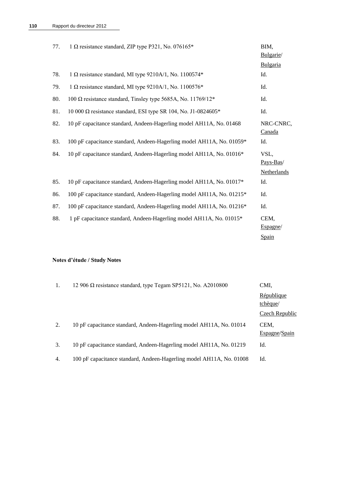| 77. | 1 $\Omega$ resistance standard, ZIP type P321, No. 076165*            | BIM,<br>Bulgarie/                |
|-----|-----------------------------------------------------------------------|----------------------------------|
|     |                                                                       | Bulgaria                         |
| 78. | 1 $\Omega$ resistance standard, MI type 9210A/1, No. 1100574*         | Id.                              |
| 79. | 1 $\Omega$ resistance standard, MI type 9210A/1, No. 1100576*         | Id.                              |
| 80. | 100 $\Omega$ resistance standard, Tinsley type 5685A, No. 11769/12*   | Id.                              |
| 81. | 10 000 $\Omega$ resistance standard, ESI type SR 104, No. J1-0824605* | Id.                              |
| 82. | 10 pF capacitance standard, Andeen-Hagerling model AH11A, No. 01468   | NRC-CNRC,<br>Canada              |
| 83. | 100 pF capacitance standard, Andeen-Hagerling model AH11A, No. 01059* | Id.                              |
| 84. | 10 pF capacitance standard, Andeen-Hagerling model AH11A, No. 01016*  | VSL,<br>Pays-Bas/<br>Netherlands |
| 85. | 10 pF capacitance standard, Andeen-Hagerling model AH11A, No. 01017*  | Id.                              |
| 86. | 100 pF capacitance standard, Andeen-Hagerling model AH11A, No. 01215* | Id.                              |
| 87. | 100 pF capacitance standard, Andeen-Hagerling model AH11A, No. 01216* | Id.                              |
| 88. | 1 pF capacitance standard, Andeen-Hagerling model AH11A, No. 01015*   | CEM,<br>Espagne/<br>Spain        |

## **Notes d'étude / Study Notes**

|    | 12 906 $\Omega$ resistance standard, type Tegam SP5121, No. A2010800 | CMI,                   |
|----|----------------------------------------------------------------------|------------------------|
|    |                                                                      | République<br>tchèque/ |
|    |                                                                      | Czech Republic         |
| 2. | 10 pF capacitance standard, Andeen-Hagerling model AH11A, No. 01014  | CEM.<br>Espagne/Spain  |
| 3. | 10 pF capacitance standard, Andeen-Hagerling model AH11A, No. 01219  | Id.                    |
| 4. | 100 pF capacitance standard, Andeen-Hagerling model AH11A, No. 01008 | Id.                    |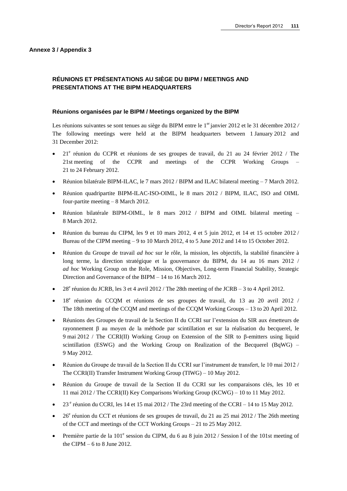#### **Annexe 3 / Appendix 3**

## **RÉUNIONS ET PRÉSENTATIONS AU SIÈGE DU BIPM / MEETINGS AND PRESENTATIONS AT THE BIPM HEADQUARTERS**

#### **Réunions organisées par le BIPM / Meetings organized by the BIPM**

Les réunions suivantes se sont tenues au siège du BIPM entre le 1<sup>er</sup> janvier 2012 et le 31 décembre 2012 */* The following meetings were held at the BIPM headquarters between 1 January 2012 and 31 December 2012:

- 21<sup>e</sup> réunion du CCPR et réunions de ses groupes de travail, du 21 au 24 février 2012 / The 21st meeting of the CCPR and meetings of the CCPR Working Groups – 21 to 24 February 2012.
- Réunion bilatérale BIPM-ILAC, le 7 mars 2012 / BIPM and ILAC bilateral meeting 7 March 2012.
- Réunion quadripartite BIPM-ILAC-ISO-OIML, le 8 mars 2012 / BIPM, ILAC, ISO and OIML four-partite meeting – 8 March 2012.
- Réunion bilatérale BIPM-OIML, le 8 mars 2012 / BIPM and OIML bilateral meeting 8 March 2012.
- Réunion du bureau du CIPM, les 9 et 10 mars 2012, 4 et 5 juin 2012, et 14 et 15 octobre 2012 / Bureau of the CIPM meeting – 9 to 10 March 2012, 4 to 5 June 2012 and 14 to 15 October 2012.
- Réunion du Groupe de travail *ad hoc* sur le rôle, la mission, les objectifs, la stabilité financière à long terme, la direction stratégique et la gouvernance du BIPM, du 14 au 16 mars 2012 / *ad hoc* Working Group on the Role, Mission, Objectives, Long-term Financial Stability, Strategic Direction and Governance of the BIPM – 14 to 16 March 2012.
- $\bullet$  28<sup>e</sup> réunion du JCRB, les 3 et 4 avril 2012 / The 28th meeting of the JCRB 3 to 4 April 2012.
- · 18<sup>e</sup> réunion du CCQM et réunions de ses groupes de travail, du 13 au 20 avril 2012 / The 18th meeting of the CCQM and meetings of the CCQM Working Groups – 13 to 20 April 2012.
- Réunions des Groupes de travail de la Section II du CCRI sur l'extension du SIR aux émetteurs de rayonnement β au moyen de la méthode par scintillation et sur la réalisation du becquerel, le 9 mai 2012 / The CCRI(II) Working Group on Extension of the SIR to β-emitters using liquid scintillation (ESWG) and the Working Group on Realization of the Becquerel (BqWG) – 9 May 2012.
- Réunion du Groupe de travail de la Section II du CCRI sur l'instrument de transfert, le 10 mai 2012 / The CCRI(II) Transfer Instrument Working Group (TIWG) – 10 May 2012.
- Réunion du Groupe de travail de la Section II du CCRI sur les comparaisons clés, les 10 et 11 mai 2012 / The CCRI(II) Key Comparisons Working Group (KCWG) – 10 to 11 May 2012.
- $\bullet$  23<sup>e</sup> réunion du CCRI, les 14 et 15 mai 2012 / The 23rd meeting of the CCRI 14 to 15 May 2012.
- 26<sup>e</sup> réunion du CCT et réunions de ses groupes de travail, du 21 au 25 mai 2012 / The 26th meeting of the CCT and meetings of the CCT Working Groups – 21 to 25 May 2012.
- Première partie de la  $101^e$  session du CIPM, du 6 au 8 juin 2012 / Session I of the 101st meeting of the CIPM  $-6$  to 8 June 2012.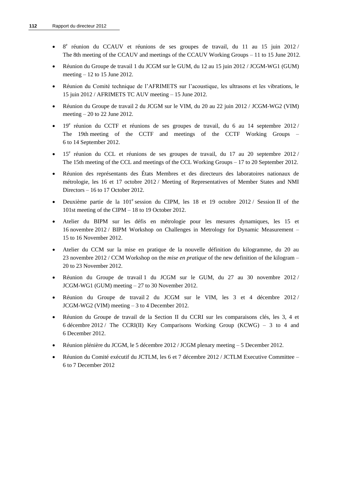- · 8<sup>e</sup> réunion du CCAUV et réunions de ses groupes de travail, du 11 au 15 juin 2012 / The 8th meeting of the CCAUV and meetings of the CCAUV Working Groups – 11 to 15 June 2012.
- Réunion du Groupe de travail 1 du JCGM sur le GUM, du 12 au 15 juin 2012 / JCGM-WG1 (GUM) meeting  $-12$  to 15 June 2012.
- Réunion du Comité technique de l'AFRIMETS sur l'acoustique, les ultrasons et les vibrations, le 15 juin 2012 / AFRIMETS TC AUV meeting – 15 June 2012.
- Réunion du Groupe de travail 2 du JCGM sur le VIM, du 20 au 22 juin 2012 / JCGM-WG2 (VIM) meeting  $-20$  to 22 June 2012.
- $\bullet$  19<sup>e</sup> réunion du CCTF et réunions de ses groupes de travail, du 6 au 14 septembre 2012 / The 19th meeting of the CCTF and meetings of the CCTF Working Groups – 6 to 14 September 2012.
- · 15<sup>e</sup> réunion du CCL et réunions de ses groupes de travail, du 17 au 20 septembre 2012 / The 15th meeting of the CCL and meetings of the CCL Working Groups – 17 to 20 September 2012.
- Réunion des représentants des États Membres et des directeurs des laboratoires nationaux de métrologie, les 16 et 17 octobre 2012 / Meeting of Representatives of Member States and NMI Directors – 16 to 17 October 2012.
- Deuxième partie de la  $101^{\circ}$  session du CIPM, les 18 et 19 octobre  $2012 /$  Session II of the 101st meeting of the CIPM – 18 to 19 October 2012.
- Atelier du BIPM sur les défis en métrologie pour les mesures dynamiques, les 15 et 16 novembre 2012 / BIPM Workshop on Challenges in Metrology for Dynamic Measurement – 15 to 16 November 2012.
- Atelier du CCM sur la mise en pratique de la nouvelle définition du kilogramme, du 20 au 23 novembre 2012 / CCM Workshop on the *mise en pratique* of the new definition of the kilogram – 20 to 23 November 2012.
- Réunion du Groupe de travail 1 du JCGM sur le GUM, du 27 au 30 novembre 2012 / JCGM-WG1 (GUM) meeting – 27 to 30 November 2012.
- Réunion du Groupe de travail 2 du JCGM sur le VIM, les 3 et 4 décembre 2012 / JCGM-WG2 (VIM) meeting – 3 to 4 December 2012.
- Réunion du Groupe de travail de la Section II du CCRI sur les comparaisons clés, les 3, 4 et 6 décembre 2012 / The CCRI(II) Key Comparisons Working Group (KCWG) – 3 to 4 and 6 December 2012.
- Réunion plénière du JCGM, le 5 décembre 2012 / JCGM plenary meeting 5 December 2012.
- Réunion du Comité exécutif du JCTLM, les 6 et 7 décembre 2012 / JCTLM Executive Committee 6 to 7 December 2012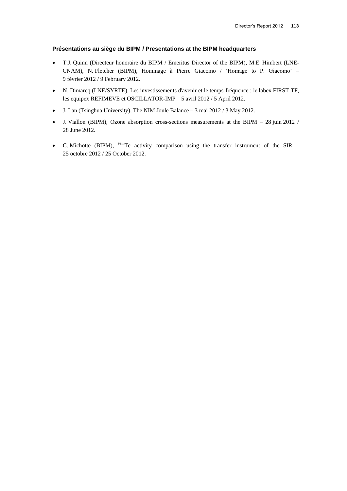## **Présentations au siège du BIPM / Presentations at the BIPM headquarters**

- T.J. Quinn (Directeur honoraire du BIPM / Emeritus Director of the BIPM), M.E. Himbert (LNE-CNAM), N. Fletcher (BIPM), Hommage à Pierre Giacomo / 'Homage to P. Giacomo' – 9 février 2012 / 9 February 2012.
- N. Dimarcq (LNE/SYRTE), Les investissements d'avenir et le temps-fréquence : le labex FIRST-TF, les equipex REFIMEVE et OSCILLATOR-IMP – 5 avril 2012 / 5 April 2012.
- J. Lan (Tsinghua University), The NIM Joule Balance 3 mai 2012 / 3 May 2012.
- J. Viallon (BIPM), Ozone absorption cross-sections measurements at the BIPM 28 juin 2012 / 28 June 2012.
- C. Michotte (BIPM),  $^{99m}$ Tc activity comparison using the transfer instrument of the SIR 25 octobre 2012 / 25 October 2012.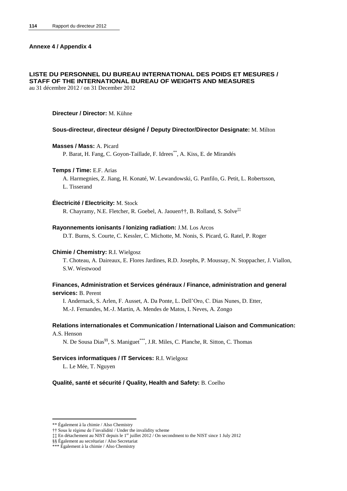#### **Annexe 4 / Appendix 4**

# **LISTE DU PERSONNEL DU BUREAU INTERNATIONAL DES POIDS ET MESURES / STAFF OF THE INTERNATIONAL BUREAU OF WEIGHTS AND MEASURES**

au 31 décembre 2012 / on 31 December 2012

**Directeur / Director:** M. Kühne

#### **Sous-directeur, directeur désigné / Deputy Director/Director Designate:** M. Milton

#### **Masses / Mass:** A. Picard

P. Barat, H. Fang, C. Goyon-Taillade, F. Idrees\*\*, A. Kiss, E. de Mirandés

## **Temps / Time:** E.F. Arias

A. Harmegnies, Z. Jiang, H. Konaté, W. Lewandowski, G. Panfilo, G. Petit, L. Robertsson, L. Tisserand

#### **Électricité / Electricity:** M. Stock

R. Chayramy, N.E. Fletcher, R. Goebel, A. Jaouen††, B. Rolland, S. Solve‡‡

#### **Rayonnements ionisants / Ionizing radiation:** J.M. Los Arcos

D.T. Burns, S. Courte, C. Kessler, C. Michotte, M. Nonis, S. Picard, G. Ratel, P. Roger

#### **Chimie / Chemistry:** R.I. Wielgosz

T. Choteau, A. Daireaux, E. Flores Jardines, R.D. Josephs, P. Moussay, N. Stoppacher, J. Viallon, S.W. Westwood

## **Finances, Administration et Services généraux / Finance, administration and general services:** B. Perent

I. Andernack, S. Arlen, F. Ausset, A. Da Ponte, L. Dell'Oro, C. Dias Nunes, D. Etter, M.-J. Fernandes, M.-J. Martin, A. Mendes de Matos, I. Neves, A. Zongo

## **Relations internationales et Communication / International Liaison and Communication:**  A.S. Henson

N. De Sousa Dias<sup>§§</sup>, S. Maniguet<sup>\*\*\*</sup>, J.R. Miles, C. Planche, R. Sitton, C. Thomas

#### **Services informatiques / IT Services:** R.I. Wielgosz

L. Le Mée, T. Nguyen

#### **Qualité, santé et sécurité / Quality, Health and Safety:** B. Coelho

 $\overline{a}$ 

<sup>\*\*</sup> Également à la chimie / Also Chemistry

<sup>††</sup> Sous le régime de l'invalidité / Under the invalidity scheme

<sup>‡‡</sup> En détachement au NIST depuis le 1er juillet 2012 / On secondment to the NIST since 1 July 2012

<sup>§§</sup> Également au secrétariat / Also Secretariat

<sup>\*\*\*</sup> Également à la chimie / Also Chemistry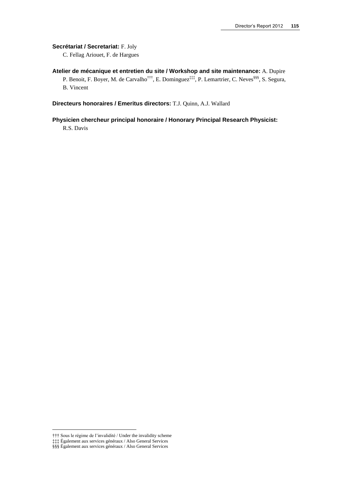## **Secrétariat / Secretariat:** F. Joly

C. Fellag Ariouet, F. de Hargues

**Atelier de mécanique et entretien du site / Workshop and site maintenance:** A. Dupire P. Benoit, F. Boyer, M. de Carvalho<sup>†††</sup>, E. Dominguez<sup>‡‡‡</sup>, P. Lemartrier, C. Neves<sup>§§§</sup>, S. Segura, B. Vincent

**Directeurs honoraires / Emeritus directors:** T.J. Quinn, A.J. Wallard

**Physicien chercheur principal honoraire / Honorary Principal Research Physicist:** R.S. Davis

 $\overline{a}$ 

<sup>†††</sup> Sous le régime de l'invalidité / Under the invalidity scheme

<sup>‡‡‡</sup> Également aux services généraux / Also General Services

<sup>§§§</sup> Également aux services généraux / Also General Services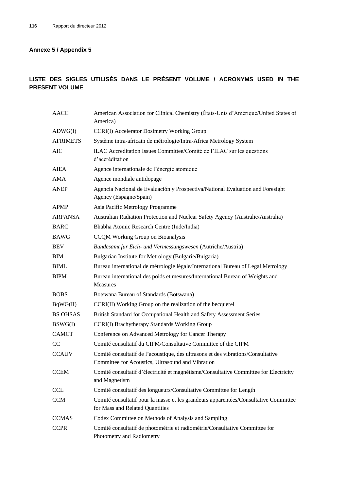## **Annexe 5 / Appendix 5**

# **LISTE DES SIGLES UTILISÉS DANS LE PRÉSENT VOLUME / ACRONYMS USED IN THE PRESENT VOLUME**

| AACC            | American Association for Clinical Chemistry (États-Unis d'Amérique/United States of<br>America)                                       |
|-----------------|---------------------------------------------------------------------------------------------------------------------------------------|
| ADWG(I)         | CCRI(I) Accelerator Dosimetry Working Group                                                                                           |
| <b>AFRIMETS</b> | Système intra-africain de métrologie/Intra-Africa Metrology System                                                                    |
| AIC             | ILAC Accreditation Issues Committee/Comité de l'ILAC sur les questions<br>d'accréditation                                             |
| AIEA            | Agence internationale de l'énergie atomique                                                                                           |
| AMA             | Agence mondiale antidopage                                                                                                            |
| <b>ANEP</b>     | Agencia Nacional de Evaluación y Prospectiva/National Evaluation and Foresight<br>Agency (Espagne/Spain)                              |
| <b>APMP</b>     | Asia Pacific Metrology Programme                                                                                                      |
| ARPANSA         | Australian Radiation Protection and Nuclear Safety Agency (Australie/Australia)                                                       |
| <b>BARC</b>     | Bhabha Atomic Research Centre (Inde/India)                                                                                            |
| <b>BAWG</b>     | CCQM Working Group on Bioanalysis                                                                                                     |
| <b>BEV</b>      | Bundesamt für Eich- und Vermessungswesen (Autriche/Austria)                                                                           |
| BIM             | Bulgarian Institute for Metrology (Bulgarie/Bulgaria)                                                                                 |
| <b>BIML</b>     | Bureau international de métrologie légale/International Bureau of Legal Metrology                                                     |
| <b>BIPM</b>     | Bureau international des poids et mesures/International Bureau of Weights and<br><b>Measures</b>                                      |
| <b>BOBS</b>     | Botswana Bureau of Standards (Botswana)                                                                                               |
| BqWG(II)        | CCRI(II) Working Group on the realization of the becquerel                                                                            |
| <b>BS OHSAS</b> | British Standard for Occupational Health and Safety Assessment Series                                                                 |
| BSWG(I)         | CCRI(I) Brachytherapy Standards Working Group                                                                                         |
| <b>CAMCT</b>    | Conference on Advanced Metrology for Cancer Therapy                                                                                   |
| CC              | Comité consultatif du CIPM/Consultative Committee of the CIPM                                                                         |
| <b>CCAUV</b>    | Comité consultatif de l'acoustique, des ultrasons et des vibrations/Consultative<br>Committee for Acoustics, Ultrasound and Vibration |
| <b>CCEM</b>     | Comité consultatif d'électricité et magnétisme/Consultative Committee for Electricity<br>and Magnetism                                |
| <b>CCL</b>      | Comité consultatif des longueurs/Consultative Committee for Length                                                                    |
| <b>CCM</b>      | Comité consultatif pour la masse et les grandeurs apparentées/Consultative Committee<br>for Mass and Related Quantities               |
| <b>CCMAS</b>    | Codex Committee on Methods of Analysis and Sampling                                                                                   |
| <b>CCPR</b>     | Comité consultatif de photométrie et radiométrie/Consultative Committee for<br>Photometry and Radiometry                              |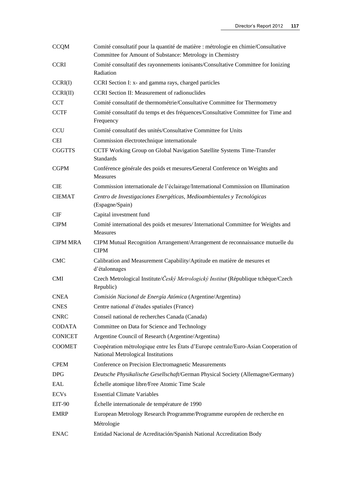| <b>CCQM</b>     | Comité consultatif pour la quantité de matière : métrologie en chimie/Consultative<br>Committee for Amount of Substance: Metrology in Chemistry |
|-----------------|-------------------------------------------------------------------------------------------------------------------------------------------------|
| <b>CCRI</b>     | Comité consultatif des rayonnements ionisants/Consultative Committee for Ionizing<br>Radiation                                                  |
| CCRI(I)         | CCRI Section I: x- and gamma rays, charged particles                                                                                            |
| CCRI(II)        | CCRI Section II: Measurement of radionuclides                                                                                                   |
| <b>CCT</b>      | Comité consultatif de thermométrie/Consultative Committee for Thermometry                                                                       |
| <b>CCTF</b>     | Comité consultatif du temps et des fréquences/Consultative Committee for Time and<br>Frequency                                                  |
| <b>CCU</b>      | Comité consultatif des unités/Consultative Committee for Units                                                                                  |
| <b>CEI</b>      | Commission électrotechnique internationale                                                                                                      |
| <b>CGGTTS</b>   | CCTF Working Group on Global Navigation Satellite Systems Time-Transfer<br><b>Standards</b>                                                     |
| <b>CGPM</b>     | Conférence générale des poids et mesures/General Conference on Weights and<br><b>Measures</b>                                                   |
| <b>CIE</b>      | Commission internationale de l'éclairage/International Commission on Illumination                                                               |
| <b>CIEMAT</b>   | Centro de Investigaciones Energéticas, Medioambientales y Tecnológicas<br>(Espagne/Spain)                                                       |
| <b>CIF</b>      | Capital investment fund                                                                                                                         |
| <b>CIPM</b>     | Comité international des poids et mesures/International Committee for Weights and<br><b>Measures</b>                                            |
| <b>CIPM MRA</b> | CIPM Mutual Recognition Arrangement/Arrangement de reconnaissance mutuelle du<br><b>CIPM</b>                                                    |
| <b>CMC</b>      | Calibration and Measurement Capability/Aptitude en matière de mesures et<br>d'étalonnages                                                       |
| <b>CMI</b>      | Czech Metrological Institute/Český Metrologický Institut (République tchèque/Czech<br>Republic)                                                 |
| <b>CNEA</b>     | Comisión Nacional de Energía Atómica (Argentine/Argentina)                                                                                      |
| <b>CNES</b>     | Centre national d'études spatiales (France)                                                                                                     |
| <b>CNRC</b>     | Conseil national de recherches Canada (Canada)                                                                                                  |
| <b>CODATA</b>   | Committee on Data for Science and Technology                                                                                                    |
| <b>CONICET</b>  | Argentine Council of Research (Argentine/Argentina)                                                                                             |
| <b>COOMET</b>   | Coopération métrologique entre les États d'Europe centrale/Euro-Asian Cooperation of<br>National Metrological Institutions                      |
| <b>CPEM</b>     | Conference on Precision Electromagnetic Measurements                                                                                            |
| <b>DPG</b>      | Deutsche Physikalische Gesellschaft/German Physical Society (Allemagne/Germany)                                                                 |
| EAL             | Échelle atomique libre/Free Atomic Time Scale                                                                                                   |
| <b>ECVs</b>     | <b>Essential Climate Variables</b>                                                                                                              |
| <b>EIT-90</b>   | Échelle internationale de température de 1990                                                                                                   |
| <b>EMRP</b>     | European Metrology Research Programme/Programme européen de recherche en<br>Métrologie                                                          |
| <b>ENAC</b>     | Entidad Nacional de Acreditación/Spanish National Accreditation Body                                                                            |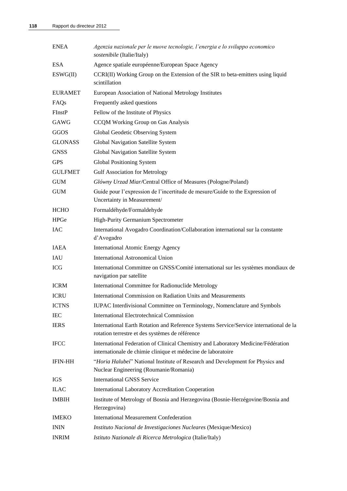| <b>ENEA</b>    | Agenzia nazionale per le nuove tecnologie, l'energia e lo sviluppo economico<br>sostenibile (Italie/Italy)                                        |
|----------------|---------------------------------------------------------------------------------------------------------------------------------------------------|
| <b>ESA</b>     | Agence spatiale européenne/European Space Agency                                                                                                  |
| ESWG(II)       | CCRI(II) Working Group on the Extension of the SIR to beta-emitters using liquid<br>scintillation                                                 |
| <b>EURAMET</b> | European Association of National Metrology Institutes                                                                                             |
| FAQs           | Frequently asked questions                                                                                                                        |
| FInstP         | Fellow of the Institute of Physics                                                                                                                |
| GAWG           | CCQM Working Group on Gas Analysis                                                                                                                |
| GGOS           | Global Geodetic Observing System                                                                                                                  |
| <b>GLONASS</b> | Global Navigation Satellite System                                                                                                                |
| <b>GNSS</b>    | Global Navigation Satellite System                                                                                                                |
| <b>GPS</b>     | Global Positioning System                                                                                                                         |
| <b>GULFMET</b> | <b>Gulf Association for Metrology</b>                                                                                                             |
| <b>GUM</b>     | Glówny Urzad Miar/Central Office of Measures (Pologne/Poland)                                                                                     |
| <b>GUM</b>     | Guide pour l'expression de l'incertitude de mesure/Guide to the Expression of<br>Uncertainty in Measurement/                                      |
| <b>HCHO</b>    | Formaldéhyde/Formaldehyde                                                                                                                         |
| <b>HPGe</b>    | High-Purity Germanium Spectrometer                                                                                                                |
| <b>IAC</b>     | International Avogadro Coordination/Collaboration international sur la constante<br>d'Avogadro                                                    |
| <b>IAEA</b>    | <b>International Atomic Energy Agency</b>                                                                                                         |
| <b>IAU</b>     | <b>International Astronomical Union</b>                                                                                                           |
| <b>ICG</b>     | International Committee on GNSS/Comité international sur les systèmes mondiaux de<br>navigation par satellite                                     |
| <b>ICRM</b>    | International Committee for Radionuclide Metrology                                                                                                |
| <b>ICRU</b>    | International Commission on Radiation Units and Measurements                                                                                      |
| <b>ICTNS</b>   | IUPAC Interdivisional Committee on Terminology, Nomenclature and Symbols                                                                          |
| <b>IEC</b>     | <b>International Electrotechnical Commission</b>                                                                                                  |
| <b>IERS</b>    | International Earth Rotation and Reference Systems Service/Service international de la<br>rotation terrestre et des systèmes de référence         |
| <b>IFCC</b>    | International Federation of Clinical Chemistry and Laboratory Medicine/Fédération<br>internationale de chimie clinique et médecine de laboratoire |
| <b>IFIN-HH</b> | "Horia Halubei" National Institute of Research and Development for Physics and<br>Nuclear Engineering (Roumanie/Romania)                          |
| IGS            | <b>International GNSS Service</b>                                                                                                                 |
| <b>ILAC</b>    | <b>International Laboratory Accreditation Cooperation</b>                                                                                         |
| <b>IMBIH</b>   | Institute of Metrology of Bosnia and Herzegovina (Bosnie-Herzégovine/Bosnia and<br>Herzegovina)                                                   |
| <b>IMEKO</b>   | <b>International Measurement Confederation</b>                                                                                                    |
| <b>ININ</b>    | Instituto Nacional de Investigaciones Nucleares (Mexique/Mexico)                                                                                  |
| <b>INRIM</b>   | Istituto Nazionale di Ricerca Metrologica (Italie/Italy)                                                                                          |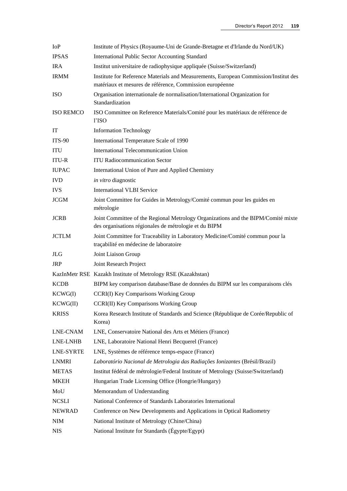| IoP              | Institute of Physics (Royaume-Uni de Grande-Bretagne et d'Irlande du Nord/UK)                                                                    |
|------------------|--------------------------------------------------------------------------------------------------------------------------------------------------|
| <b>IPSAS</b>     | <b>International Public Sector Accounting Standard</b>                                                                                           |
| <b>IRA</b>       | Institut universitaire de radiophysique appliquée (Suisse/Switzerland)                                                                           |
| <b>IRMM</b>      | Institute for Reference Materials and Measurements, European Commission/Institut des<br>matériaux et mesures de référence, Commission européenne |
| <b>ISO</b>       | Organisation internationale de normalisation/International Organization for<br>Standardization                                                   |
| <b>ISO REMCO</b> | ISO Committee on Reference Materials/Comité pour les matériaux de référence de<br>l'ISO                                                          |
| IT               | <b>Information Technology</b>                                                                                                                    |
| <b>ITS-90</b>    | International Temperature Scale of 1990                                                                                                          |
| <b>ITU</b>       | International Telecommunication Union                                                                                                            |
| <b>ITU-R</b>     | <b>ITU Radiocommunication Sector</b>                                                                                                             |
| <b>IUPAC</b>     | International Union of Pure and Applied Chemistry                                                                                                |
| <b>IVD</b>       | in vitro diagnostic                                                                                                                              |
| <b>IVS</b>       | <b>International VLBI Service</b>                                                                                                                |
| <b>JCGM</b>      | Joint Committee for Guides in Metrology/Comité commun pour les guides en<br>métrologie                                                           |
| <b>JCRB</b>      | Joint Committee of the Regional Metrology Organizations and the BIPM/Comité mixte<br>des organisations régionales de métrologie et du BIPM       |
| <b>JCTLM</b>     | Joint Committee for Traceability in Laboratory Medicine/Comité commun pour la<br>traçabilité en médecine de laboratoire                          |
| <b>JLG</b>       | Joint Liaison Group                                                                                                                              |
| <b>JRP</b>       | Joint Research Project                                                                                                                           |
|                  | KazInMetr RSE Kazakh Institute of Metrology RSE (Kazakhstan)                                                                                     |
| <b>KCDB</b>      | BIPM key comparison database/Base de données du BIPM sur les comparaisons clés                                                                   |
| KCWG(I)          | CCRI(I) Key Comparisons Working Group                                                                                                            |
| KCWG(II)         | CCRI(II) Key Comparisons Working Group                                                                                                           |
| <b>KRISS</b>     | Korea Research Institute of Standards and Science (République de Corée/Republic of<br>Korea)                                                     |
| LNE-CNAM         | LNE, Conservatoire National des Arts et Métiers (France)                                                                                         |
| LNE-LNHB         | LNE, Laboratoire National Henri Becquerel (France)                                                                                               |
| LNE-SYRTE        | LNE, Systèmes de référence temps-espace (France)                                                                                                 |
| <b>LNMRI</b>     | Laboratório Nacional de Metrologia das Radiações Ionizantes (Brésil/Brazil)                                                                      |
| <b>METAS</b>     | Institut fédéral de métrologie/Federal Institute of Metrology (Suisse/Switzerland)                                                               |
| <b>MKEH</b>      | Hungarian Trade Licensing Office (Hongrie/Hungary)                                                                                               |
| MoU              | Memorandum of Understanding                                                                                                                      |
| <b>NCSLI</b>     | National Conference of Standards Laboratories International                                                                                      |
| <b>NEWRAD</b>    | Conference on New Developments and Applications in Optical Radiometry                                                                            |
| <b>NIM</b>       | National Institute of Metrology (Chine/China)                                                                                                    |
| <b>NIS</b>       | National Institute for Standards (Égypte/Egypt)                                                                                                  |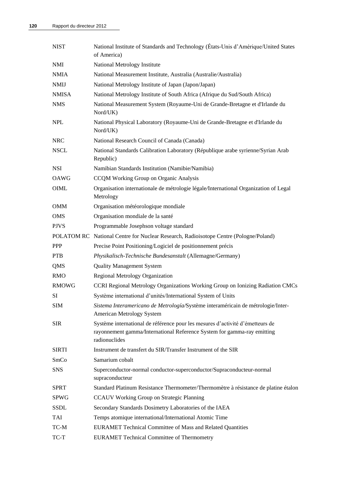| <b>NIST</b>  | National Institute of Standards and Technology (États-Unis d'Amérique/United States<br>of America)                                                                        |
|--------------|---------------------------------------------------------------------------------------------------------------------------------------------------------------------------|
| <b>NMI</b>   | National Metrology Institute                                                                                                                                              |
| <b>NMIA</b>  | National Measurement Institute, Australia (Australie/Australia)                                                                                                           |
| <b>NMIJ</b>  | National Metrology Institute of Japan (Japon/Japan)                                                                                                                       |
| <b>NMISA</b> | National Metrology Institute of South Africa (Afrique du Sud/South Africa)                                                                                                |
| <b>NMS</b>   | National Measurement System (Royaume-Uni de Grande-Bretagne et d'Irlande du<br>Nord/UK)                                                                                   |
| <b>NPL</b>   | National Physical Laboratory (Royaume-Uni de Grande-Bretagne et d'Irlande du<br>Nord/UK)                                                                                  |
| <b>NRC</b>   | National Research Council of Canada (Canada)                                                                                                                              |
| <b>NSCL</b>  | National Standards Calibration Laboratory (République arabe syrienne/Syrian Arab<br>Republic)                                                                             |
| <b>NSI</b>   | Namibian Standards Institution (Namibie/Namibia)                                                                                                                          |
| <b>OAWG</b>  | CCQM Working Group on Organic Analysis                                                                                                                                    |
| <b>OIML</b>  | Organisation internationale de métrologie légale/International Organization of Legal<br>Metrology                                                                         |
| <b>OMM</b>   | Organisation météorologique mondiale                                                                                                                                      |
| OMS          | Organisation mondiale de la santé                                                                                                                                         |
| <b>PJVS</b>  | Programmable Josephson voltage standard                                                                                                                                   |
|              | POLATOM RC National Centre for Nuclear Research, Radioisotope Centre (Pologne/Poland)                                                                                     |
| <b>PPP</b>   | Precise Point Positioning/Logiciel de positionnement précis                                                                                                               |
| <b>PTB</b>   | Physikalisch-Technische Bundesanstalt (Allemagne/Germany)                                                                                                                 |
| QMS          | <b>Quality Management System</b>                                                                                                                                          |
| <b>RMO</b>   | <b>Regional Metrology Organization</b>                                                                                                                                    |
| <b>RMOWG</b> | CCRI Regional Metrology Organizations Working Group on Ionizing Radiation CMCs                                                                                            |
| SI           | Système international d'unités/International System of Units                                                                                                              |
| SIM          | Sistema Interamericano de Metrología/Système interaméricain de métrologie/Inter-<br><b>American Metrology System</b>                                                      |
| <b>SIR</b>   | Système international de référence pour les mesures d'activité d'émetteurs de<br>rayonnement gamma/International Reference System for gamma-ray emitting<br>radionuclides |
| <b>SIRTI</b> | Instrument de transfert du SIR/Transfer Instrument of the SIR                                                                                                             |
| SmCo         | Samarium cobalt                                                                                                                                                           |
| <b>SNS</b>   | Superconductor-normal conductor-superconductor/Supraconducteur-normal<br>supraconducteur                                                                                  |
| <b>SPRT</b>  | Standard Platinum Resistance Thermometer/Thermomètre à résistance de platine étalon                                                                                       |
| <b>SPWG</b>  | <b>CCAUV</b> Working Group on Strategic Planning                                                                                                                          |
| SSDL         | Secondary Standards Dosimetry Laboratories of the IAEA                                                                                                                    |
| <b>TAI</b>   | Temps atomique international/International Atomic Time                                                                                                                    |
| TC-M         | <b>EURAMET Technical Committee of Mass and Related Quantities</b>                                                                                                         |
| TC-T         | <b>EURAMET Technical Committee of Thermometry</b>                                                                                                                         |